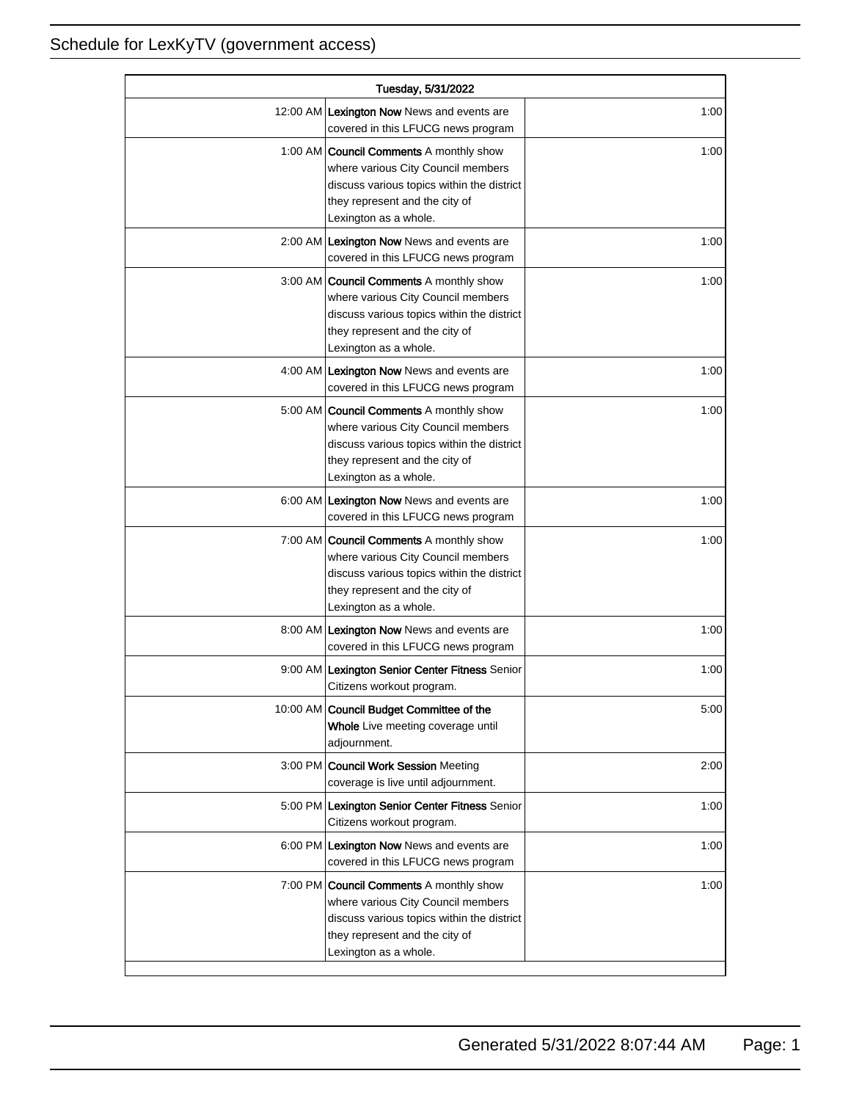| Tuesday, 5/31/2022 |                                                                                                                                                                                               |      |
|--------------------|-----------------------------------------------------------------------------------------------------------------------------------------------------------------------------------------------|------|
|                    | 12:00 AM Lexington Now News and events are<br>covered in this LFUCG news program                                                                                                              | 1:00 |
|                    | 1:00 AM <b>Council Comments</b> A monthly show<br>where various City Council members<br>discuss various topics within the district<br>they represent and the city of<br>Lexington as a whole. | 1:00 |
|                    | 2:00 AM Lexington Now News and events are<br>covered in this LFUCG news program                                                                                                               | 1:00 |
|                    | 3:00 AM Council Comments A monthly show<br>where various City Council members<br>discuss various topics within the district<br>they represent and the city of<br>Lexington as a whole.        | 1:00 |
|                    | 4:00 AM Lexington Now News and events are<br>covered in this LFUCG news program                                                                                                               | 1:00 |
|                    | 5:00 AM   Council Comments A monthly show<br>where various City Council members<br>discuss various topics within the district<br>they represent and the city of<br>Lexington as a whole.      | 1:00 |
|                    | 6:00 AM Lexington Now News and events are<br>covered in this LFUCG news program                                                                                                               | 1:00 |
|                    | 7:00 AM Council Comments A monthly show<br>where various City Council members<br>discuss various topics within the district<br>they represent and the city of<br>Lexington as a whole.        | 1:00 |
|                    | 8:00 AM Lexington Now News and events are<br>covered in this LFUCG news program                                                                                                               | 1:00 |
|                    | 9:00 AM Lexington Senior Center Fitness Senior<br>Citizens workout program.                                                                                                                   | 1:00 |
|                    | 10:00 AM Council Budget Committee of the<br>Whole Live meeting coverage until<br>adjournment.                                                                                                 | 5:00 |
| $3:00$ PM          | <b>Council Work Session Meeting</b><br>coverage is live until adjournment.                                                                                                                    | 2:00 |
|                    | 5:00 PM Lexington Senior Center Fitness Senior<br>Citizens workout program.                                                                                                                   | 1:00 |
|                    | 6:00 PM Lexington Now News and events are<br>covered in this LFUCG news program                                                                                                               | 1:00 |
|                    | 7:00 PM Council Comments A monthly show<br>where various City Council members<br>discuss various topics within the district<br>they represent and the city of<br>Lexington as a whole.        | 1:00 |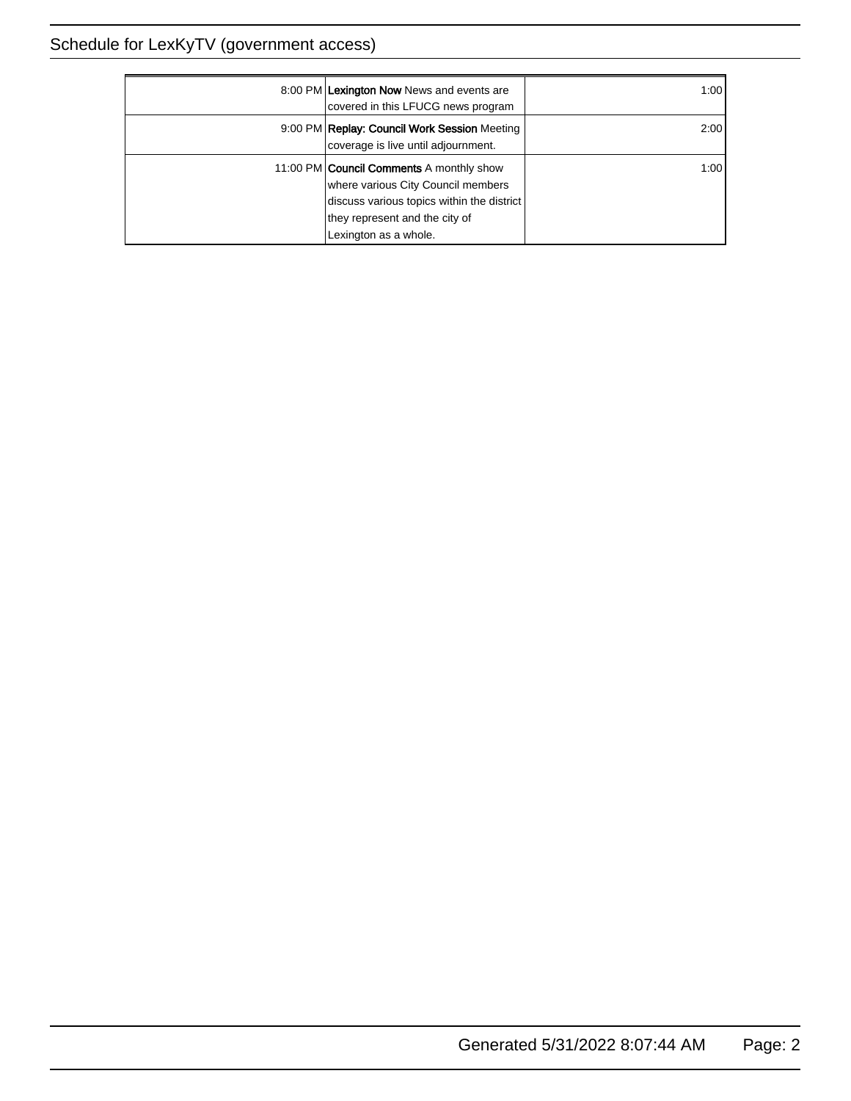| 8:00 PM Lexington Now News and events are<br>covered in this LFUCG news program                                                                                                                | 1:00 |
|------------------------------------------------------------------------------------------------------------------------------------------------------------------------------------------------|------|
| 9:00 PM Replay: Council Work Session Meeting<br>coverage is live until adjournment.                                                                                                            | 2:00 |
| 11:00 PM <b>Council Comments</b> A monthly show<br>where various City Council members<br>discuss various topics within the district<br>they represent and the city of<br>Lexington as a whole. | 1:00 |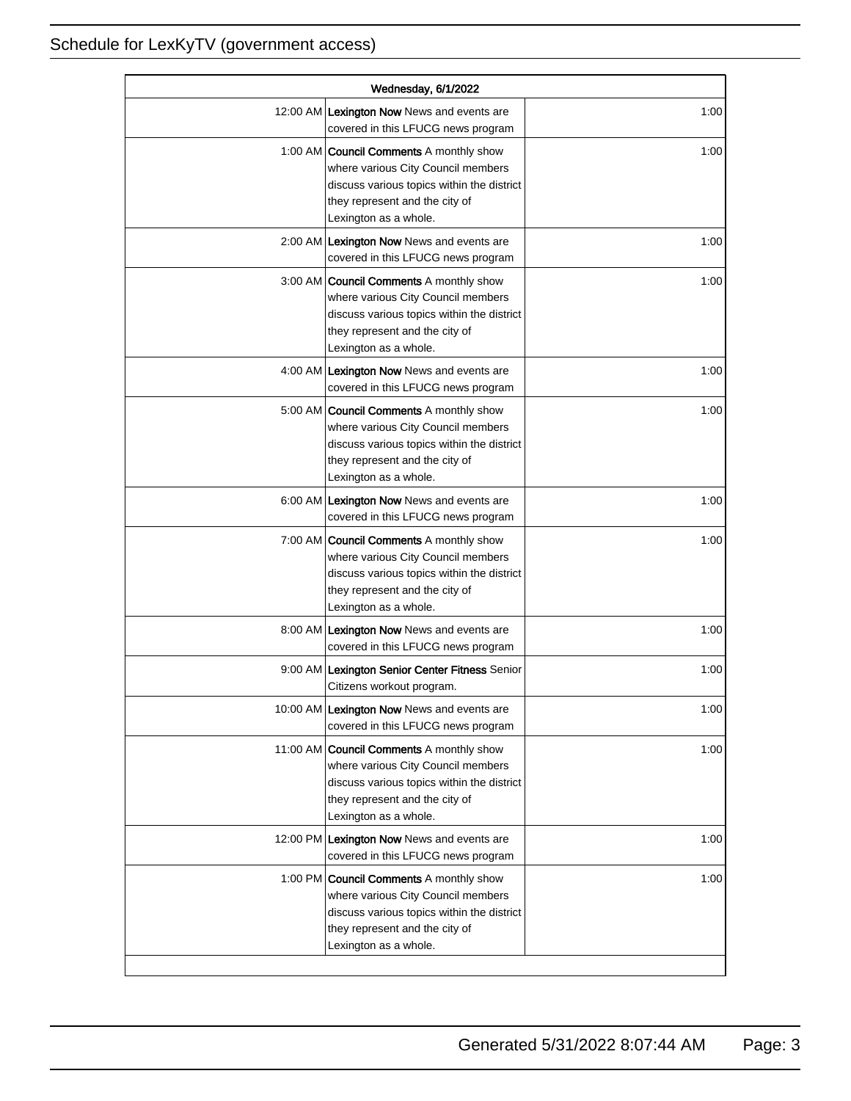| Wednesday, 6/1/2022 |                                                                                                                                                                                               |      |
|---------------------|-----------------------------------------------------------------------------------------------------------------------------------------------------------------------------------------------|------|
|                     | 12:00 AM Lexington Now News and events are<br>covered in this LFUCG news program                                                                                                              | 1:00 |
|                     | 1:00 AM <b>Council Comments</b> A monthly show<br>where various City Council members<br>discuss various topics within the district<br>they represent and the city of<br>Lexington as a whole. | 1:00 |
|                     | 2:00 AM Lexington Now News and events are<br>covered in this LFUCG news program                                                                                                               | 1:00 |
|                     | 3:00 AM Council Comments A monthly show<br>where various City Council members<br>discuss various topics within the district<br>they represent and the city of<br>Lexington as a whole.        | 1:00 |
|                     | 4:00 AM Lexington Now News and events are<br>covered in this LFUCG news program                                                                                                               | 1:00 |
|                     | 5:00 AM <b>Council Comments</b> A monthly show<br>where various City Council members<br>discuss various topics within the district<br>they represent and the city of<br>Lexington as a whole. | 1:00 |
|                     | 6:00 AM Lexington Now News and events are<br>covered in this LFUCG news program                                                                                                               | 1:00 |
|                     | 7:00 AM Council Comments A monthly show<br>where various City Council members<br>discuss various topics within the district<br>they represent and the city of<br>Lexington as a whole.        | 1:00 |
|                     | 8:00 AM Lexington Now News and events are<br>covered in this LFUCG news program                                                                                                               | 1:00 |
|                     | 9:00 AM Lexington Senior Center Fitness Senior<br>Citizens workout program.                                                                                                                   | 1:00 |
|                     | 10:00 AM Lexington Now News and events are<br>covered in this LFUCG news program                                                                                                              | 1:00 |
|                     | 11:00 AM Council Comments A monthly show<br>where various City Council members<br>discuss various topics within the district<br>they represent and the city of<br>Lexington as a whole.       | 1:00 |
|                     | 12:00 PM Lexington Now News and events are<br>covered in this LFUCG news program                                                                                                              | 1:00 |
|                     | 1:00 PM Council Comments A monthly show<br>where various City Council members<br>discuss various topics within the district<br>they represent and the city of<br>Lexington as a whole.        | 1:00 |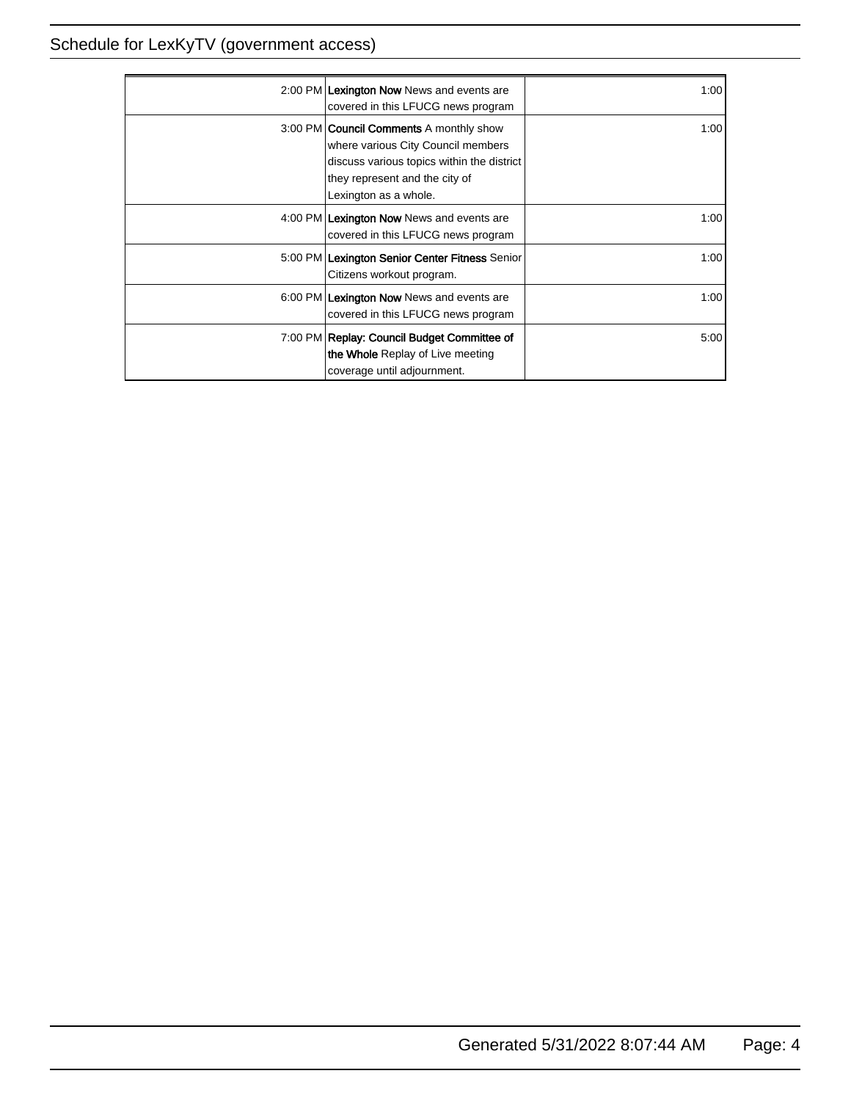| 2:00 PM Lexington Now News and events are<br>covered in this LFUCG news program                                                                                                               | 1:001 |
|-----------------------------------------------------------------------------------------------------------------------------------------------------------------------------------------------|-------|
| 3:00 PM <b>Council Comments</b> A monthly show<br>where various City Council members<br>discuss various topics within the district<br>they represent and the city of<br>Lexington as a whole. | 1:001 |
| 4:00 PM Lexington Now News and events are<br>covered in this LFUCG news program                                                                                                               | 1:001 |
| 5:00 PM Lexington Senior Center Fitness Senior<br>Citizens workout program.                                                                                                                   | 1:00  |
| 6:00 PM Lexington Now News and events are<br>covered in this LFUCG news program                                                                                                               | 1:00  |
| 7:00 PM Replay: Council Budget Committee of<br>the Whole Replay of Live meeting<br>coverage until adjournment.                                                                                | 5:00  |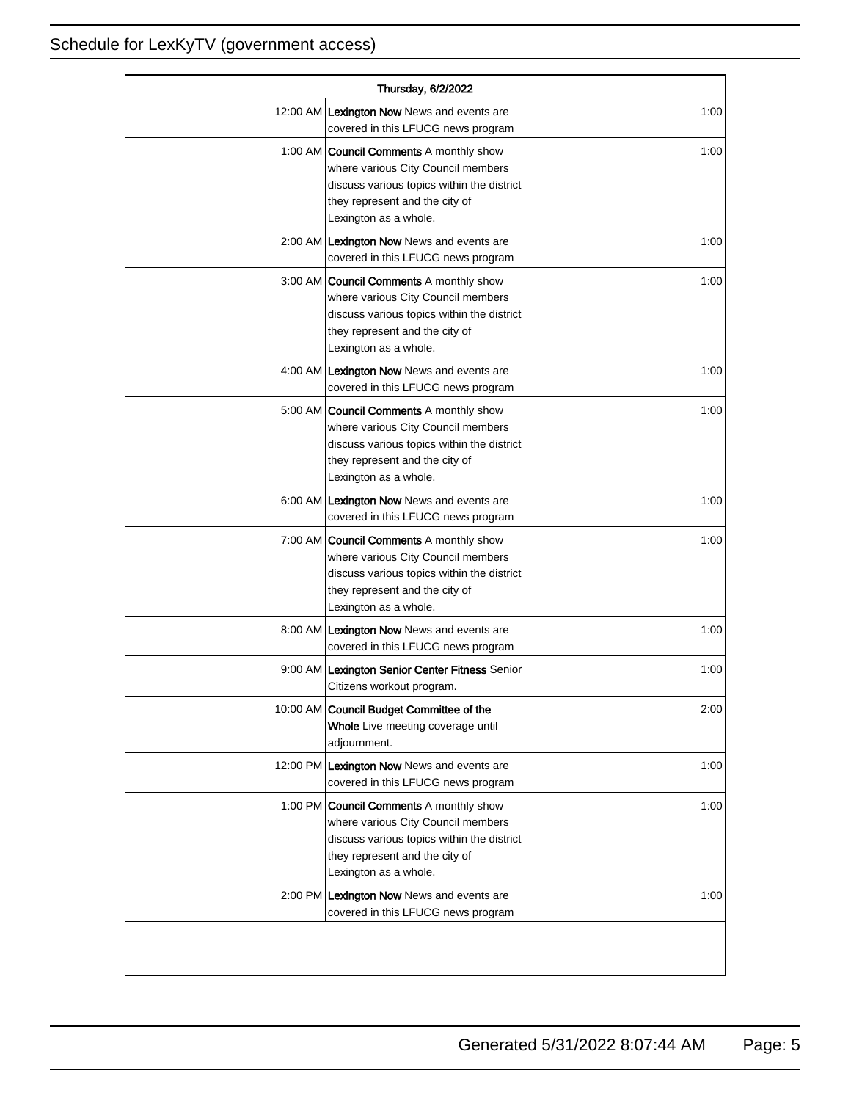| Thursday, 6/2/2022 |                                                                                                                                                                                               |      |
|--------------------|-----------------------------------------------------------------------------------------------------------------------------------------------------------------------------------------------|------|
|                    | 12:00 AM Lexington Now News and events are<br>covered in this LFUCG news program                                                                                                              | 1:00 |
|                    | 1:00 AM <b>Council Comments</b> A monthly show<br>where various City Council members<br>discuss various topics within the district<br>they represent and the city of<br>Lexington as a whole. | 1:00 |
|                    | 2:00 AM Lexington Now News and events are<br>covered in this LFUCG news program                                                                                                               | 1:00 |
|                    | 3:00 AM Council Comments A monthly show<br>where various City Council members<br>discuss various topics within the district<br>they represent and the city of<br>Lexington as a whole.        | 1:00 |
|                    | 4:00 AM Lexington Now News and events are<br>covered in this LFUCG news program                                                                                                               | 1:00 |
|                    | 5:00 AM <b>Council Comments</b> A monthly show<br>where various City Council members<br>discuss various topics within the district<br>they represent and the city of<br>Lexington as a whole. | 1:00 |
|                    | 6:00 AM Lexington Now News and events are<br>covered in this LFUCG news program                                                                                                               | 1:00 |
|                    | 7:00 AM Council Comments A monthly show<br>where various City Council members<br>discuss various topics within the district<br>they represent and the city of<br>Lexington as a whole.        | 1:00 |
|                    | 8:00 AM Lexington Now News and events are<br>covered in this LFUCG news program                                                                                                               | 1:00 |
|                    | 9:00 AM Lexington Senior Center Fitness Senior<br>Citizens workout program.                                                                                                                   | 1:00 |
|                    | 10:00 AM Council Budget Committee of the<br>Whole Live meeting coverage until<br>adjournment.                                                                                                 | 2:00 |
|                    | 12:00 PM Lexington Now News and events are<br>covered in this LFUCG news program                                                                                                              | 1:00 |
|                    | 1:00 PM <b>Council Comments</b> A monthly show<br>where various City Council members<br>discuss various topics within the district<br>they represent and the city of<br>Lexington as a whole. | 1:00 |
|                    | 2:00 PM Lexington Now News and events are<br>covered in this LFUCG news program                                                                                                               | 1:00 |
|                    |                                                                                                                                                                                               |      |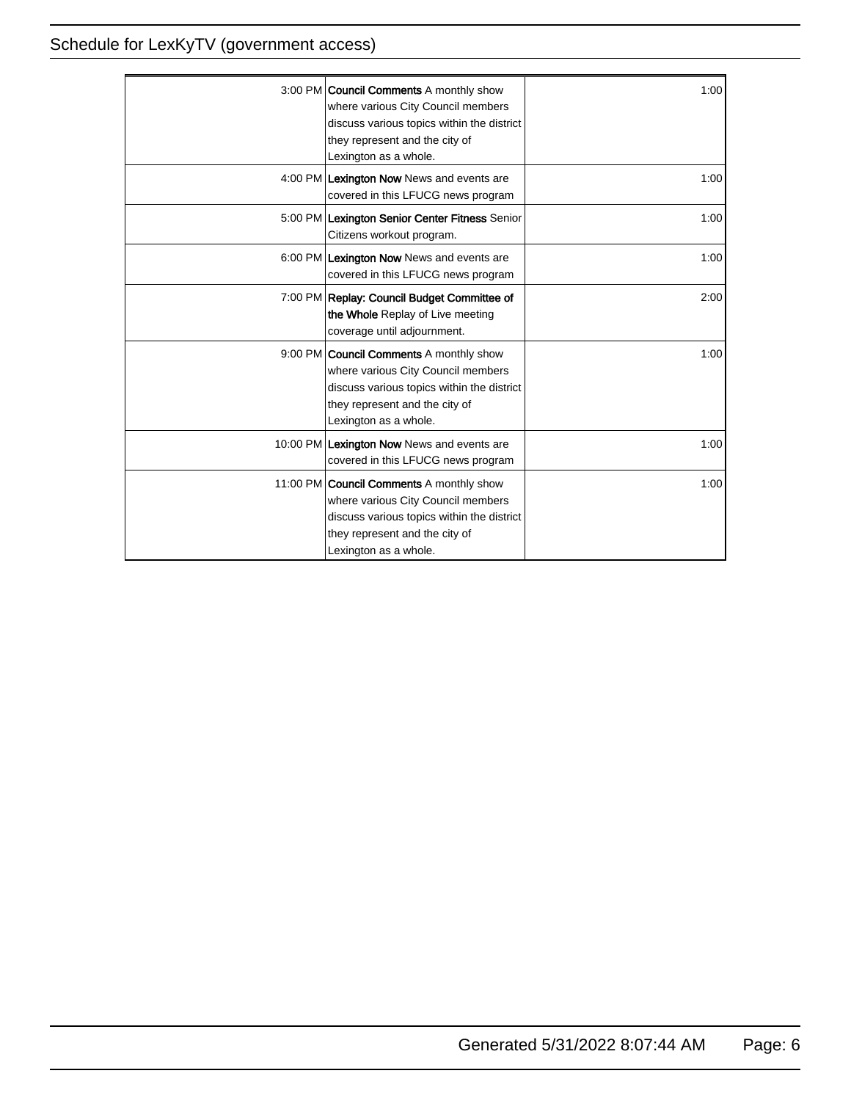| 3:00 PM <b>Council Comments</b> A monthly show<br>where various City Council members<br>discuss various topics within the district<br>they represent and the city of<br>Lexington as a whole.  | 1:00  |
|------------------------------------------------------------------------------------------------------------------------------------------------------------------------------------------------|-------|
| 4:00 PM Lexington Now News and events are<br>covered in this LFUCG news program                                                                                                                | 1:00  |
| 5:00 PM Lexington Senior Center Fitness Senior<br>Citizens workout program.                                                                                                                    | 1:00  |
| 6:00 PM Lexington Now News and events are<br>covered in this LFUCG news program                                                                                                                | 1:00  |
| 7:00 PM Replay: Council Budget Committee of<br>the Whole Replay of Live meeting<br>coverage until adjournment.                                                                                 | 2:00  |
| 9:00 PM <b>Council Comments</b> A monthly show<br>where various City Council members<br>discuss various topics within the district<br>they represent and the city of<br>Lexington as a whole.  | 1:001 |
| 10:00 PM Lexington Now News and events are<br>covered in this LFUCG news program                                                                                                               | 1:001 |
| 11:00 PM <b>Council Comments</b> A monthly show<br>where various City Council members<br>discuss various topics within the district<br>they represent and the city of<br>Lexington as a whole. | 1:00  |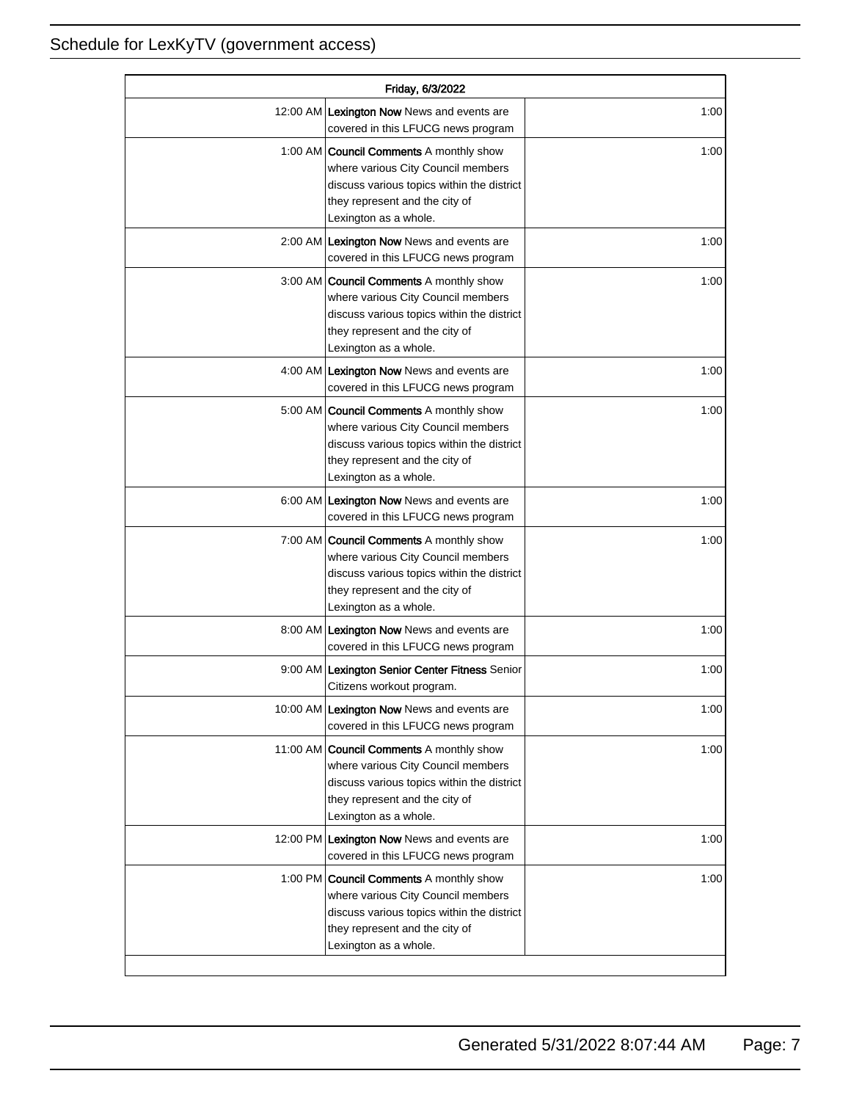| Friday, 6/3/2022 |                                                                                                                                                                                               |      |
|------------------|-----------------------------------------------------------------------------------------------------------------------------------------------------------------------------------------------|------|
|                  | 12:00 AM Lexington Now News and events are<br>covered in this LFUCG news program                                                                                                              | 1:00 |
|                  | 1:00 AM <b>Council Comments</b> A monthly show<br>where various City Council members<br>discuss various topics within the district<br>they represent and the city of<br>Lexington as a whole. | 1:00 |
|                  | 2:00 AM Lexington Now News and events are<br>covered in this LFUCG news program                                                                                                               | 1:00 |
|                  | 3:00 AM   Council Comments A monthly show<br>where various City Council members<br>discuss various topics within the district<br>they represent and the city of<br>Lexington as a whole.      | 1:00 |
|                  | 4:00 AM Lexington Now News and events are<br>covered in this LFUCG news program                                                                                                               | 1:00 |
|                  | 5:00 AM <b>Council Comments</b> A monthly show<br>where various City Council members<br>discuss various topics within the district<br>they represent and the city of<br>Lexington as a whole. | 1:00 |
|                  | 6:00 AM Lexington Now News and events are<br>covered in this LFUCG news program                                                                                                               | 1:00 |
|                  | 7:00 AM <b>Council Comments</b> A monthly show<br>where various City Council members<br>discuss various topics within the district<br>they represent and the city of<br>Lexington as a whole. | 1:00 |
|                  | 8:00 AM Lexington Now News and events are<br>covered in this LFUCG news program                                                                                                               | 1:00 |
|                  | 9:00 AM Lexington Senior Center Fitness Senior<br>Citizens workout program.                                                                                                                   | 1:00 |
|                  | 10:00 AM Lexington Now News and events are<br>covered in this LFUCG news program                                                                                                              | 1:00 |
|                  | 11:00 AM Council Comments A monthly show<br>where various City Council members<br>discuss various topics within the district<br>they represent and the city of<br>Lexington as a whole.       | 1:00 |
|                  | 12:00 PM Lexington Now News and events are<br>covered in this LFUCG news program                                                                                                              | 1:00 |
|                  | 1:00 PM <b>Council Comments</b> A monthly show<br>where various City Council members<br>discuss various topics within the district<br>they represent and the city of<br>Lexington as a whole. | 1:00 |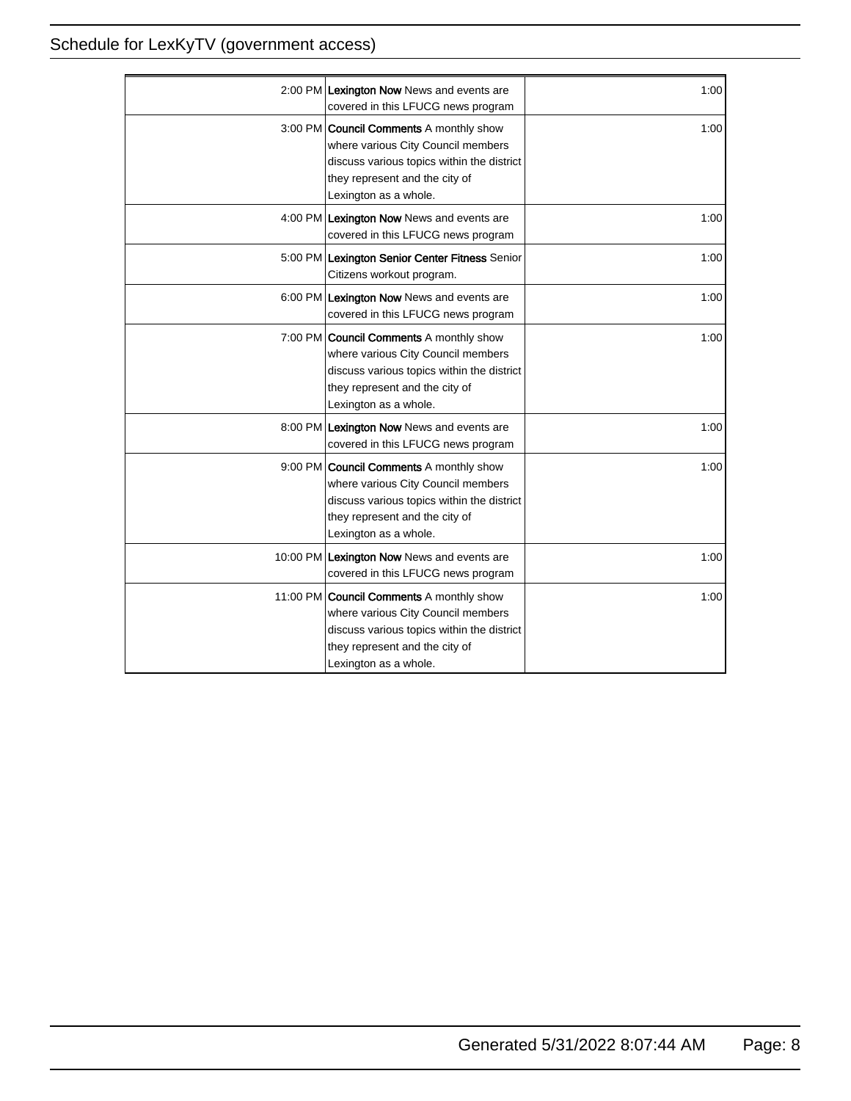| 2:00 PM Lexington Now News and events are<br>covered in this LFUCG news program                                                                                                                | 1:00 |
|------------------------------------------------------------------------------------------------------------------------------------------------------------------------------------------------|------|
| 3:00 PM <b>Council Comments</b> A monthly show<br>where various City Council members<br>discuss various topics within the district<br>they represent and the city of<br>Lexington as a whole.  | 1:00 |
| 4:00 PM Lexington Now News and events are<br>covered in this LFUCG news program                                                                                                                | 1:00 |
| 5:00 PM Lexington Senior Center Fitness Senior<br>Citizens workout program.                                                                                                                    | 1:00 |
| 6:00 PM Lexington Now News and events are<br>covered in this LFUCG news program                                                                                                                | 1:00 |
| 7:00 PM <b>Council Comments</b> A monthly show<br>where various City Council members<br>discuss various topics within the district<br>they represent and the city of<br>Lexington as a whole.  | 1:00 |
| 8:00 PM Lexington Now News and events are<br>covered in this LFUCG news program                                                                                                                | 1:00 |
| 9:00 PM Council Comments A monthly show<br>where various City Council members<br>discuss various topics within the district<br>they represent and the city of<br>Lexington as a whole.         | 1:00 |
| 10:00 PM Lexington Now News and events are<br>covered in this LFUCG news program                                                                                                               | 1:00 |
| 11:00 PM <b>Council Comments</b> A monthly show<br>where various City Council members<br>discuss various topics within the district<br>they represent and the city of<br>Lexington as a whole. | 1:00 |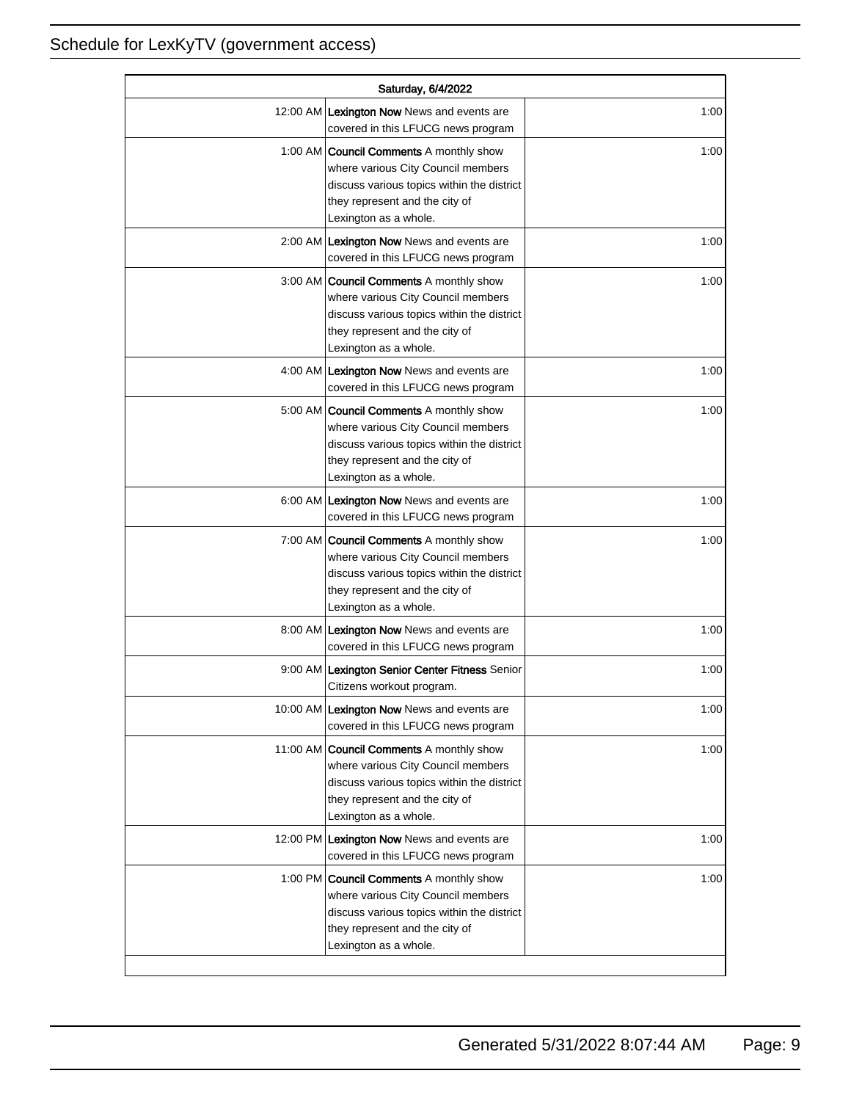| Saturday, 6/4/2022 |                                                                                                                                                                                               |      |
|--------------------|-----------------------------------------------------------------------------------------------------------------------------------------------------------------------------------------------|------|
|                    | 12:00 AM Lexington Now News and events are<br>covered in this LFUCG news program                                                                                                              | 1:00 |
|                    | 1:00 AM <b>Council Comments</b> A monthly show<br>where various City Council members<br>discuss various topics within the district<br>they represent and the city of<br>Lexington as a whole. | 1:00 |
|                    | 2:00 AM Lexington Now News and events are<br>covered in this LFUCG news program                                                                                                               | 1:00 |
|                    | 3:00 AM Council Comments A monthly show<br>where various City Council members<br>discuss various topics within the district<br>they represent and the city of<br>Lexington as a whole.        | 1:00 |
|                    | 4:00 AM Lexington Now News and events are<br>covered in this LFUCG news program                                                                                                               | 1:00 |
|                    | 5:00 AM   Council Comments A monthly show<br>where various City Council members<br>discuss various topics within the district<br>they represent and the city of<br>Lexington as a whole.      | 1:00 |
|                    | 6:00 AM Lexington Now News and events are<br>covered in this LFUCG news program                                                                                                               | 1:00 |
|                    | 7:00 AM Council Comments A monthly show<br>where various City Council members<br>discuss various topics within the district<br>they represent and the city of<br>Lexington as a whole.        | 1:00 |
|                    | 8:00 AM Lexington Now News and events are<br>covered in this LFUCG news program                                                                                                               | 1:00 |
|                    | 9:00 AM Lexington Senior Center Fitness Senior<br>Citizens workout program.                                                                                                                   | 1:00 |
|                    | 10:00 AM Lexington Now News and events are<br>covered in this LFUCG news program                                                                                                              | 1:00 |
|                    | 11:00 AM Council Comments A monthly show<br>where various City Council members<br>discuss various topics within the district<br>they represent and the city of<br>Lexington as a whole.       | 1:00 |
|                    | 12:00 PM Lexington Now News and events are<br>covered in this LFUCG news program                                                                                                              | 1:00 |
|                    | 1:00 PM Council Comments A monthly show<br>where various City Council members<br>discuss various topics within the district<br>they represent and the city of<br>Lexington as a whole.        | 1:00 |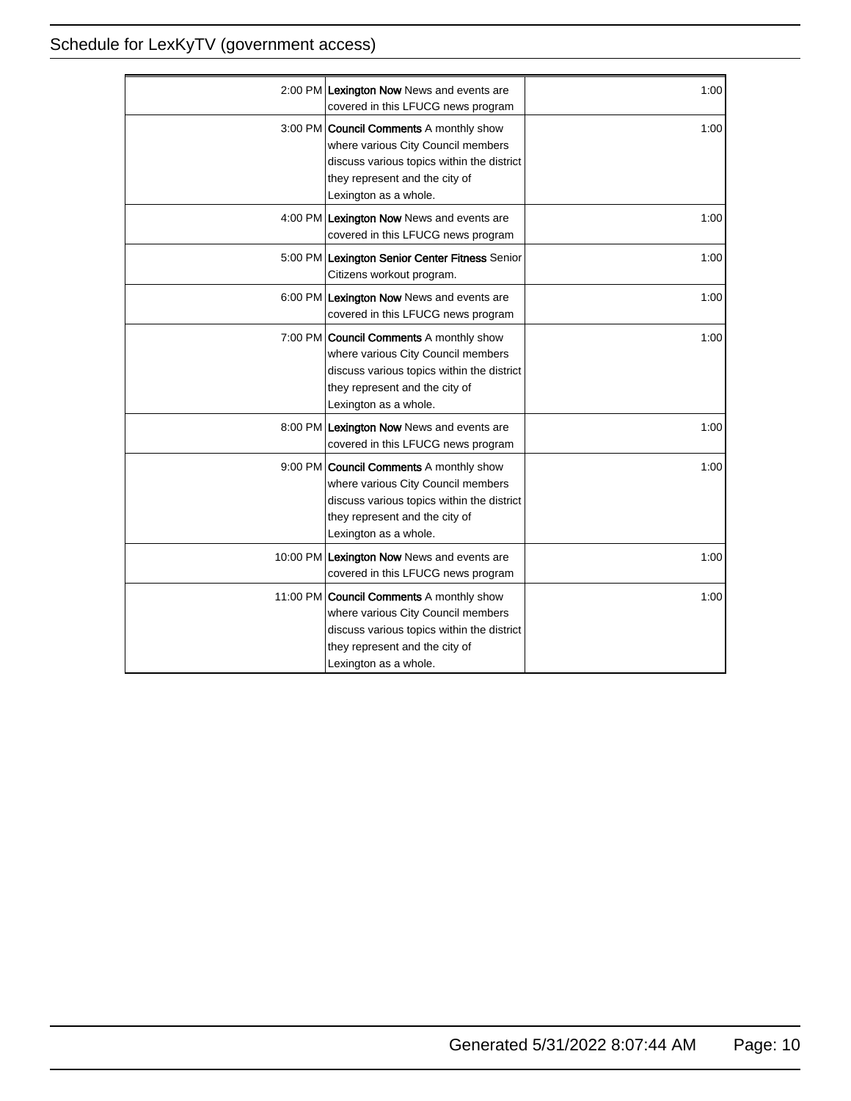| 2:00 PM Lexington Now News and events are<br>covered in this LFUCG news program                                                                                                               | 1:00 |
|-----------------------------------------------------------------------------------------------------------------------------------------------------------------------------------------------|------|
| 3:00 PM <b>Council Comments</b> A monthly show<br>where various City Council members<br>discuss various topics within the district<br>they represent and the city of<br>Lexington as a whole. | 1:00 |
| 4:00 PM Lexington Now News and events are<br>covered in this LFUCG news program                                                                                                               | 1:00 |
| 5:00 PM Lexington Senior Center Fitness Senior<br>Citizens workout program.                                                                                                                   | 1:00 |
| 6:00 PM Lexington Now News and events are<br>covered in this LFUCG news program                                                                                                               | 1:00 |
| 7:00 PM <b>Council Comments</b> A monthly show<br>where various City Council members<br>discuss various topics within the district<br>they represent and the city of<br>Lexington as a whole. | 1:00 |
| 8:00 PM Lexington Now News and events are<br>covered in this LFUCG news program                                                                                                               | 1:00 |
| 9:00 PM Council Comments A monthly show<br>where various City Council members<br>discuss various topics within the district<br>they represent and the city of<br>Lexington as a whole.        | 1:00 |
| 10:00 PM Lexington Now News and events are<br>covered in this LFUCG news program                                                                                                              | 1:00 |
| 11:00 PM Council Comments A monthly show<br>where various City Council members<br>discuss various topics within the district<br>they represent and the city of<br>Lexington as a whole.       | 1:00 |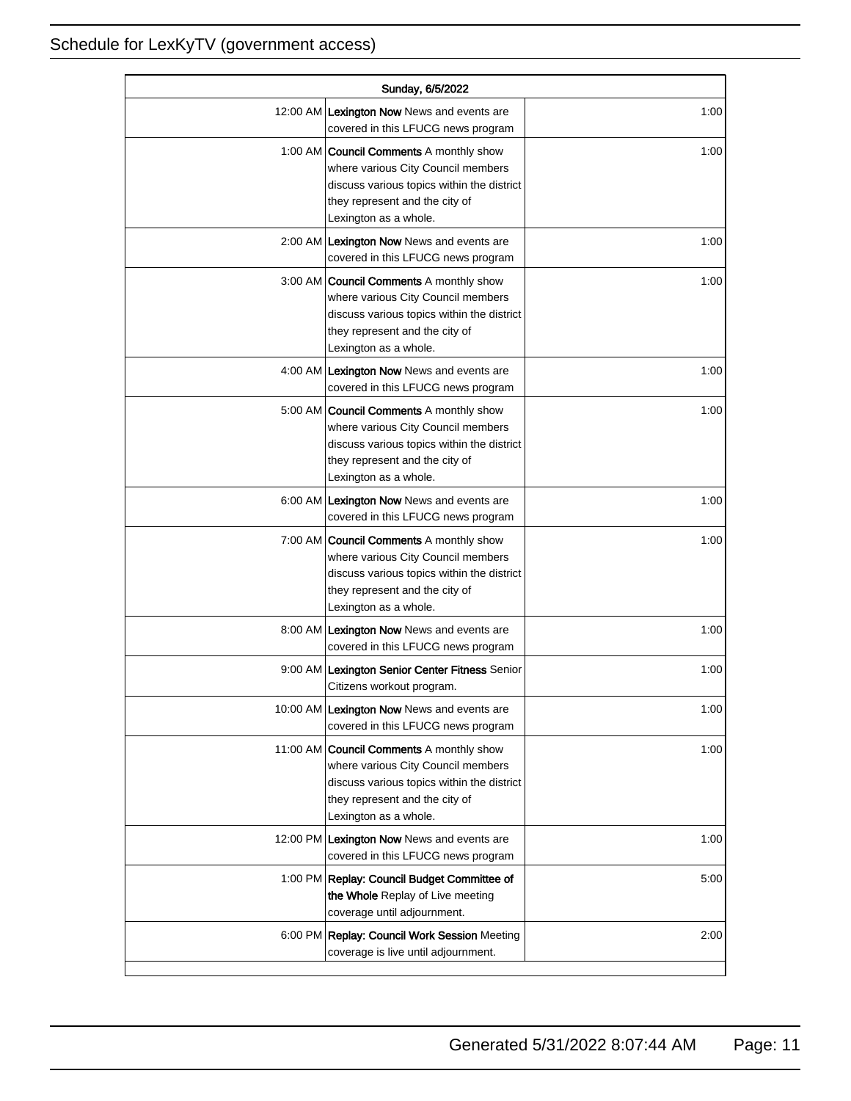| Sunday, 6/5/2022 |                                                                                                                                                                                               |      |
|------------------|-----------------------------------------------------------------------------------------------------------------------------------------------------------------------------------------------|------|
|                  | 12:00 AM Lexington Now News and events are<br>covered in this LFUCG news program                                                                                                              | 1:00 |
|                  | 1:00 AM <b>Council Comments</b> A monthly show<br>where various City Council members<br>discuss various topics within the district<br>they represent and the city of<br>Lexington as a whole. | 1:00 |
|                  | 2:00 AM Lexington Now News and events are<br>covered in this LFUCG news program                                                                                                               | 1:00 |
|                  | 3:00 AM   Council Comments A monthly show<br>where various City Council members<br>discuss various topics within the district<br>they represent and the city of<br>Lexington as a whole.      | 1:00 |
|                  | 4:00 AM Lexington Now News and events are<br>covered in this LFUCG news program                                                                                                               | 1:00 |
|                  | 5:00 AM <b>Council Comments</b> A monthly show<br>where various City Council members<br>discuss various topics within the district<br>they represent and the city of<br>Lexington as a whole. | 1:00 |
|                  | 6:00 AM Lexington Now News and events are<br>covered in this LFUCG news program                                                                                                               | 1:00 |
|                  | 7:00 AM <b>Council Comments</b> A monthly show<br>where various City Council members<br>discuss various topics within the district<br>they represent and the city of<br>Lexington as a whole. | 1:00 |
|                  | 8:00 AM Lexington Now News and events are<br>covered in this LFUCG news program                                                                                                               | 1:00 |
|                  | 9:00 AM Lexington Senior Center Fitness Senior<br>Citizens workout program.                                                                                                                   | 1:00 |
|                  | 10:00 AM Lexington Now News and events are<br>covered in this LFUCG news program                                                                                                              | 1:00 |
|                  | 11:00 AM Council Comments A monthly show<br>where various City Council members<br>discuss various topics within the district<br>they represent and the city of<br>Lexington as a whole.       | 1:00 |
|                  | 12:00 PM Lexington Now News and events are<br>covered in this LFUCG news program                                                                                                              | 1:00 |
|                  | 1:00 PM Replay: Council Budget Committee of<br>the Whole Replay of Live meeting<br>coverage until adjournment.                                                                                | 5:00 |
|                  | 6:00 PM Replay: Council Work Session Meeting<br>coverage is live until adjournment.                                                                                                           | 2:00 |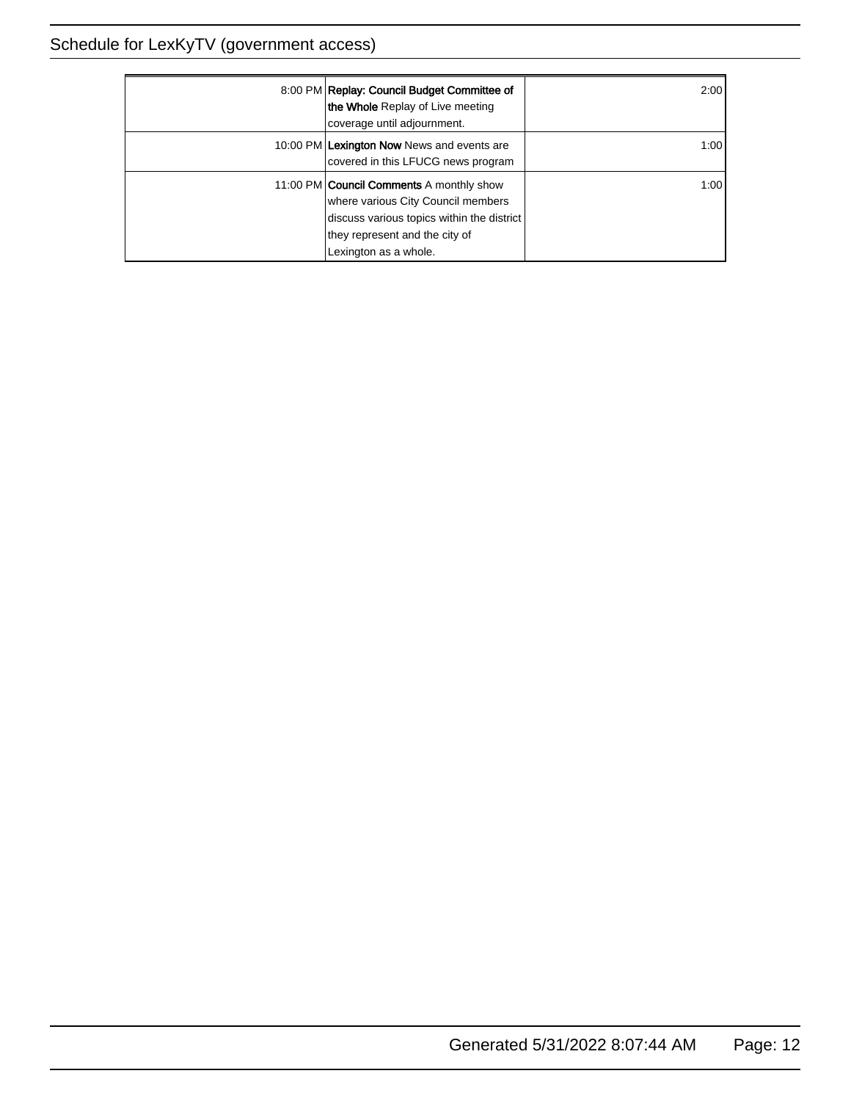| 8:00 PM Replay: Council Budget Committee of<br>the Whole Replay of Live meeting<br>coverage until adjournment.                                                                                 | 2:00  |
|------------------------------------------------------------------------------------------------------------------------------------------------------------------------------------------------|-------|
| 10:00 PM Lexington Now News and events are<br>covered in this LFUCG news program                                                                                                               | 1:001 |
| 11:00 PM <b>Council Comments</b> A monthly show<br>where various City Council members<br>discuss various topics within the district<br>they represent and the city of<br>Lexington as a whole. | 1:001 |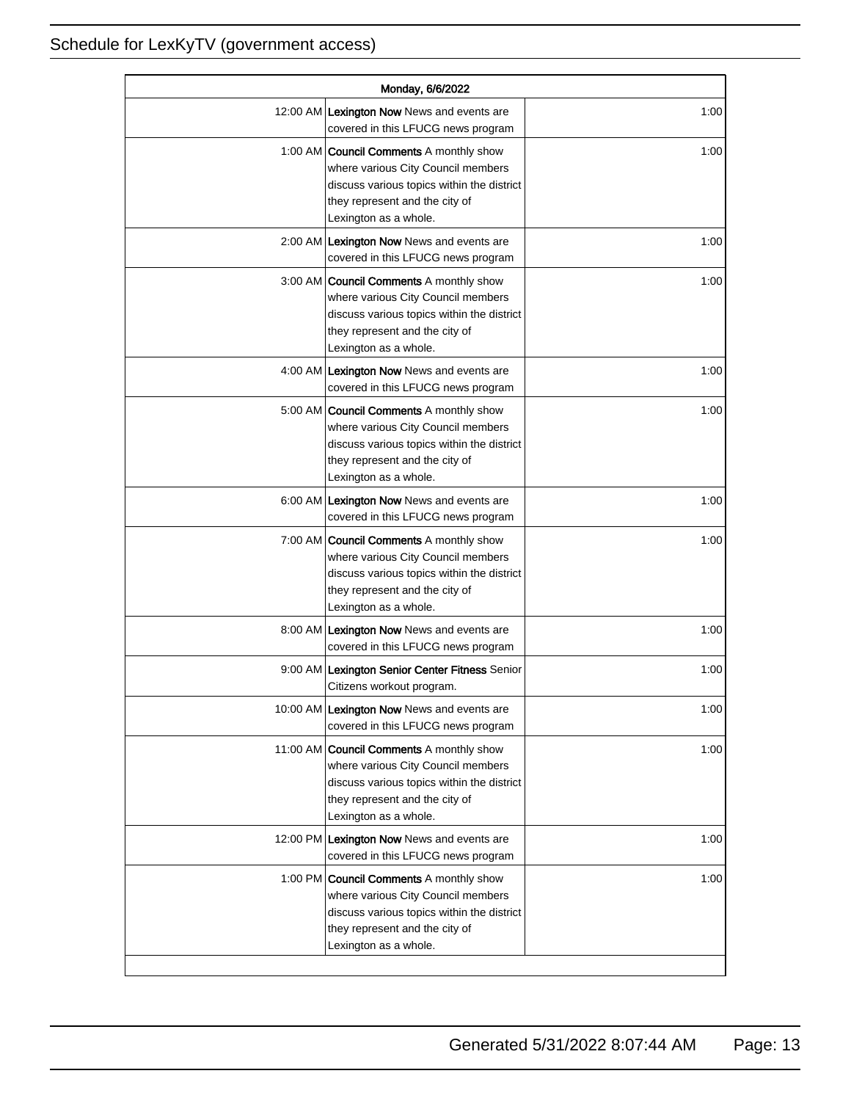| Monday, 6/6/2022 |                                                                                                                                                                                               |      |
|------------------|-----------------------------------------------------------------------------------------------------------------------------------------------------------------------------------------------|------|
|                  | 12:00 AM Lexington Now News and events are<br>covered in this LFUCG news program                                                                                                              | 1:00 |
|                  | 1:00 AM <b>Council Comments</b> A monthly show<br>where various City Council members<br>discuss various topics within the district<br>they represent and the city of<br>Lexington as a whole. | 1:00 |
|                  | 2:00 AM Lexington Now News and events are<br>covered in this LFUCG news program                                                                                                               | 1:00 |
|                  | 3:00 AM Council Comments A monthly show<br>where various City Council members<br>discuss various topics within the district<br>they represent and the city of<br>Lexington as a whole.        | 1:00 |
|                  | 4:00 AM Lexington Now News and events are<br>covered in this LFUCG news program                                                                                                               | 1:00 |
|                  | 5:00 AM   Council Comments A monthly show<br>where various City Council members<br>discuss various topics within the district<br>they represent and the city of<br>Lexington as a whole.      | 1:00 |
|                  | 6:00 AM Lexington Now News and events are<br>covered in this LFUCG news program                                                                                                               | 1:00 |
|                  | 7:00 AM Council Comments A monthly show<br>where various City Council members<br>discuss various topics within the district<br>they represent and the city of<br>Lexington as a whole.        | 1:00 |
|                  | 8:00 AM Lexington Now News and events are<br>covered in this LFUCG news program                                                                                                               | 1:00 |
|                  | 9:00 AM Lexington Senior Center Fitness Senior<br>Citizens workout program.                                                                                                                   | 1:00 |
|                  | 10:00 AM Lexington Now News and events are<br>covered in this LFUCG news program                                                                                                              | 1:00 |
|                  | 11:00 AM Council Comments A monthly show<br>where various City Council members<br>discuss various topics within the district<br>they represent and the city of<br>Lexington as a whole.       | 1:00 |
|                  | 12:00 PM Lexington Now News and events are<br>covered in this LFUCG news program                                                                                                              | 1:00 |
|                  | 1:00 PM Council Comments A monthly show<br>where various City Council members<br>discuss various topics within the district<br>they represent and the city of<br>Lexington as a whole.        | 1:00 |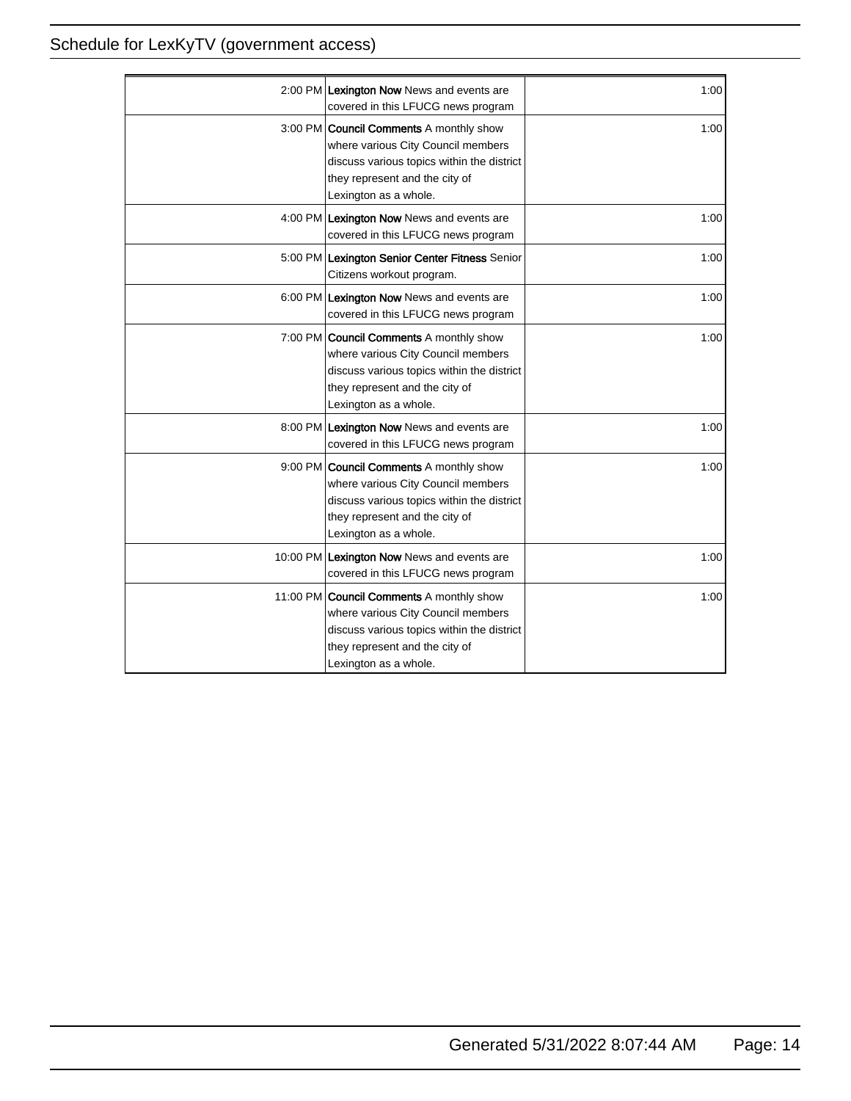| 2:00 PM Lexington Now News and events are<br>covered in this LFUCG news program                                                                                                                | 1:00 |
|------------------------------------------------------------------------------------------------------------------------------------------------------------------------------------------------|------|
| 3:00 PM <b>Council Comments</b> A monthly show<br>where various City Council members<br>discuss various topics within the district<br>they represent and the city of<br>Lexington as a whole.  | 1:00 |
| 4:00 PM Lexington Now News and events are<br>covered in this LFUCG news program                                                                                                                | 1:00 |
| 5:00 PM Lexington Senior Center Fitness Senior<br>Citizens workout program.                                                                                                                    | 1:00 |
| 6:00 PM Lexington Now News and events are<br>covered in this LFUCG news program                                                                                                                | 1:00 |
| 7:00 PM <b>Council Comments</b> A monthly show<br>where various City Council members<br>discuss various topics within the district<br>they represent and the city of<br>Lexington as a whole.  | 1:00 |
| 8:00 PM Lexington Now News and events are<br>covered in this LFUCG news program                                                                                                                | 1:00 |
| 9:00 PM Council Comments A monthly show<br>where various City Council members<br>discuss various topics within the district<br>they represent and the city of<br>Lexington as a whole.         | 1:00 |
| 10:00 PM Lexington Now News and events are<br>covered in this LFUCG news program                                                                                                               | 1:00 |
| 11:00 PM <b>Council Comments</b> A monthly show<br>where various City Council members<br>discuss various topics within the district<br>they represent and the city of<br>Lexington as a whole. | 1:00 |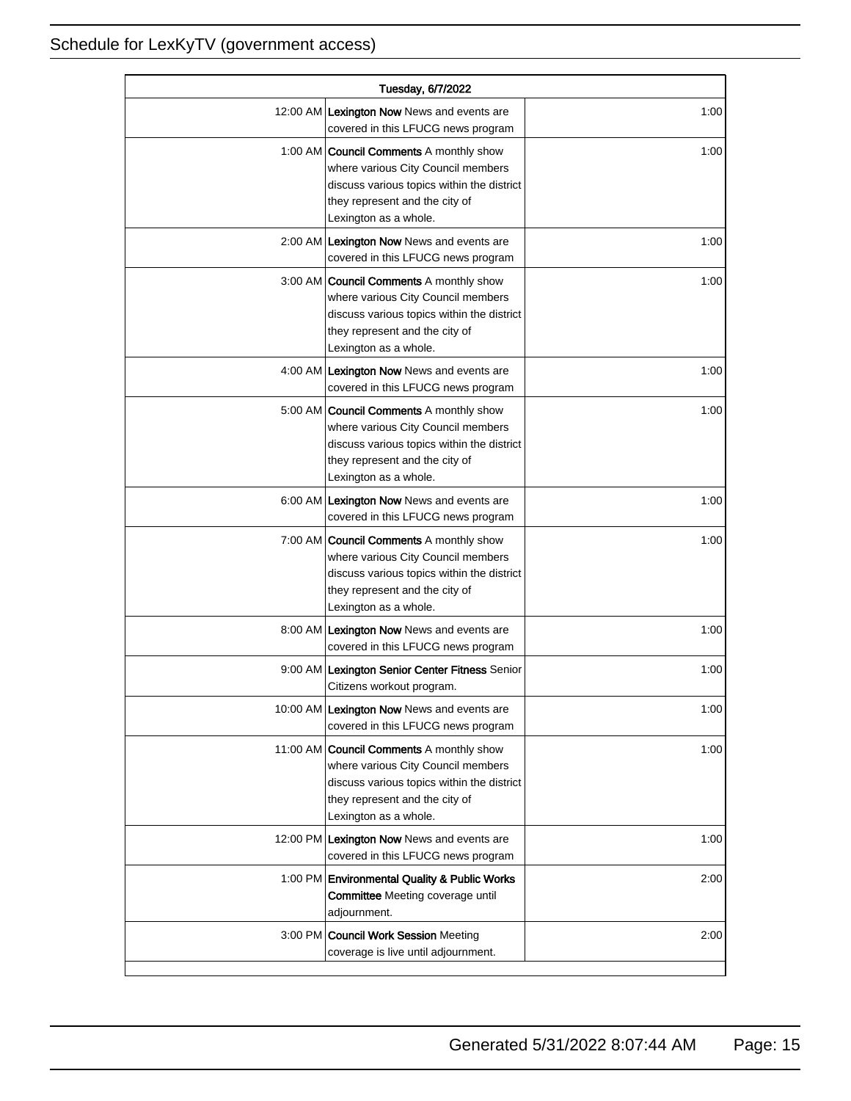| Tuesday, 6/7/2022 |                                                                                                                                                                                               |      |
|-------------------|-----------------------------------------------------------------------------------------------------------------------------------------------------------------------------------------------|------|
|                   | 12:00 AM Lexington Now News and events are<br>covered in this LFUCG news program                                                                                                              | 1:00 |
|                   | 1:00 AM <b>Council Comments</b> A monthly show<br>where various City Council members<br>discuss various topics within the district<br>they represent and the city of<br>Lexington as a whole. | 1:00 |
|                   | 2:00 AM Lexington Now News and events are<br>covered in this LFUCG news program                                                                                                               | 1:00 |
|                   | 3:00 AM   Council Comments A monthly show<br>where various City Council members<br>discuss various topics within the district<br>they represent and the city of<br>Lexington as a whole.      | 1:00 |
|                   | 4:00 AM Lexington Now News and events are<br>covered in this LFUCG news program                                                                                                               | 1:00 |
|                   | 5:00 AM <b>Council Comments</b> A monthly show<br>where various City Council members<br>discuss various topics within the district<br>they represent and the city of<br>Lexington as a whole. | 1:00 |
|                   | 6:00 AM Lexington Now News and events are<br>covered in this LFUCG news program                                                                                                               | 1:00 |
|                   | 7:00 AM <b>Council Comments</b> A monthly show<br>where various City Council members<br>discuss various topics within the district<br>they represent and the city of<br>Lexington as a whole. | 1:00 |
|                   | 8:00 AM Lexington Now News and events are<br>covered in this LFUCG news program                                                                                                               | 1:00 |
|                   | 9:00 AM Lexington Senior Center Fitness Senior<br>Citizens workout program.                                                                                                                   | 1:00 |
|                   | 10:00 AM Lexington Now News and events are<br>covered in this LFUCG news program                                                                                                              | 1:00 |
|                   | 11:00 AM Council Comments A monthly show<br>where various City Council members<br>discuss various topics within the district<br>they represent and the city of<br>Lexington as a whole.       | 1:00 |
|                   | 12:00 PM Lexington Now News and events are<br>covered in this LFUCG news program                                                                                                              | 1:00 |
|                   | 1:00 PM Environmental Quality & Public Works<br><b>Committee</b> Meeting coverage until<br>adjournment.                                                                                       | 2:00 |
|                   | 3:00 PM Council Work Session Meeting<br>coverage is live until adjournment.                                                                                                                   | 2:00 |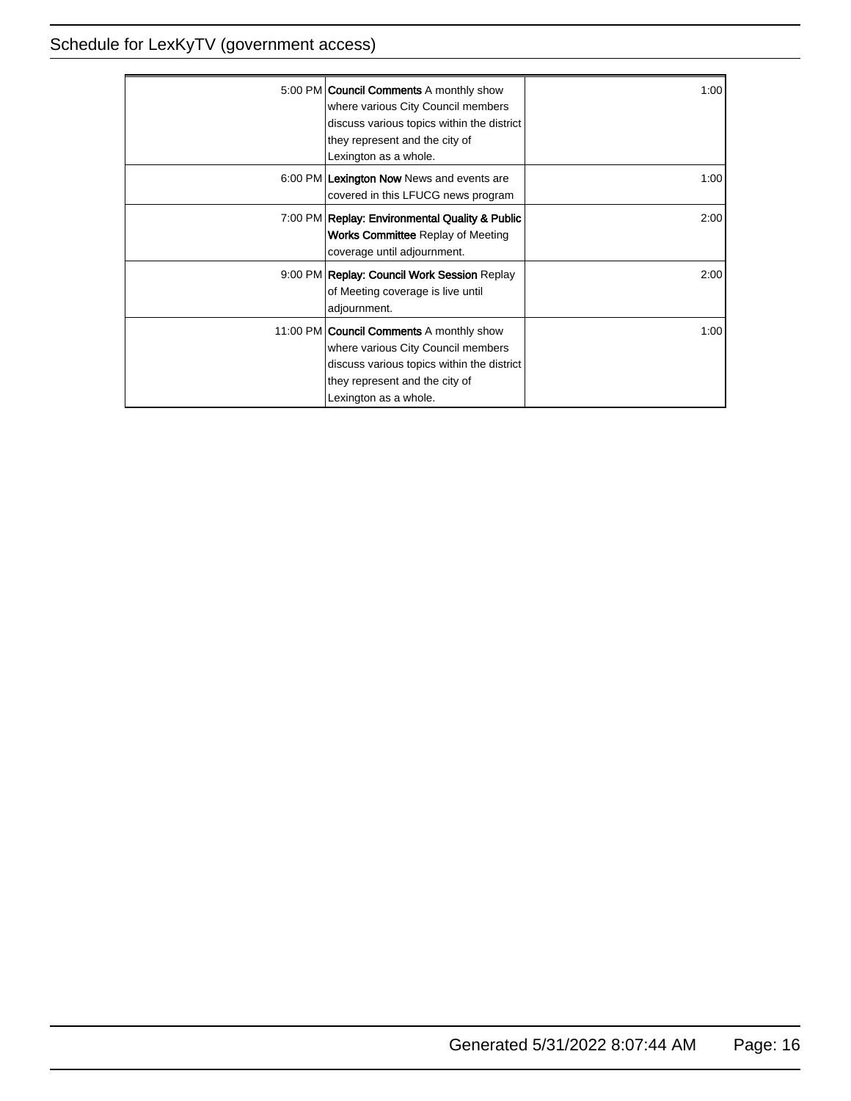| 5:00 PM <b>Council Comments</b> A monthly show<br>where various City Council members<br>discuss various topics within the district<br>they represent and the city of<br>Lexington as a whole.  | 1:00 |
|------------------------------------------------------------------------------------------------------------------------------------------------------------------------------------------------|------|
| 6:00 PM Lexington Now News and events are<br>covered in this LFUCG news program                                                                                                                | 1:00 |
| 7:00 PM Replay: Environmental Quality & Public<br><b>Works Committee Replay of Meeting</b><br>coverage until adjournment.                                                                      | 2:00 |
| 9:00 PM Replay: Council Work Session Replay<br>of Meeting coverage is live until<br>adjournment.                                                                                               | 2:00 |
| 11:00 PM <b>Council Comments</b> A monthly show<br>where various City Council members<br>discuss various topics within the district<br>they represent and the city of<br>Lexington as a whole. | 1:00 |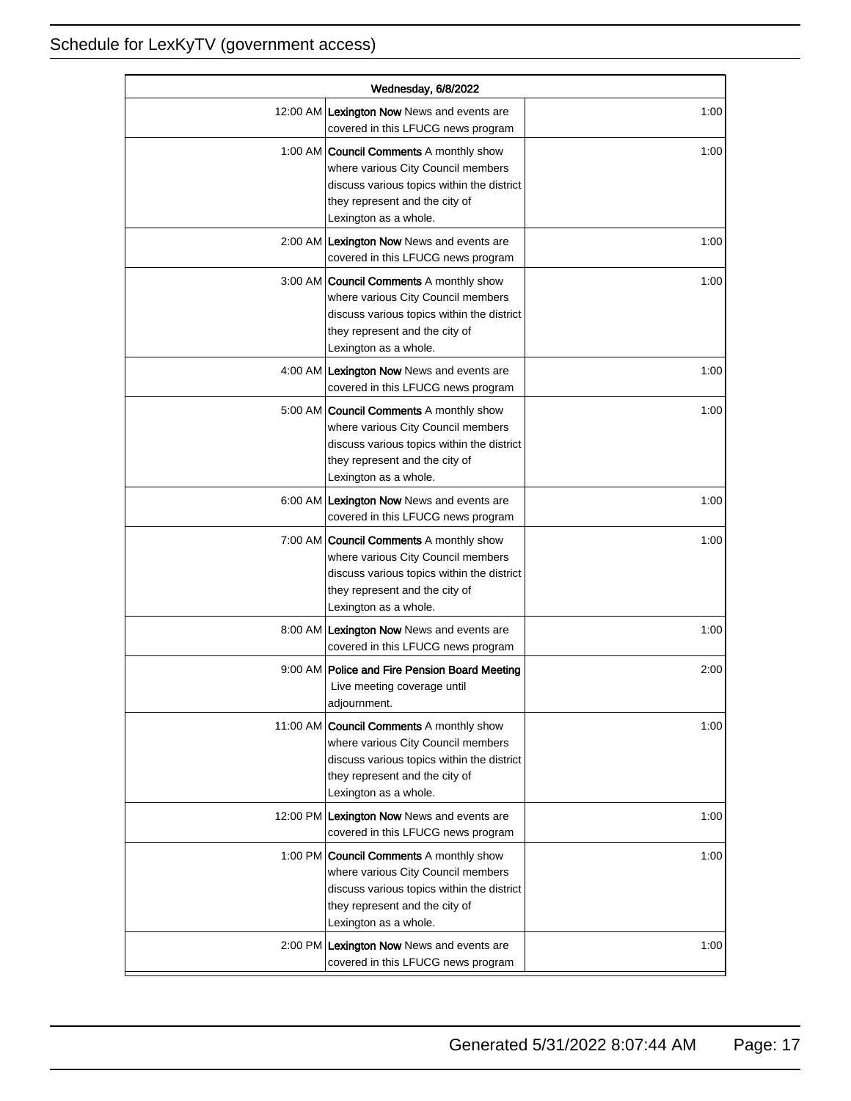| Wednesday, 6/8/2022 |                                                                                                                                                                                               |      |
|---------------------|-----------------------------------------------------------------------------------------------------------------------------------------------------------------------------------------------|------|
|                     | 12:00 AM Lexington Now News and events are<br>covered in this LFUCG news program                                                                                                              | 1:00 |
|                     | 1:00 AM <b>Council Comments</b> A monthly show<br>where various City Council members<br>discuss various topics within the district<br>they represent and the city of<br>Lexington as a whole. | 1:00 |
|                     | 2:00 AM Lexington Now News and events are<br>covered in this LFUCG news program                                                                                                               | 1:00 |
|                     | 3:00 AM Council Comments A monthly show<br>where various City Council members<br>discuss various topics within the district<br>they represent and the city of<br>Lexington as a whole.        | 1:00 |
|                     | 4:00 AM Lexington Now News and events are<br>covered in this LFUCG news program                                                                                                               | 1:00 |
|                     | 5:00 AM <b>Council Comments</b> A monthly show<br>where various City Council members<br>discuss various topics within the district<br>they represent and the city of<br>Lexington as a whole. | 1:00 |
|                     | 6:00 AM Lexington Now News and events are<br>covered in this LFUCG news program                                                                                                               | 1:00 |
|                     | 7:00 AM Council Comments A monthly show<br>where various City Council members<br>discuss various topics within the district<br>they represent and the city of<br>Lexington as a whole.        | 1:00 |
|                     | 8:00 AM Lexington Now News and events are<br>covered in this LFUCG news program                                                                                                               | 1:00 |
|                     | 9:00 AM   Police and Fire Pension Board Meeting<br>Live meeting coverage until<br>adjournment.                                                                                                | 2:00 |
|                     | 11:00 AM Council Comments A monthly show<br>where various City Council members<br>discuss various topics within the district<br>they represent and the city of<br>Lexington as a whole.       | 1:00 |
|                     | 12:00 PM Lexington Now News and events are<br>covered in this LFUCG news program                                                                                                              | 1:00 |
|                     | 1:00 PM <b>Council Comments</b> A monthly show<br>where various City Council members<br>discuss various topics within the district<br>they represent and the city of<br>Lexington as a whole. | 1:00 |
|                     | 2:00 PM Lexington Now News and events are<br>covered in this LFUCG news program                                                                                                               | 1:00 |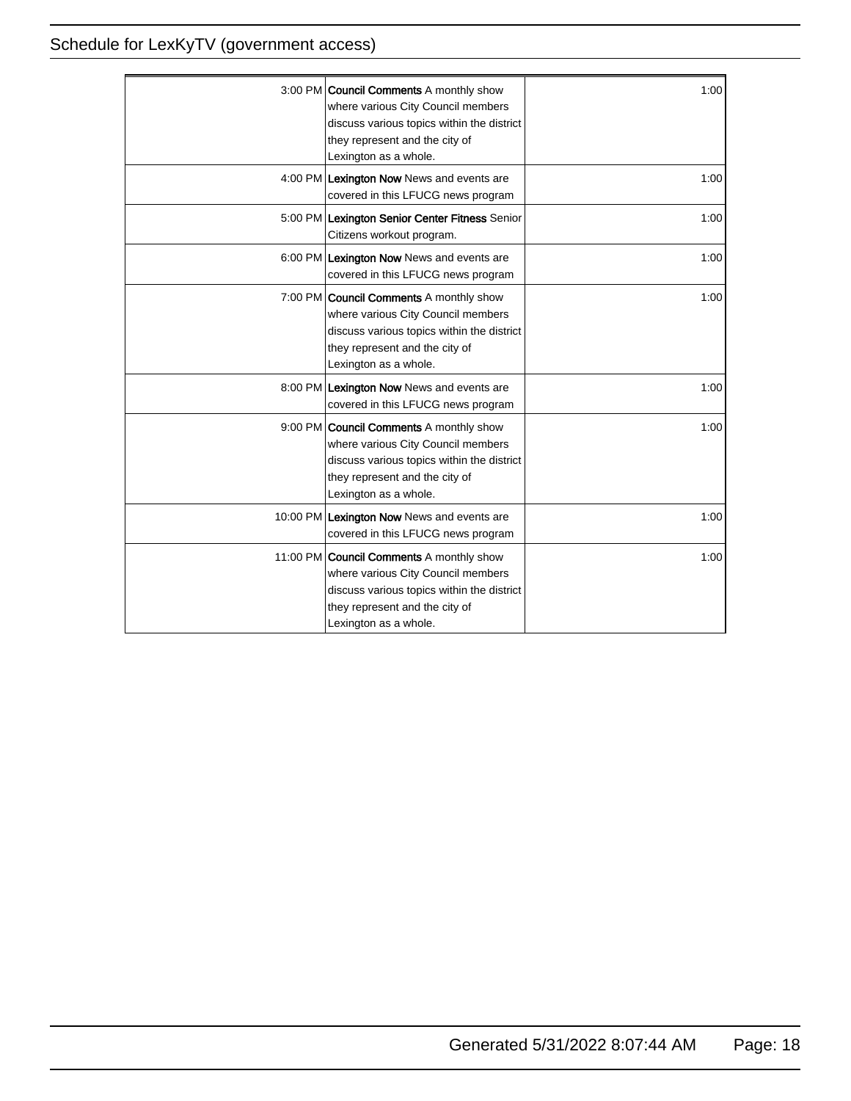| 3:00 PM Council Comments A monthly show<br>where various City Council members<br>discuss various topics within the district<br>they represent and the city of<br>Lexington as a whole.        | 1:00 |
|-----------------------------------------------------------------------------------------------------------------------------------------------------------------------------------------------|------|
| 4:00 PM Lexington Now News and events are<br>covered in this LFUCG news program                                                                                                               | 1:00 |
| 5:00 PM Lexington Senior Center Fitness Senior<br>Citizens workout program.                                                                                                                   | 1:00 |
| 6:00 PM Lexington Now News and events are<br>covered in this LFUCG news program                                                                                                               | 1:00 |
| 7:00 PM <b>Council Comments</b> A monthly show<br>where various City Council members<br>discuss various topics within the district<br>they represent and the city of<br>Lexington as a whole. | 1:00 |
| 8:00 PM Lexington Now News and events are<br>covered in this LFUCG news program                                                                                                               | 1:00 |
| 9:00 PM Council Comments A monthly show<br>where various City Council members<br>discuss various topics within the district<br>they represent and the city of<br>Lexington as a whole.        | 1:00 |
| 10:00 PM Lexington Now News and events are<br>covered in this LFUCG news program                                                                                                              | 1:00 |
| 11:00 PM Council Comments A monthly show<br>where various City Council members<br>discuss various topics within the district<br>they represent and the city of<br>Lexington as a whole.       | 1:00 |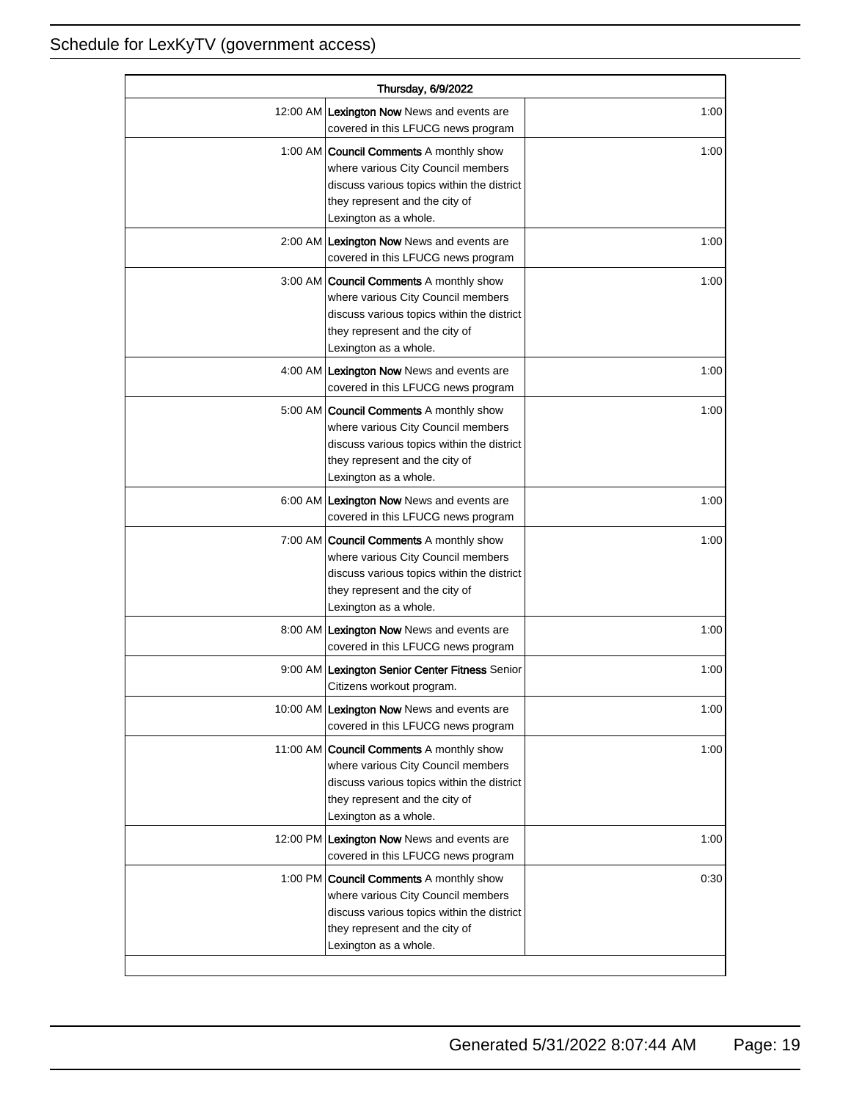| Thursday, 6/9/2022 |                                                                                                                                                                                               |      |
|--------------------|-----------------------------------------------------------------------------------------------------------------------------------------------------------------------------------------------|------|
|                    | 12:00 AM Lexington Now News and events are<br>covered in this LFUCG news program                                                                                                              | 1:00 |
|                    | 1:00 AM <b>Council Comments</b> A monthly show<br>where various City Council members<br>discuss various topics within the district<br>they represent and the city of<br>Lexington as a whole. | 1:00 |
|                    | 2:00 AM Lexington Now News and events are<br>covered in this LFUCG news program                                                                                                               | 1:00 |
|                    | 3:00 AM Council Comments A monthly show<br>where various City Council members<br>discuss various topics within the district<br>they represent and the city of<br>Lexington as a whole.        | 1:00 |
|                    | 4:00 AM Lexington Now News and events are<br>covered in this LFUCG news program                                                                                                               | 1:00 |
|                    | 5:00 AM   Council Comments A monthly show<br>where various City Council members<br>discuss various topics within the district<br>they represent and the city of<br>Lexington as a whole.      | 1:00 |
|                    | 6:00 AM Lexington Now News and events are<br>covered in this LFUCG news program                                                                                                               | 1:00 |
|                    | 7:00 AM Council Comments A monthly show<br>where various City Council members<br>discuss various topics within the district<br>they represent and the city of<br>Lexington as a whole.        | 1:00 |
|                    | 8:00 AM Lexington Now News and events are<br>covered in this LFUCG news program                                                                                                               | 1:00 |
|                    | 9:00 AM Lexington Senior Center Fitness Senior<br>Citizens workout program.                                                                                                                   | 1:00 |
|                    | 10:00 AM Lexington Now News and events are<br>covered in this LFUCG news program                                                                                                              | 1:00 |
|                    | 11:00 AM Council Comments A monthly show<br>where various City Council members<br>discuss various topics within the district<br>they represent and the city of<br>Lexington as a whole.       | 1:00 |
|                    | 12:00 PM Lexington Now News and events are<br>covered in this LFUCG news program                                                                                                              | 1:00 |
|                    | 1:00 PM Council Comments A monthly show<br>where various City Council members<br>discuss various topics within the district<br>they represent and the city of<br>Lexington as a whole.        | 0:30 |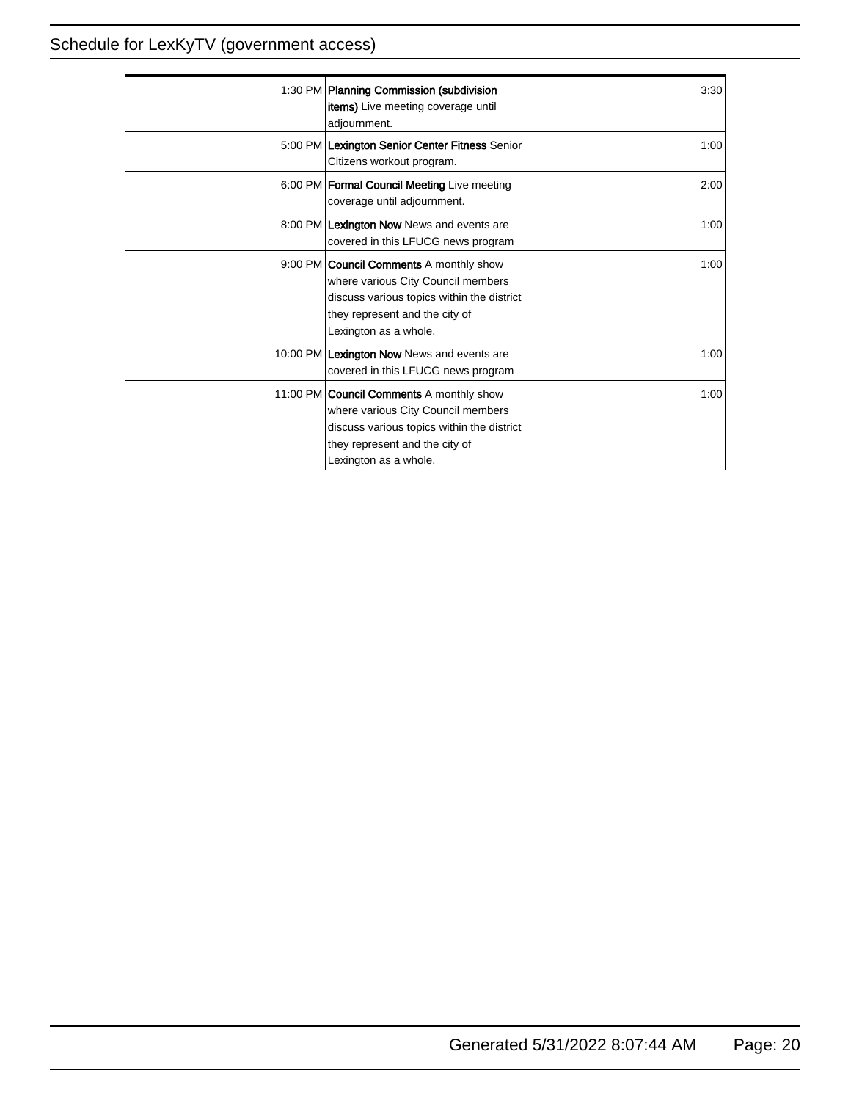| 1:30 PM Planning Commission (subdivision<br>items) Live meeting coverage until<br>adjournment.                                                                                                | 3:30 |
|-----------------------------------------------------------------------------------------------------------------------------------------------------------------------------------------------|------|
| 5:00 PM Lexington Senior Center Fitness Senior<br>Citizens workout program.                                                                                                                   | 1:00 |
| 6:00 PM   Formal Council Meeting Live meeting<br>coverage until adjournment.                                                                                                                  | 2:00 |
| 8:00 PM Lexington Now News and events are<br>covered in this LFUCG news program                                                                                                               | 1:00 |
| 9:00 PM <b>Council Comments</b> A monthly show<br>where various City Council members<br>discuss various topics within the district<br>they represent and the city of<br>Lexington as a whole. | 1:00 |
| 10:00 PM Lexington Now News and events are<br>covered in this LFUCG news program                                                                                                              | 1:00 |
| 11:00 PM Council Comments A monthly show<br>where various City Council members<br>discuss various topics within the district<br>they represent and the city of<br>Lexington as a whole.       | 1:00 |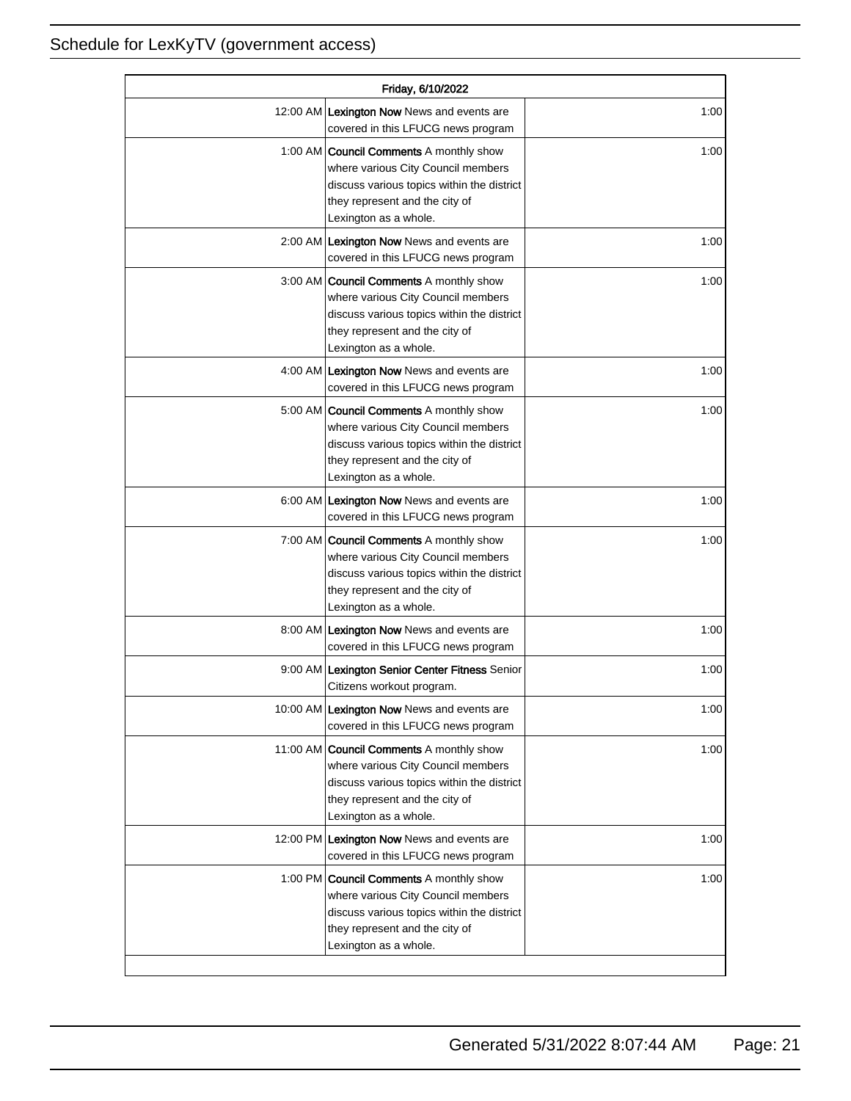| Friday, 6/10/2022 |                                                                                                                                                                                               |      |
|-------------------|-----------------------------------------------------------------------------------------------------------------------------------------------------------------------------------------------|------|
|                   | 12:00 AM Lexington Now News and events are<br>covered in this LFUCG news program                                                                                                              | 1:00 |
|                   | 1:00 AM <b>Council Comments</b> A monthly show<br>where various City Council members<br>discuss various topics within the district<br>they represent and the city of<br>Lexington as a whole. | 1:00 |
|                   | 2:00 AM Lexington Now News and events are<br>covered in this LFUCG news program                                                                                                               | 1:00 |
|                   | 3:00 AM   Council Comments A monthly show<br>where various City Council members<br>discuss various topics within the district<br>they represent and the city of<br>Lexington as a whole.      | 1:00 |
|                   | 4:00 AM Lexington Now News and events are<br>covered in this LFUCG news program                                                                                                               | 1:00 |
|                   | 5:00 AM <b>Council Comments</b> A monthly show<br>where various City Council members<br>discuss various topics within the district<br>they represent and the city of<br>Lexington as a whole. | 1:00 |
|                   | 6:00 AM Lexington Now News and events are<br>covered in this LFUCG news program                                                                                                               | 1:00 |
|                   | 7:00 AM <b>Council Comments</b> A monthly show<br>where various City Council members<br>discuss various topics within the district<br>they represent and the city of<br>Lexington as a whole. | 1:00 |
|                   | 8:00 AM Lexington Now News and events are<br>covered in this LFUCG news program                                                                                                               | 1:00 |
|                   | 9:00 AM Lexington Senior Center Fitness Senior<br>Citizens workout program.                                                                                                                   | 1:00 |
|                   | 10:00 AM Lexington Now News and events are<br>covered in this LFUCG news program                                                                                                              | 1:00 |
|                   | 11:00 AM Council Comments A monthly show<br>where various City Council members<br>discuss various topics within the district<br>they represent and the city of<br>Lexington as a whole.       | 1:00 |
|                   | 12:00 PM Lexington Now News and events are<br>covered in this LFUCG news program                                                                                                              | 1:00 |
|                   | 1:00 PM <b>Council Comments</b> A monthly show<br>where various City Council members<br>discuss various topics within the district<br>they represent and the city of<br>Lexington as a whole. | 1:00 |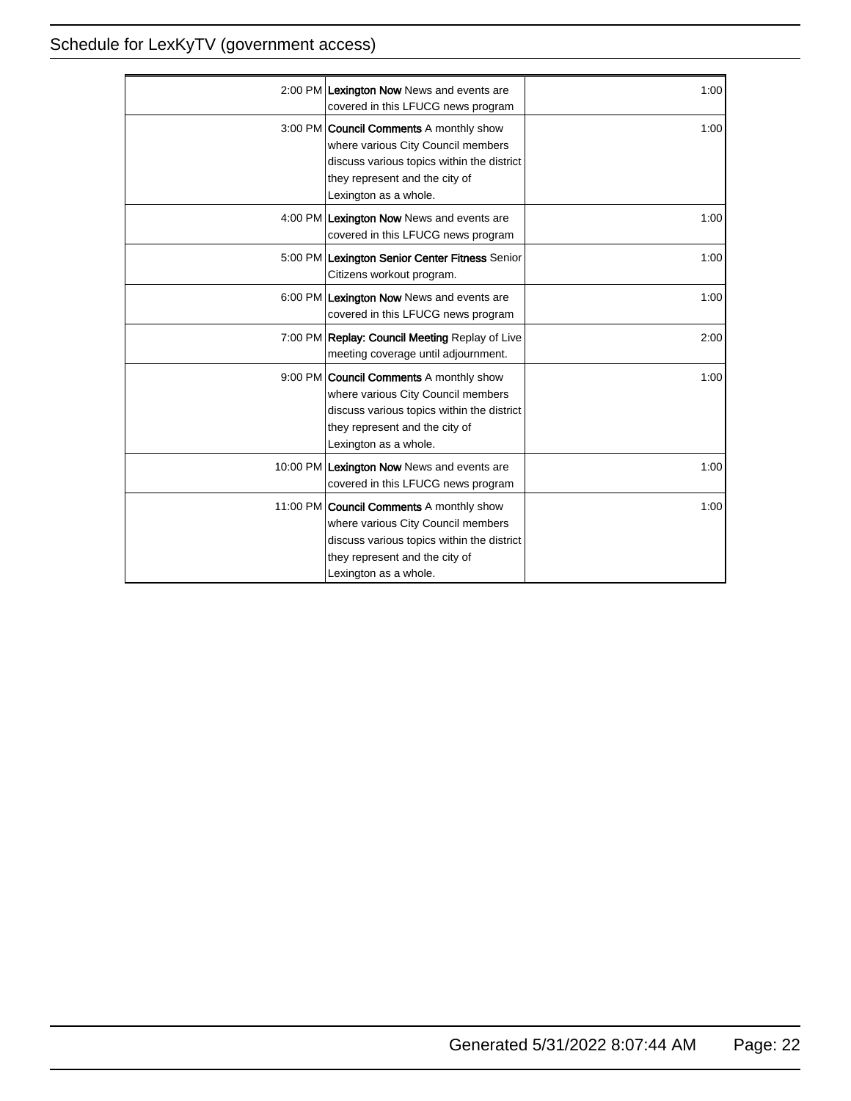| 2:00 PM Lexington Now News and events are<br>covered in this LFUCG news program                                                                                                               | 1:00 |
|-----------------------------------------------------------------------------------------------------------------------------------------------------------------------------------------------|------|
| 3:00 PM <b>Council Comments</b> A monthly show<br>where various City Council members<br>discuss various topics within the district<br>they represent and the city of<br>Lexington as a whole. | 1:00 |
| 4:00 PM Lexington Now News and events are<br>covered in this LFUCG news program                                                                                                               | 1:00 |
| 5:00 PM Lexington Senior Center Fitness Senior<br>Citizens workout program.                                                                                                                   | 1:00 |
| 6:00 PM Lexington Now News and events are<br>covered in this LFUCG news program                                                                                                               | 1:00 |
| 7:00 PM Replay: Council Meeting Replay of Live<br>meeting coverage until adjournment.                                                                                                         | 2:00 |
| 9:00 PM <b>Council Comments</b> A monthly show<br>where various City Council members<br>discuss various topics within the district<br>they represent and the city of<br>Lexington as a whole. | 1:00 |
| 10:00 PM Lexington Now News and events are<br>covered in this LFUCG news program                                                                                                              | 1:00 |
| 11:00 PM Council Comments A monthly show<br>where various City Council members<br>discuss various topics within the district<br>they represent and the city of<br>Lexington as a whole.       | 1:00 |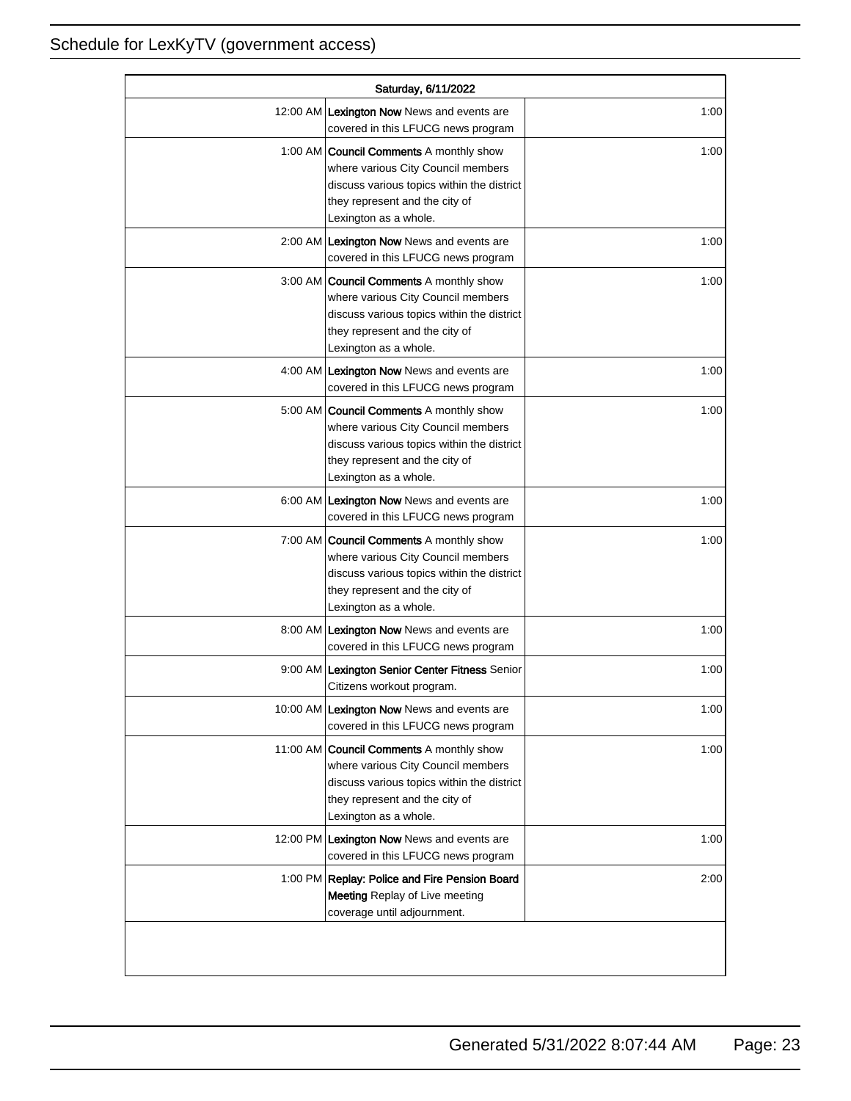| Saturday, 6/11/2022 |                                                                                                                                                                                               |      |
|---------------------|-----------------------------------------------------------------------------------------------------------------------------------------------------------------------------------------------|------|
|                     | 12:00 AM Lexington Now News and events are<br>covered in this LFUCG news program                                                                                                              | 1:00 |
|                     | 1:00 AM <b>Council Comments</b> A monthly show<br>where various City Council members<br>discuss various topics within the district<br>they represent and the city of<br>Lexington as a whole. | 1:00 |
|                     | 2:00 AM Lexington Now News and events are<br>covered in this LFUCG news program                                                                                                               | 1:00 |
|                     | 3:00 AM Council Comments A monthly show<br>where various City Council members<br>discuss various topics within the district<br>they represent and the city of<br>Lexington as a whole.        | 1:00 |
|                     | 4:00 AM Lexington Now News and events are<br>covered in this LFUCG news program                                                                                                               | 1:00 |
|                     | 5:00 AM   Council Comments A monthly show<br>where various City Council members<br>discuss various topics within the district<br>they represent and the city of<br>Lexington as a whole.      | 1:00 |
|                     | 6:00 AM Lexington Now News and events are<br>covered in this LFUCG news program                                                                                                               | 1:00 |
|                     | 7:00 AM <b>Council Comments</b> A monthly show<br>where various City Council members<br>discuss various topics within the district<br>they represent and the city of<br>Lexington as a whole. | 1:00 |
|                     | 8:00 AM Lexington Now News and events are<br>covered in this LFUCG news program                                                                                                               | 1:00 |
|                     | 9:00 AM Lexington Senior Center Fitness Senior<br>Citizens workout program.                                                                                                                   | 1:00 |
|                     | 10:00 AM Lexington Now News and events are<br>covered in this LFUCG news program                                                                                                              | 1:00 |
|                     | 11:00 AM Council Comments A monthly show<br>where various City Council members<br>discuss various topics within the district<br>they represent and the city of<br>Lexington as a whole.       | 1:00 |
|                     | 12:00 PM Lexington Now News and events are<br>covered in this LFUCG news program                                                                                                              | 1:00 |
|                     | 1:00 PM Replay: Police and Fire Pension Board<br>Meeting Replay of Live meeting<br>coverage until adjournment.                                                                                | 2:00 |
|                     |                                                                                                                                                                                               |      |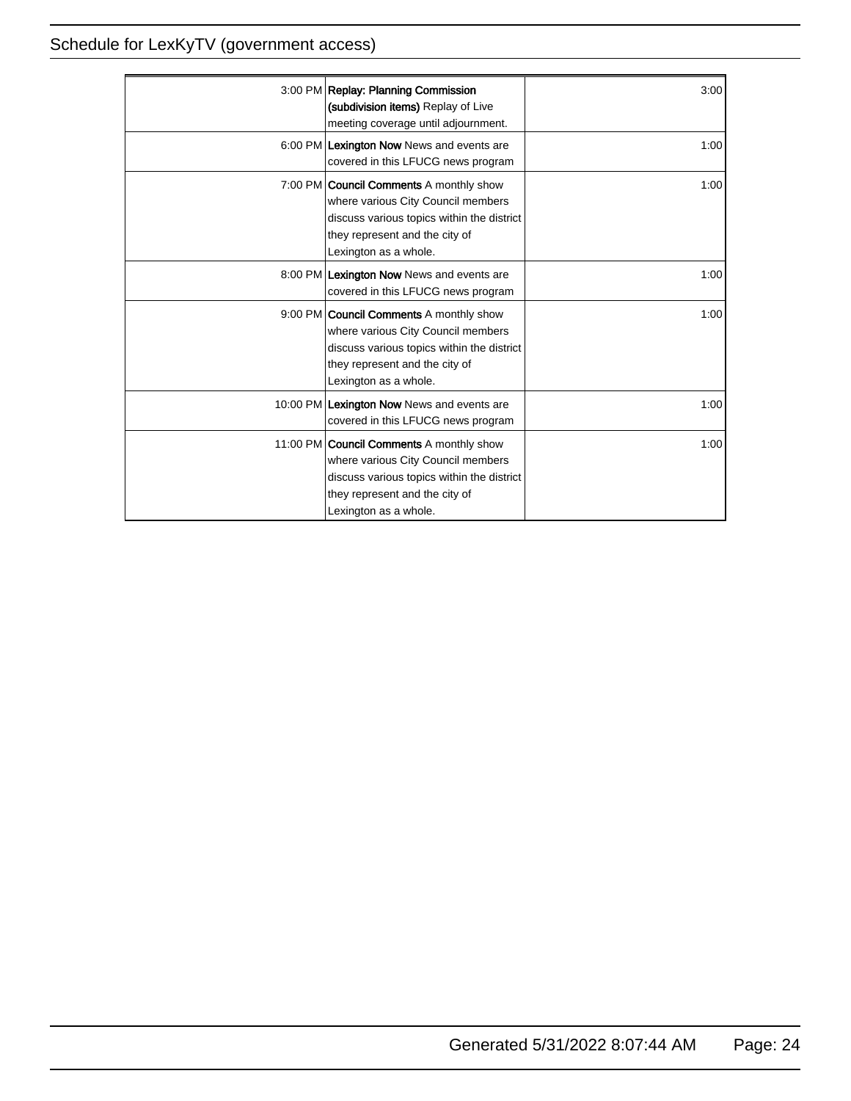| 3:00 PM Replay: Planning Commission<br>(subdivision items) Replay of Live<br>meeting coverage until adjournment.                                                                              | 3:00 |
|-----------------------------------------------------------------------------------------------------------------------------------------------------------------------------------------------|------|
| 6:00 PM Lexington Now News and events are<br>covered in this LFUCG news program                                                                                                               | 1:00 |
| 7:00 PM <b>Council Comments</b> A monthly show<br>where various City Council members<br>discuss various topics within the district<br>they represent and the city of<br>Lexington as a whole. | 1:00 |
| 8:00 PM Lexington Now News and events are<br>covered in this LFUCG news program                                                                                                               | 1:00 |
| 9:00 PM Council Comments A monthly show<br>where various City Council members<br>discuss various topics within the district<br>they represent and the city of<br>Lexington as a whole.        | 1:00 |
| 10:00 PM Lexington Now News and events are<br>covered in this LFUCG news program                                                                                                              | 1:00 |
| 11:00 PM Council Comments A monthly show<br>where various City Council members<br>discuss various topics within the district<br>they represent and the city of<br>Lexington as a whole.       | 1:00 |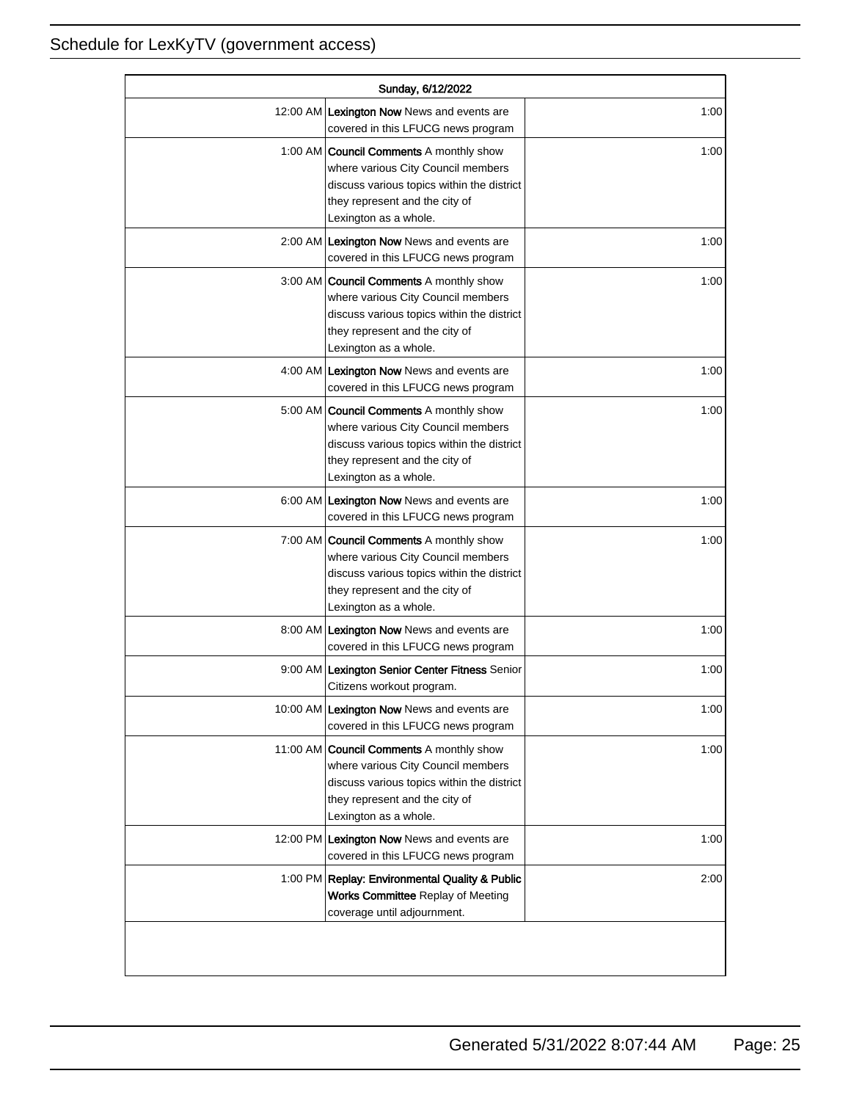| Sunday, 6/12/2022 |                                                                                                                                                                                               |      |
|-------------------|-----------------------------------------------------------------------------------------------------------------------------------------------------------------------------------------------|------|
|                   | 12:00 AM Lexington Now News and events are<br>covered in this LFUCG news program                                                                                                              | 1:00 |
|                   | 1:00 AM <b>Council Comments</b> A monthly show<br>where various City Council members<br>discuss various topics within the district<br>they represent and the city of<br>Lexington as a whole. | 1:00 |
|                   | 2:00 AM Lexington Now News and events are<br>covered in this LFUCG news program                                                                                                               | 1:00 |
|                   | 3:00 AM Council Comments A monthly show<br>where various City Council members<br>discuss various topics within the district<br>they represent and the city of<br>Lexington as a whole.        | 1:00 |
|                   | 4:00 AM Lexington Now News and events are<br>covered in this LFUCG news program                                                                                                               | 1:00 |
|                   | 5:00 AM   Council Comments A monthly show<br>where various City Council members<br>discuss various topics within the district<br>they represent and the city of<br>Lexington as a whole.      | 1:00 |
|                   | 6:00 AM Lexington Now News and events are<br>covered in this LFUCG news program                                                                                                               | 1:00 |
|                   | 7:00 AM <b>Council Comments</b> A monthly show<br>where various City Council members<br>discuss various topics within the district<br>they represent and the city of<br>Lexington as a whole. | 1:00 |
|                   | 8:00 AM Lexington Now News and events are<br>covered in this LFUCG news program                                                                                                               | 1:00 |
|                   | 9:00 AM Lexington Senior Center Fitness Senior<br>Citizens workout program.                                                                                                                   | 1:00 |
|                   | 10:00 AM Lexington Now News and events are<br>covered in this LFUCG news program                                                                                                              | 1:00 |
|                   | 11:00 AM Council Comments A monthly show<br>where various City Council members<br>discuss various topics within the district<br>they represent and the city of<br>Lexington as a whole.       | 1:00 |
|                   | 12:00 PM Lexington Now News and events are<br>covered in this LFUCG news program                                                                                                              | 1:00 |
|                   | 1:00 PM Replay: Environmental Quality & Public<br>Works Committee Replay of Meeting<br>coverage until adjournment.                                                                            | 2:00 |
|                   |                                                                                                                                                                                               |      |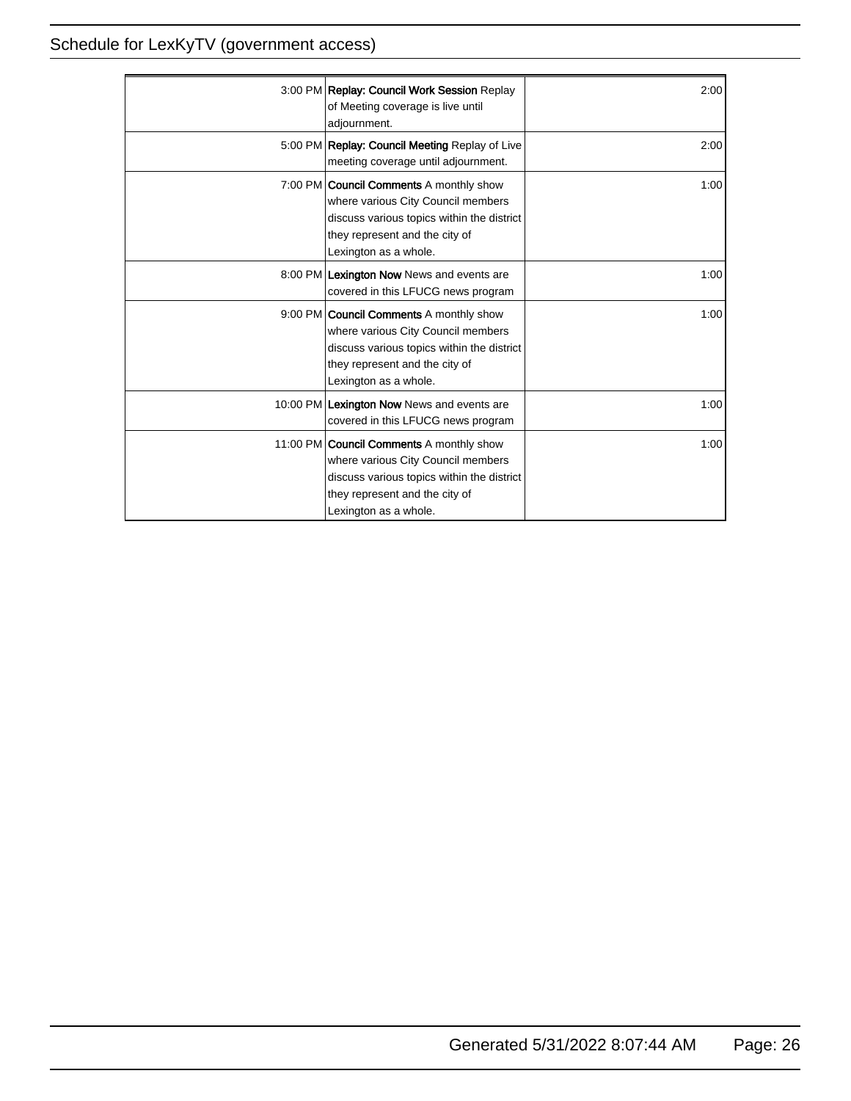| 3:00 PM Replay: Council Work Session Replay<br>of Meeting coverage is live until<br>adjournment.                                                                                               | 2:00 |
|------------------------------------------------------------------------------------------------------------------------------------------------------------------------------------------------|------|
| 5:00 PM Replay: Council Meeting Replay of Live<br>meeting coverage until adjournment.                                                                                                          | 2:00 |
| 7:00 PM <b>Council Comments</b> A monthly show<br>where various City Council members<br>discuss various topics within the district<br>they represent and the city of<br>Lexington as a whole.  | 1:00 |
| 8:00 PM Lexington Now News and events are<br>covered in this LFUCG news program                                                                                                                | 1:00 |
| 9:00 PM <b>Council Comments</b> A monthly show<br>where various City Council members<br>discuss various topics within the district<br>they represent and the city of<br>Lexington as a whole.  | 1:00 |
| 10:00 PM Lexington Now News and events are<br>covered in this LFUCG news program                                                                                                               | 1:00 |
| 11:00 PM <b>Council Comments</b> A monthly show<br>where various City Council members<br>discuss various topics within the district<br>they represent and the city of<br>Lexington as a whole. | 1:00 |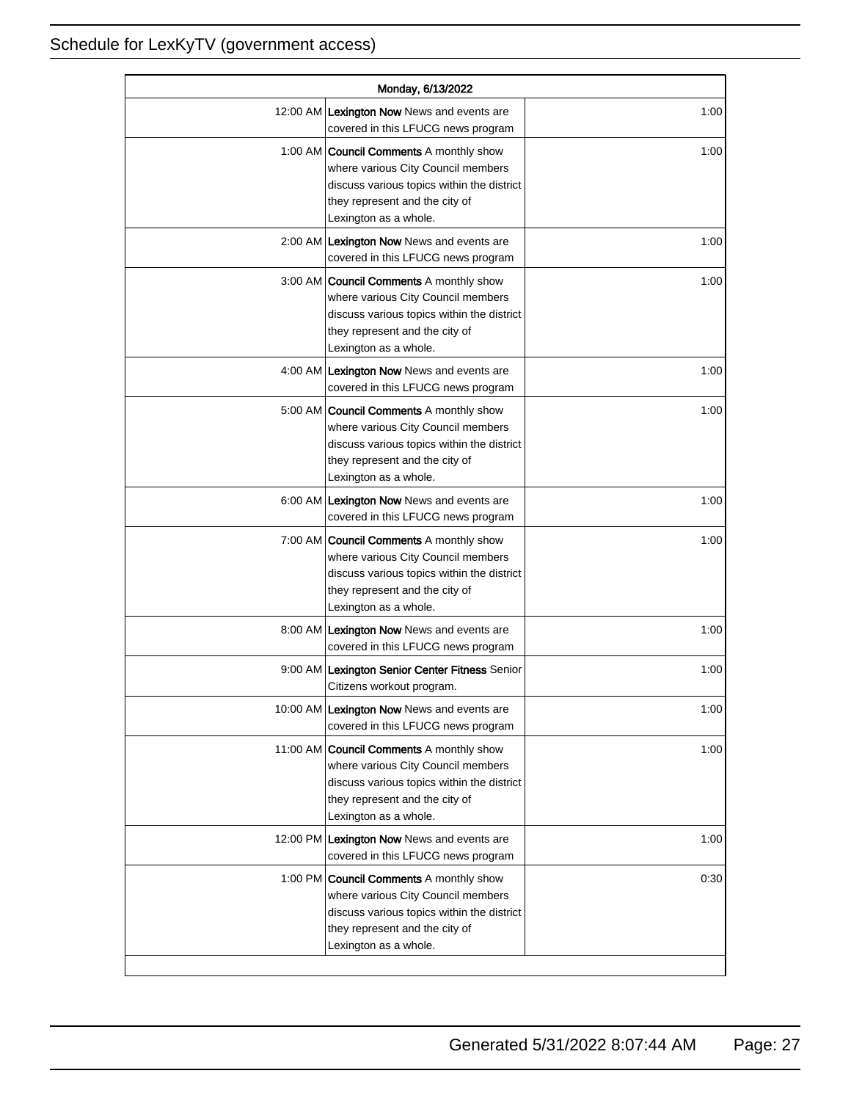| Monday, 6/13/2022 |                                                                                                                                                                                               |      |
|-------------------|-----------------------------------------------------------------------------------------------------------------------------------------------------------------------------------------------|------|
|                   | 12:00 AM Lexington Now News and events are<br>covered in this LFUCG news program                                                                                                              | 1:00 |
|                   | 1:00 AM <b>Council Comments</b> A monthly show<br>where various City Council members<br>discuss various topics within the district<br>they represent and the city of<br>Lexington as a whole. | 1:00 |
|                   | 2:00 AM Lexington Now News and events are<br>covered in this LFUCG news program                                                                                                               | 1:00 |
|                   | 3:00 AM Council Comments A monthly show<br>where various City Council members<br>discuss various topics within the district<br>they represent and the city of<br>Lexington as a whole.        | 1:00 |
|                   | 4:00 AM Lexington Now News and events are<br>covered in this LFUCG news program                                                                                                               | 1:00 |
|                   | 5:00 AM   Council Comments A monthly show<br>where various City Council members<br>discuss various topics within the district<br>they represent and the city of<br>Lexington as a whole.      | 1:00 |
|                   | 6:00 AM Lexington Now News and events are<br>covered in this LFUCG news program                                                                                                               | 1:00 |
|                   | 7:00 AM Council Comments A monthly show<br>where various City Council members<br>discuss various topics within the district<br>they represent and the city of<br>Lexington as a whole.        | 1:00 |
|                   | 8:00 AM Lexington Now News and events are<br>covered in this LFUCG news program                                                                                                               | 1:00 |
|                   | 9:00 AM Lexington Senior Center Fitness Senior<br>Citizens workout program.                                                                                                                   | 1:00 |
|                   | 10:00 AM Lexington Now News and events are<br>covered in this LFUCG news program                                                                                                              | 1:00 |
|                   | 11:00 AM Council Comments A monthly show<br>where various City Council members<br>discuss various topics within the district<br>they represent and the city of<br>Lexington as a whole.       | 1:00 |
|                   | 12:00 PM Lexington Now News and events are<br>covered in this LFUCG news program                                                                                                              | 1:00 |
|                   | 1:00 PM Council Comments A monthly show<br>where various City Council members<br>discuss various topics within the district<br>they represent and the city of<br>Lexington as a whole.        | 0:30 |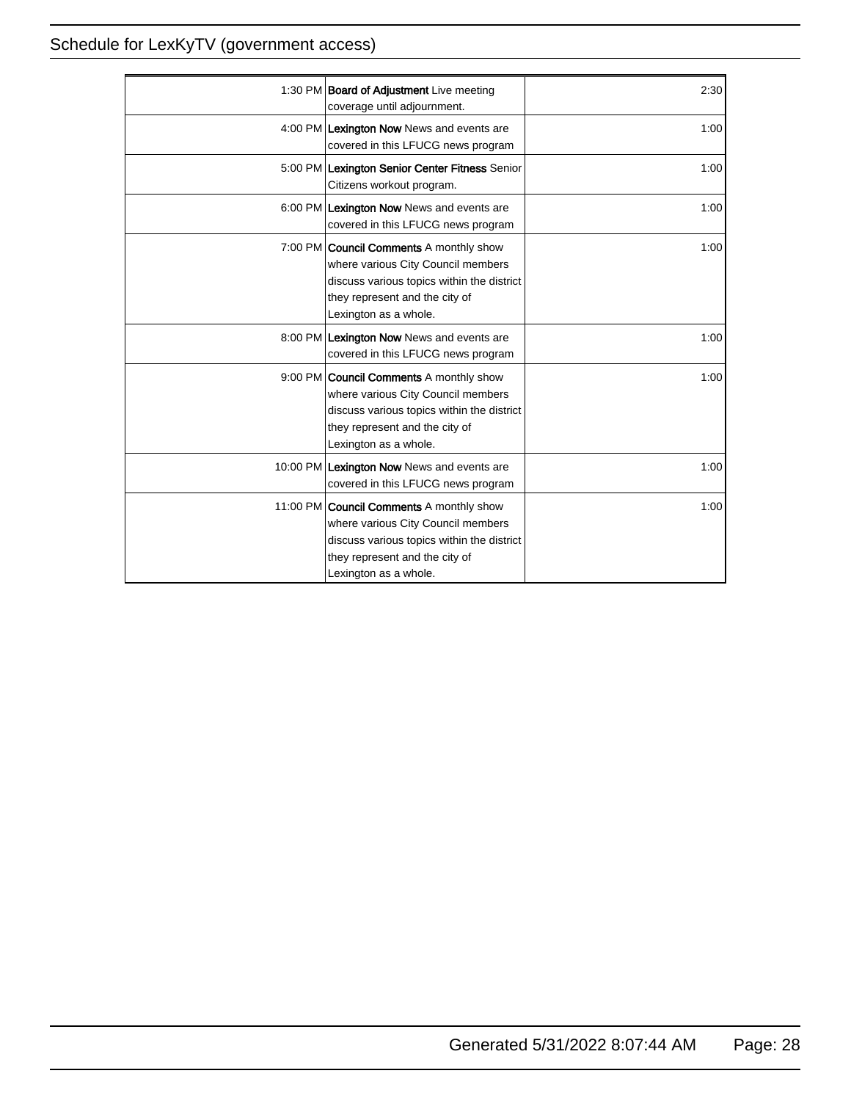| 1:30 PM <b>Board of Adjustment</b> Live meeting                                                                                                                                               | 2:30 |
|-----------------------------------------------------------------------------------------------------------------------------------------------------------------------------------------------|------|
| coverage until adjournment.                                                                                                                                                                   |      |
| 4:00 PM Lexington Now News and events are<br>covered in this LFUCG news program                                                                                                               | 1:00 |
| 5:00 PM Lexington Senior Center Fitness Senior<br>Citizens workout program.                                                                                                                   | 1:00 |
| 6:00 PM Lexington Now News and events are<br>covered in this LFUCG news program                                                                                                               | 1:00 |
| 7:00 PM <b>Council Comments</b> A monthly show<br>where various City Council members<br>discuss various topics within the district<br>they represent and the city of<br>Lexington as a whole. | 1:00 |
| 8:00 PM Lexington Now News and events are<br>covered in this LFUCG news program                                                                                                               | 1:00 |
| 9:00 PM <b>Council Comments</b> A monthly show<br>where various City Council members<br>discuss various topics within the district<br>they represent and the city of<br>Lexington as a whole. | 1:00 |
| 10:00 PM Lexington Now News and events are<br>covered in this LFUCG news program                                                                                                              | 1:00 |
| 11:00 PM Council Comments A monthly show<br>where various City Council members<br>discuss various topics within the district<br>they represent and the city of<br>Lexington as a whole.       | 1:00 |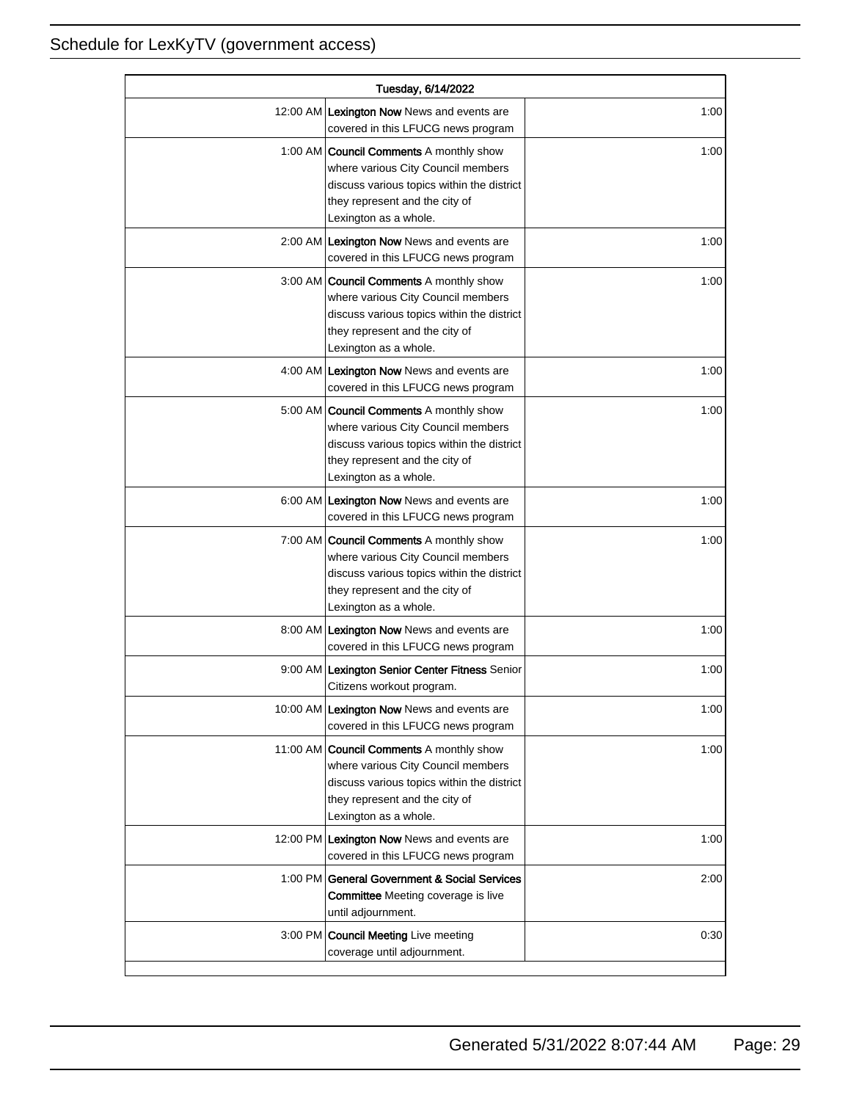| Tuesday, 6/14/2022 |                                                                                                                                                                                               |      |
|--------------------|-----------------------------------------------------------------------------------------------------------------------------------------------------------------------------------------------|------|
|                    | 12:00 AM Lexington Now News and events are<br>covered in this LFUCG news program                                                                                                              | 1:00 |
|                    | 1:00 AM <b>Council Comments</b> A monthly show<br>where various City Council members<br>discuss various topics within the district<br>they represent and the city of<br>Lexington as a whole. | 1:00 |
|                    | 2:00 AM Lexington Now News and events are<br>covered in this LFUCG news program                                                                                                               | 1:00 |
|                    | 3:00 AM   Council Comments A monthly show<br>where various City Council members<br>discuss various topics within the district<br>they represent and the city of<br>Lexington as a whole.      | 1:00 |
|                    | 4:00 AM Lexington Now News and events are<br>covered in this LFUCG news program                                                                                                               | 1:00 |
|                    | 5:00 AM <b>Council Comments</b> A monthly show<br>where various City Council members<br>discuss various topics within the district<br>they represent and the city of<br>Lexington as a whole. | 1:00 |
|                    | 6:00 AM Lexington Now News and events are<br>covered in this LFUCG news program                                                                                                               | 1:00 |
|                    | 7:00 AM <b>Council Comments</b> A monthly show<br>where various City Council members<br>discuss various topics within the district<br>they represent and the city of<br>Lexington as a whole. | 1:00 |
|                    | 8:00 AM Lexington Now News and events are<br>covered in this LFUCG news program                                                                                                               | 1:00 |
|                    | 9:00 AM Lexington Senior Center Fitness Senior<br>Citizens workout program.                                                                                                                   | 1:00 |
|                    | 10:00 AM Lexington Now News and events are<br>covered in this LFUCG news program                                                                                                              | 1:00 |
|                    | 11:00 AM Council Comments A monthly show<br>where various City Council members<br>discuss various topics within the district<br>they represent and the city of<br>Lexington as a whole.       | 1:00 |
|                    | 12:00 PM Lexington Now News and events are<br>covered in this LFUCG news program                                                                                                              | 1:00 |
|                    | 1:00 PM General Government & Social Services<br><b>Committee</b> Meeting coverage is live<br>until adjournment.                                                                               | 2:00 |
|                    | 3:00 PM   Council Meeting Live meeting<br>coverage until adjournment.                                                                                                                         | 0:30 |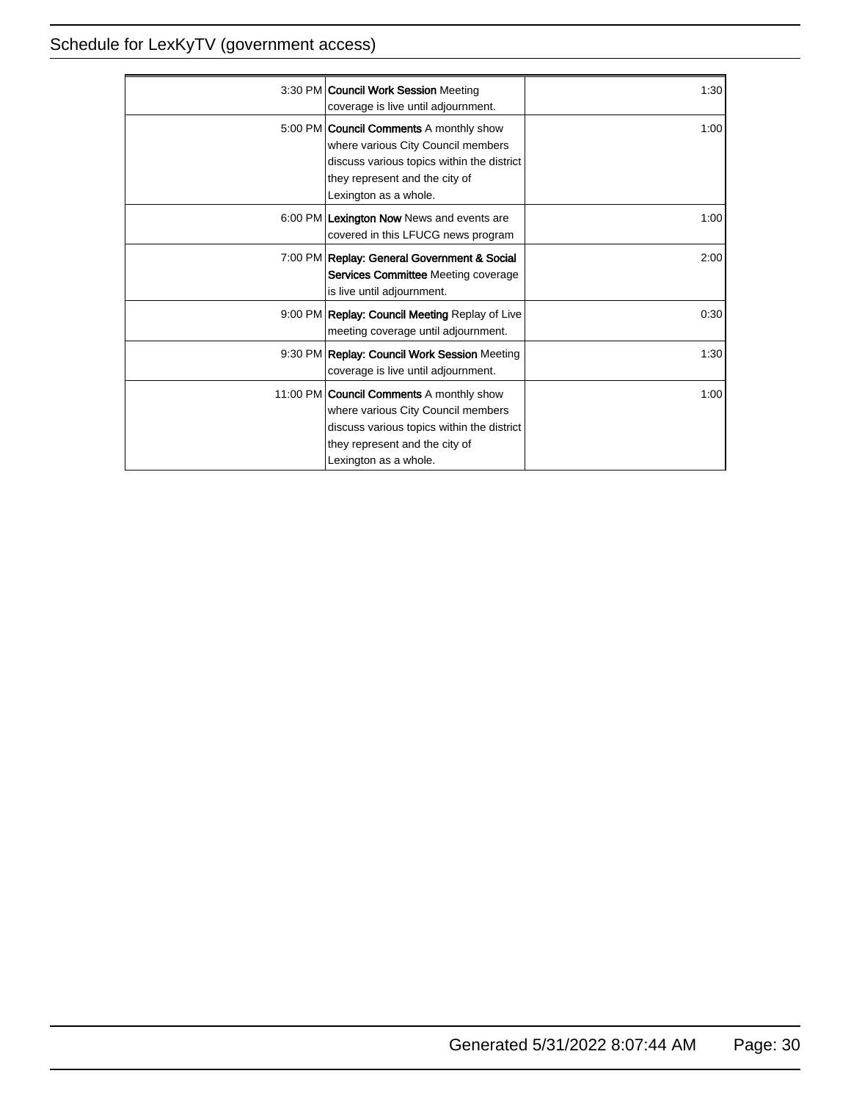| 3:30 PM   Council Work Session Meeting<br>coverage is live until adjournment.                                                                                                                  | 1:30 |
|------------------------------------------------------------------------------------------------------------------------------------------------------------------------------------------------|------|
| 5:00 PM <b>Council Comments</b> A monthly show<br>where various City Council members<br>discuss various topics within the district<br>they represent and the city of<br>Lexington as a whole.  | 1:00 |
| 6:00 PM Lexington Now News and events are<br>covered in this LFUCG news program                                                                                                                | 1:00 |
| 7:00 PM Replay: General Government & Social<br>Services Committee Meeting coverage<br>is live until adjournment.                                                                               | 2:00 |
| 9:00 PM Replay: Council Meeting Replay of Live<br>meeting coverage until adjournment.                                                                                                          | 0:30 |
| 9:30 PM Replay: Council Work Session Meeting<br>coverage is live until adjournment.                                                                                                            | 1:30 |
| 11:00 PM <b>Council Comments</b> A monthly show<br>where various City Council members<br>discuss various topics within the district<br>they represent and the city of<br>Lexington as a whole. | 1:00 |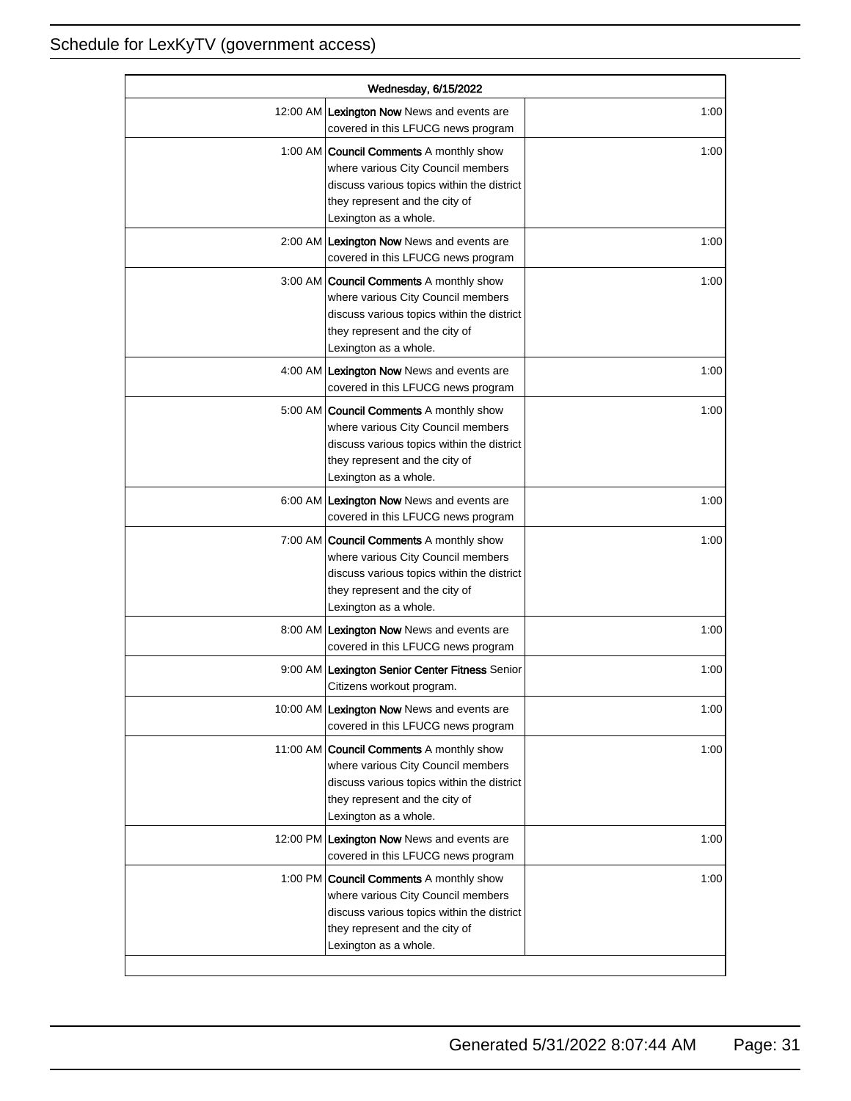| Wednesday, 6/15/2022 |                                                                                                                                                                                               |      |
|----------------------|-----------------------------------------------------------------------------------------------------------------------------------------------------------------------------------------------|------|
|                      | 12:00 AM Lexington Now News and events are<br>covered in this LFUCG news program                                                                                                              | 1:00 |
|                      | 1:00 AM <b>Council Comments</b> A monthly show<br>where various City Council members<br>discuss various topics within the district<br>they represent and the city of<br>Lexington as a whole. | 1:00 |
|                      | 2:00 AM Lexington Now News and events are<br>covered in this LFUCG news program                                                                                                               | 1:00 |
|                      | 3:00 AM Council Comments A monthly show<br>where various City Council members<br>discuss various topics within the district<br>they represent and the city of<br>Lexington as a whole.        | 1:00 |
|                      | 4:00 AM Lexington Now News and events are<br>covered in this LFUCG news program                                                                                                               | 1:00 |
|                      | 5:00 AM <b>Council Comments</b> A monthly show<br>where various City Council members<br>discuss various topics within the district<br>they represent and the city of<br>Lexington as a whole. | 1:00 |
|                      | 6:00 AM Lexington Now News and events are<br>covered in this LFUCG news program                                                                                                               | 1:00 |
|                      | 7:00 AM Council Comments A monthly show<br>where various City Council members<br>discuss various topics within the district<br>they represent and the city of<br>Lexington as a whole.        | 1:00 |
|                      | 8:00 AM Lexington Now News and events are<br>covered in this LFUCG news program                                                                                                               | 1:00 |
|                      | 9:00 AM Lexington Senior Center Fitness Senior<br>Citizens workout program.                                                                                                                   | 1:00 |
|                      | 10:00 AM Lexington Now News and events are<br>covered in this LFUCG news program                                                                                                              | 1:00 |
|                      | 11:00 AM Council Comments A monthly show<br>where various City Council members<br>discuss various topics within the district<br>they represent and the city of<br>Lexington as a whole.       | 1:00 |
|                      | 12:00 PM Lexington Now News and events are<br>covered in this LFUCG news program                                                                                                              | 1:00 |
|                      | 1:00 PM Council Comments A monthly show<br>where various City Council members<br>discuss various topics within the district<br>they represent and the city of<br>Lexington as a whole.        | 1:00 |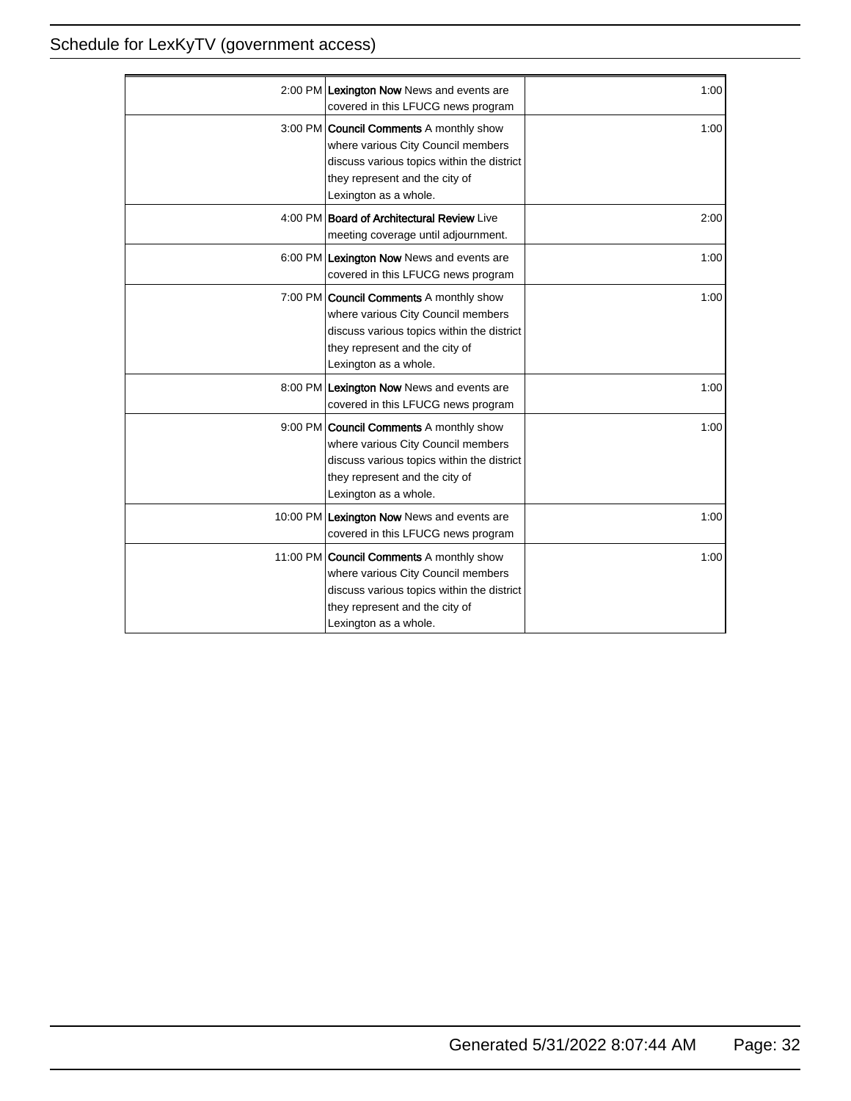| 2:00 PM Lexington Now News and events are                                                                                                                                                      | 1:00 |
|------------------------------------------------------------------------------------------------------------------------------------------------------------------------------------------------|------|
| covered in this LFUCG news program                                                                                                                                                             |      |
| 3:00 PM <b>Council Comments</b> A monthly show<br>where various City Council members<br>discuss various topics within the district<br>they represent and the city of<br>Lexington as a whole.  | 1:00 |
| 4:00 PM Board of Architectural Review Live<br>meeting coverage until adjournment.                                                                                                              | 2:00 |
| 6:00 PM Lexington Now News and events are<br>covered in this LFUCG news program                                                                                                                | 1:00 |
| 7:00 PM <b>Council Comments</b> A monthly show<br>where various City Council members<br>discuss various topics within the district<br>they represent and the city of<br>Lexington as a whole.  | 1:00 |
| 8:00 PM Lexington Now News and events are<br>covered in this LFUCG news program                                                                                                                | 1:00 |
| 9:00 PM <b>Council Comments</b> A monthly show<br>where various City Council members<br>discuss various topics within the district<br>they represent and the city of<br>Lexington as a whole.  | 1:00 |
| 10:00 PM Lexington Now News and events are<br>covered in this LFUCG news program                                                                                                               | 1:00 |
| 11:00 PM <b>Council Comments</b> A monthly show<br>where various City Council members<br>discuss various topics within the district<br>they represent and the city of<br>Lexington as a whole. | 1:00 |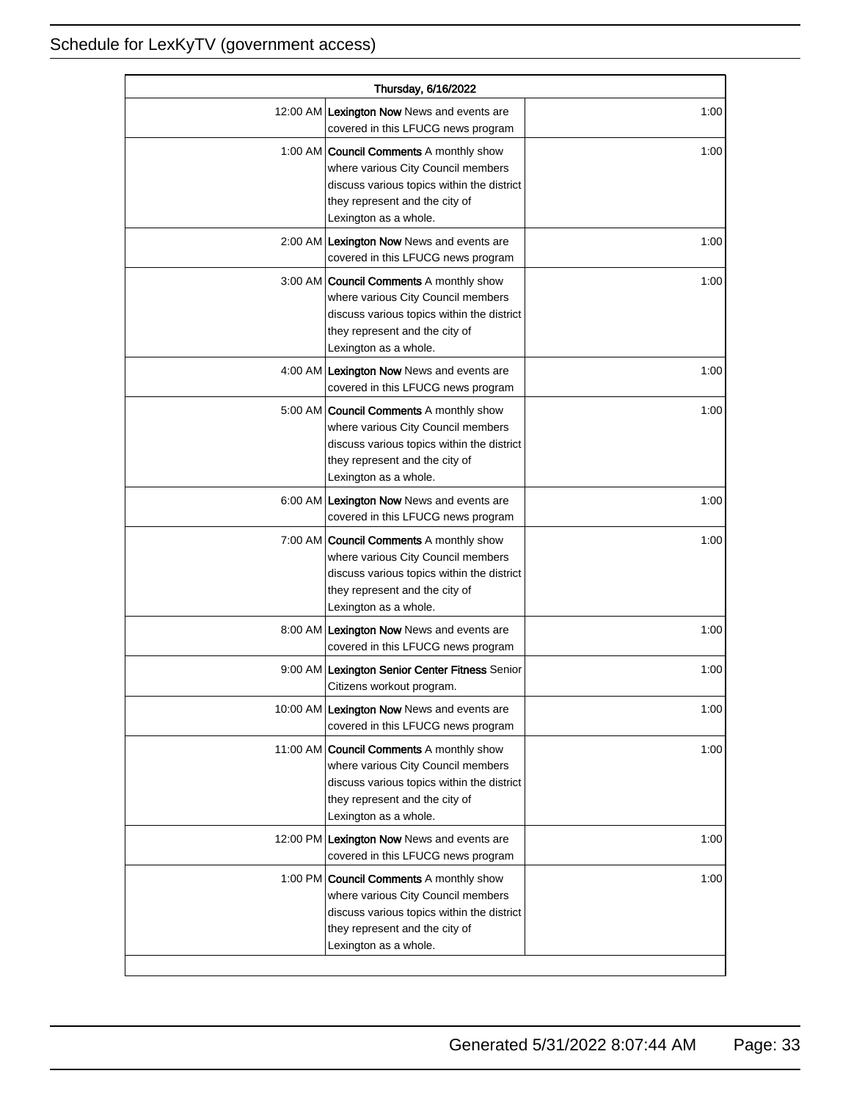| Thursday, 6/16/2022 |                                                                                                                                                                                               |      |
|---------------------|-----------------------------------------------------------------------------------------------------------------------------------------------------------------------------------------------|------|
|                     | 12:00 AM Lexington Now News and events are<br>covered in this LFUCG news program                                                                                                              | 1:00 |
|                     | 1:00 AM <b>Council Comments</b> A monthly show<br>where various City Council members<br>discuss various topics within the district<br>they represent and the city of<br>Lexington as a whole. | 1:00 |
|                     | 2:00 AM Lexington Now News and events are<br>covered in this LFUCG news program                                                                                                               | 1:00 |
|                     | 3:00 AM Council Comments A monthly show<br>where various City Council members<br>discuss various topics within the district<br>they represent and the city of<br>Lexington as a whole.        | 1:00 |
|                     | 4:00 AM Lexington Now News and events are<br>covered in this LFUCG news program                                                                                                               | 1:00 |
|                     | 5:00 AM   Council Comments A monthly show<br>where various City Council members<br>discuss various topics within the district<br>they represent and the city of<br>Lexington as a whole.      | 1:00 |
|                     | 6:00 AM Lexington Now News and events are<br>covered in this LFUCG news program                                                                                                               | 1:00 |
|                     | 7:00 AM Council Comments A monthly show<br>where various City Council members<br>discuss various topics within the district<br>they represent and the city of<br>Lexington as a whole.        | 1:00 |
|                     | 8:00 AM Lexington Now News and events are<br>covered in this LFUCG news program                                                                                                               | 1:00 |
|                     | 9:00 AM Lexington Senior Center Fitness Senior<br>Citizens workout program.                                                                                                                   | 1:00 |
|                     | 10:00 AM Lexington Now News and events are<br>covered in this LFUCG news program                                                                                                              | 1:00 |
|                     | 11:00 AM Council Comments A monthly show<br>where various City Council members<br>discuss various topics within the district<br>they represent and the city of<br>Lexington as a whole.       | 1:00 |
|                     | 12:00 PM Lexington Now News and events are<br>covered in this LFUCG news program                                                                                                              | 1:00 |
|                     | 1:00 PM Council Comments A monthly show<br>where various City Council members<br>discuss various topics within the district<br>they represent and the city of<br>Lexington as a whole.        | 1:00 |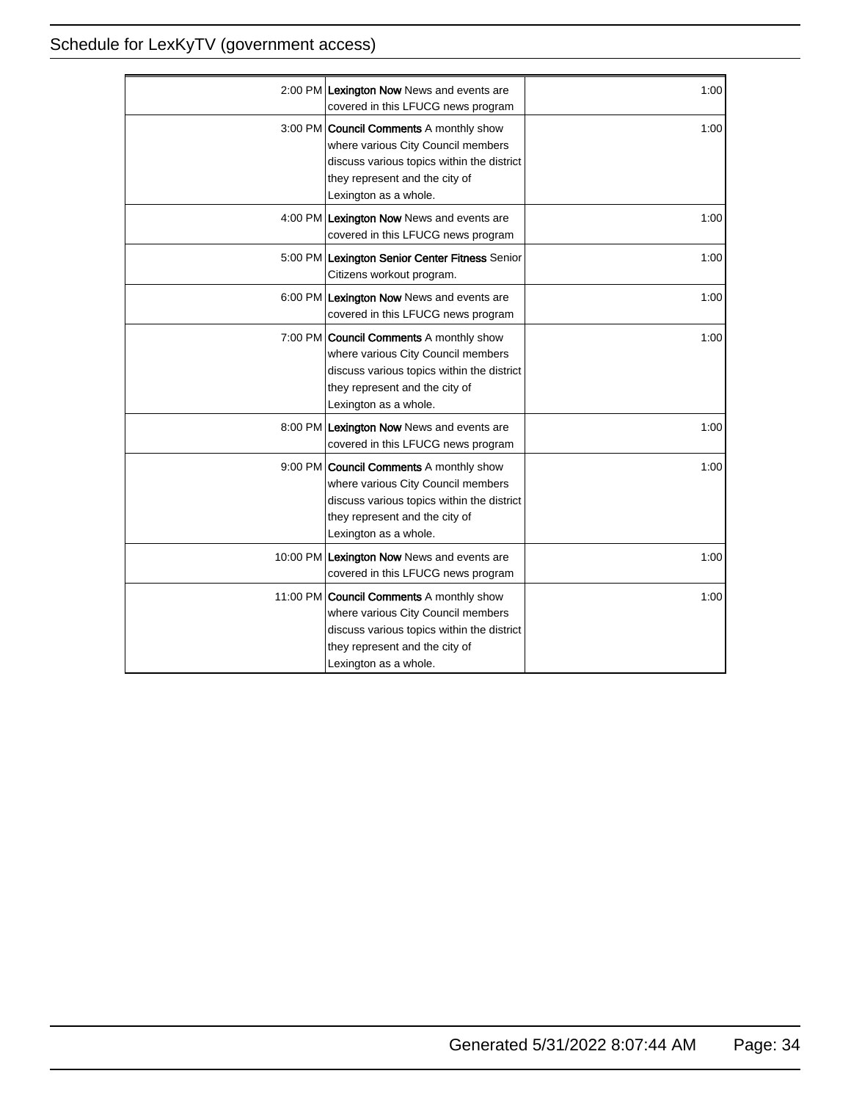| 2:00 PM Lexington Now News and events are<br>covered in this LFUCG news program                                                                                                               | 1:00 |
|-----------------------------------------------------------------------------------------------------------------------------------------------------------------------------------------------|------|
| 3:00 PM <b>Council Comments</b> A monthly show<br>where various City Council members<br>discuss various topics within the district<br>they represent and the city of<br>Lexington as a whole. | 1:00 |
| 4:00 PM Lexington Now News and events are<br>covered in this LFUCG news program                                                                                                               | 1:00 |
| 5:00 PM Lexington Senior Center Fitness Senior<br>Citizens workout program.                                                                                                                   | 1:00 |
| 6:00 PM Lexington Now News and events are<br>covered in this LFUCG news program                                                                                                               | 1:00 |
| 7:00 PM <b>Council Comments</b> A monthly show<br>where various City Council members<br>discuss various topics within the district<br>they represent and the city of<br>Lexington as a whole. | 1:00 |
| 8:00 PM Lexington Now News and events are<br>covered in this LFUCG news program                                                                                                               | 1:00 |
| 9:00 PM Council Comments A monthly show<br>where various City Council members<br>discuss various topics within the district<br>they represent and the city of<br>Lexington as a whole.        | 1:00 |
| 10:00 PM Lexington Now News and events are<br>covered in this LFUCG news program                                                                                                              | 1:00 |
| 11:00 PM Council Comments A monthly show<br>where various City Council members<br>discuss various topics within the district<br>they represent and the city of<br>Lexington as a whole.       | 1:00 |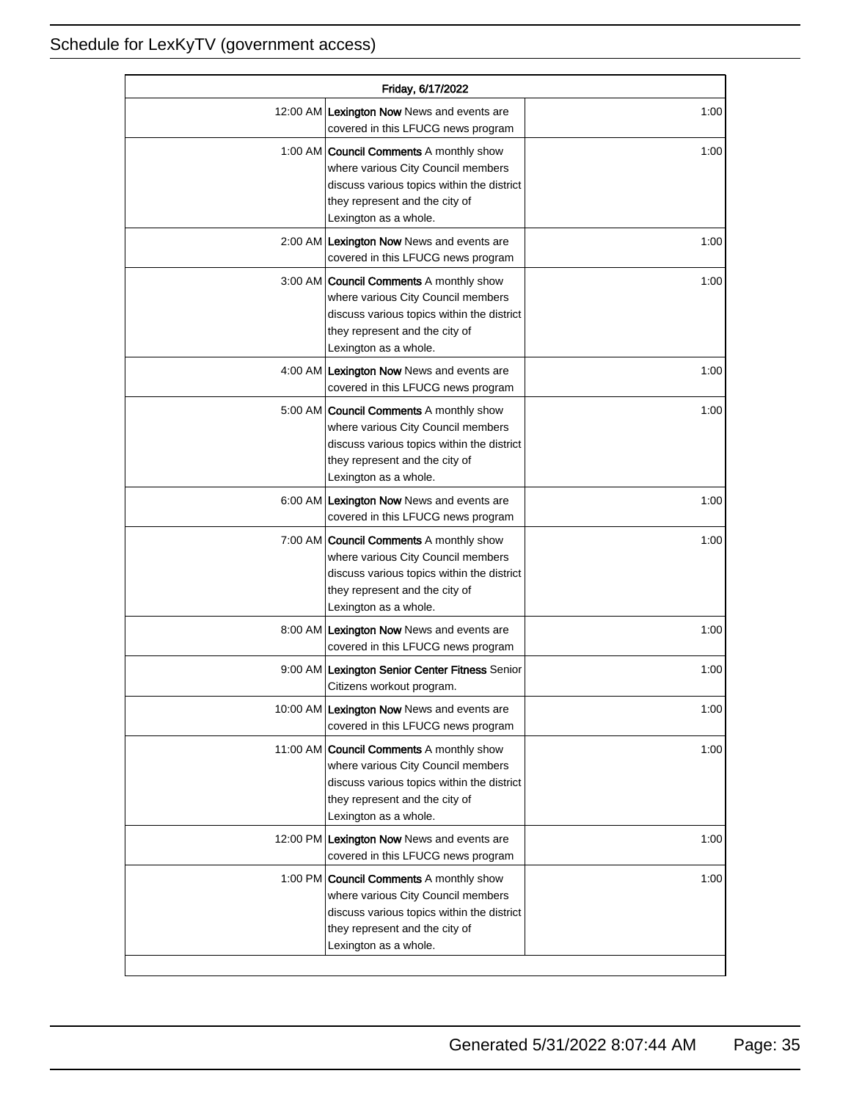| Friday, 6/17/2022 |                                                                                                                                                                                               |      |
|-------------------|-----------------------------------------------------------------------------------------------------------------------------------------------------------------------------------------------|------|
|                   | 12:00 AM Lexington Now News and events are<br>covered in this LFUCG news program                                                                                                              | 1:00 |
|                   | 1:00 AM <b>Council Comments</b> A monthly show<br>where various City Council members<br>discuss various topics within the district<br>they represent and the city of<br>Lexington as a whole. | 1:00 |
|                   | 2:00 AM Lexington Now News and events are<br>covered in this LFUCG news program                                                                                                               | 1:00 |
|                   | 3:00 AM   Council Comments A monthly show<br>where various City Council members<br>discuss various topics within the district<br>they represent and the city of<br>Lexington as a whole.      | 1:00 |
|                   | 4:00 AM Lexington Now News and events are<br>covered in this LFUCG news program                                                                                                               | 1:00 |
|                   | 5:00 AM <b>Council Comments</b> A monthly show<br>where various City Council members<br>discuss various topics within the district<br>they represent and the city of<br>Lexington as a whole. | 1:00 |
|                   | 6:00 AM Lexington Now News and events are<br>covered in this LFUCG news program                                                                                                               | 1:00 |
|                   | 7:00 AM <b>Council Comments</b> A monthly show<br>where various City Council members<br>discuss various topics within the district<br>they represent and the city of<br>Lexington as a whole. | 1:00 |
|                   | 8:00 AM Lexington Now News and events are<br>covered in this LFUCG news program                                                                                                               | 1:00 |
|                   | 9:00 AM Lexington Senior Center Fitness Senior<br>Citizens workout program.                                                                                                                   | 1:00 |
|                   | 10:00 AM Lexington Now News and events are<br>covered in this LFUCG news program                                                                                                              | 1:00 |
|                   | 11:00 AM Council Comments A monthly show<br>where various City Council members<br>discuss various topics within the district<br>they represent and the city of<br>Lexington as a whole.       | 1:00 |
|                   | 12:00 PM Lexington Now News and events are<br>covered in this LFUCG news program                                                                                                              | 1:00 |
|                   | 1:00 PM <b>Council Comments</b> A monthly show<br>where various City Council members<br>discuss various topics within the district<br>they represent and the city of<br>Lexington as a whole. | 1:00 |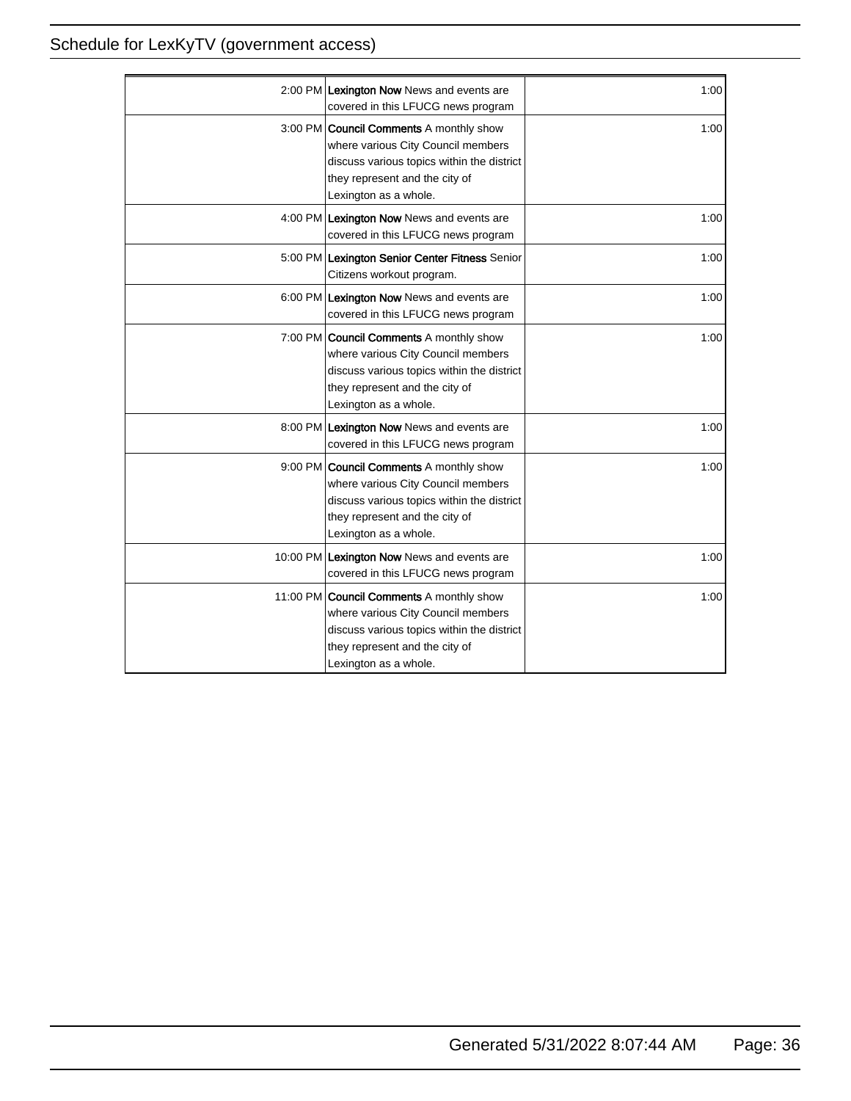| 2:00 PM Lexington Now News and events are<br>covered in this LFUCG news program                                                                                                               | 1:00 |
|-----------------------------------------------------------------------------------------------------------------------------------------------------------------------------------------------|------|
| 3:00 PM <b>Council Comments</b> A monthly show<br>where various City Council members<br>discuss various topics within the district<br>they represent and the city of<br>Lexington as a whole. | 1:00 |
| 4:00 PM Lexington Now News and events are<br>covered in this LFUCG news program                                                                                                               | 1:00 |
| 5:00 PM Lexington Senior Center Fitness Senior<br>Citizens workout program.                                                                                                                   | 1:00 |
| 6:00 PM Lexington Now News and events are<br>covered in this LFUCG news program                                                                                                               | 1:00 |
| 7:00 PM <b>Council Comments</b> A monthly show<br>where various City Council members<br>discuss various topics within the district<br>they represent and the city of<br>Lexington as a whole. | 1:00 |
| 8:00 PM Lexington Now News and events are<br>covered in this LFUCG news program                                                                                                               | 1:00 |
| 9:00 PM Council Comments A monthly show<br>where various City Council members<br>discuss various topics within the district<br>they represent and the city of<br>Lexington as a whole.        | 1:00 |
| 10:00 PM Lexington Now News and events are<br>covered in this LFUCG news program                                                                                                              | 1:00 |
| 11:00 PM Council Comments A monthly show<br>where various City Council members<br>discuss various topics within the district<br>they represent and the city of<br>Lexington as a whole.       | 1:00 |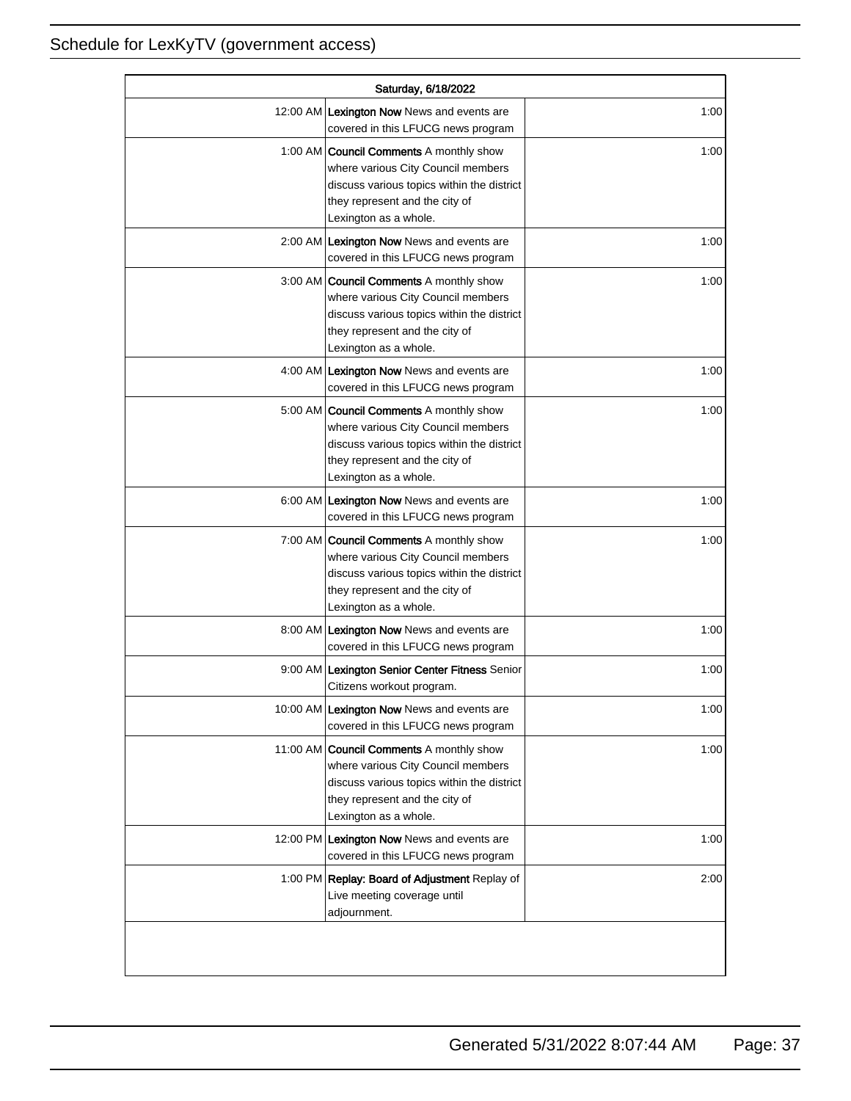| Saturday, 6/18/2022 |                                                                                                                                                                                               |      |
|---------------------|-----------------------------------------------------------------------------------------------------------------------------------------------------------------------------------------------|------|
|                     | 12:00 AM Lexington Now News and events are<br>covered in this LFUCG news program                                                                                                              | 1:00 |
|                     | 1:00 AM <b>Council Comments</b> A monthly show<br>where various City Council members<br>discuss various topics within the district<br>they represent and the city of<br>Lexington as a whole. | 1:00 |
|                     | 2:00 AM Lexington Now News and events are<br>covered in this LFUCG news program                                                                                                               | 1:00 |
|                     | 3:00 AM Council Comments A monthly show<br>where various City Council members<br>discuss various topics within the district<br>they represent and the city of<br>Lexington as a whole.        | 1:00 |
|                     | 4:00 AM Lexington Now News and events are<br>covered in this LFUCG news program                                                                                                               | 1:00 |
|                     | 5:00 AM   Council Comments A monthly show<br>where various City Council members<br>discuss various topics within the district<br>they represent and the city of<br>Lexington as a whole.      | 1:00 |
|                     | 6:00 AM Lexington Now News and events are<br>covered in this LFUCG news program                                                                                                               | 1:00 |
|                     | 7:00 AM <b>Council Comments</b> A monthly show<br>where various City Council members<br>discuss various topics within the district<br>they represent and the city of<br>Lexington as a whole. | 1:00 |
|                     | 8:00 AM Lexington Now News and events are<br>covered in this LFUCG news program                                                                                                               | 1:00 |
|                     | 9:00 AM Lexington Senior Center Fitness Senior<br>Citizens workout program.                                                                                                                   | 1:00 |
|                     | 10:00 AM Lexington Now News and events are<br>covered in this LFUCG news program                                                                                                              | 1:00 |
|                     | 11:00 AM Council Comments A monthly show<br>where various City Council members<br>discuss various topics within the district<br>they represent and the city of<br>Lexington as a whole.       | 1:00 |
|                     | 12:00 PM Lexington Now News and events are<br>covered in this LFUCG news program                                                                                                              | 1:00 |
|                     | 1:00 PM Replay: Board of Adjustment Replay of<br>Live meeting coverage until<br>adjournment.                                                                                                  | 2:00 |
|                     |                                                                                                                                                                                               |      |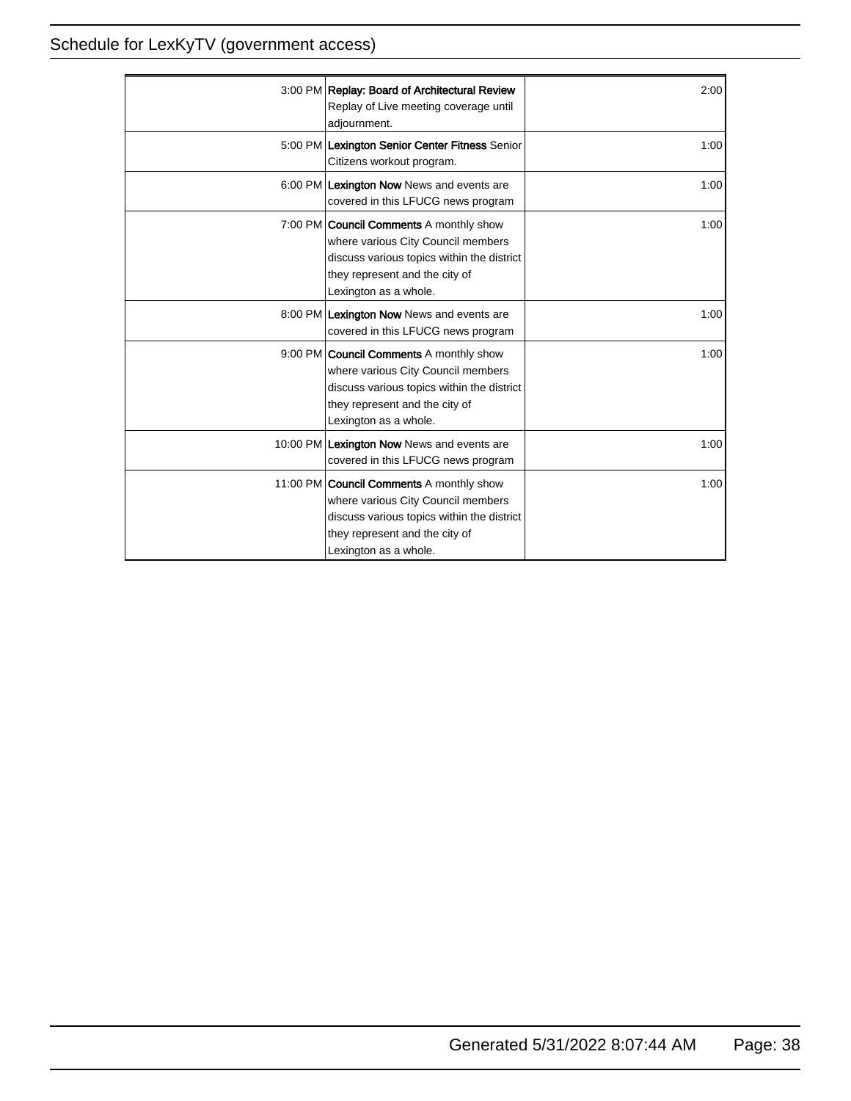| 3:00 PM Replay: Board of Architectural Review<br>Replay of Live meeting coverage until<br>adjournment.                                                                                         | 2:00 |
|------------------------------------------------------------------------------------------------------------------------------------------------------------------------------------------------|------|
| 5:00 PM Lexington Senior Center Fitness Senior<br>Citizens workout program.                                                                                                                    | 1:00 |
| 6:00 PM Lexington Now News and events are<br>covered in this LFUCG news program                                                                                                                | 1:00 |
| 7:00 PM   Council Comments A monthly show<br>where various City Council members<br>discuss various topics within the district<br>they represent and the city of<br>Lexington as a whole.       | 1:00 |
| 8:00 PM Lexington Now News and events are<br>covered in this LFUCG news program                                                                                                                | 1:00 |
| 9:00 PM   Council Comments A monthly show<br>where various City Council members<br>discuss various topics within the district<br>they represent and the city of<br>Lexington as a whole.       | 1:00 |
| 10:00 PM Lexington Now News and events are<br>covered in this LFUCG news program                                                                                                               | 1:00 |
| 11:00 PM <b>Council Comments</b> A monthly show<br>where various City Council members<br>discuss various topics within the district<br>they represent and the city of<br>Lexington as a whole. | 1:00 |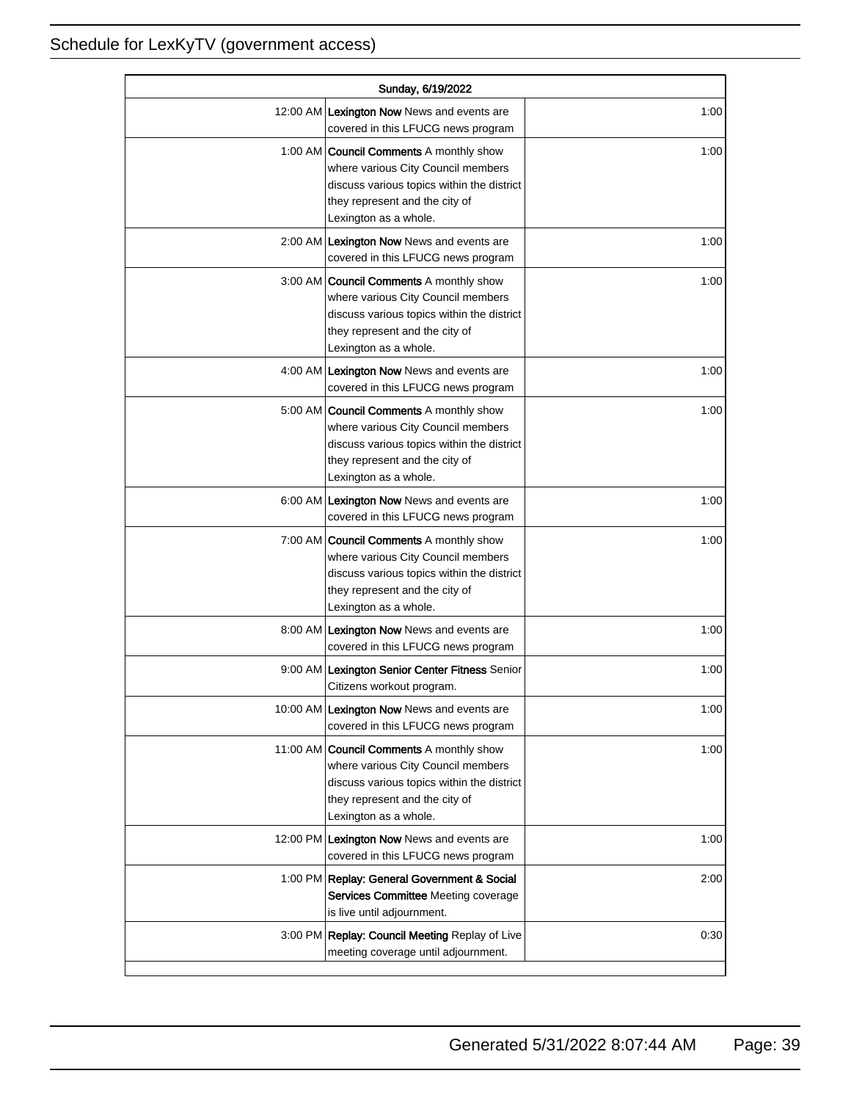| Sunday, 6/19/2022 |                                                                                                                                                                                               |      |
|-------------------|-----------------------------------------------------------------------------------------------------------------------------------------------------------------------------------------------|------|
|                   | 12:00 AM Lexington Now News and events are<br>covered in this LFUCG news program                                                                                                              | 1:00 |
|                   | 1:00 AM <b>Council Comments</b> A monthly show<br>where various City Council members<br>discuss various topics within the district<br>they represent and the city of<br>Lexington as a whole. | 1:00 |
|                   | 2:00 AM Lexington Now News and events are<br>covered in this LFUCG news program                                                                                                               | 1:00 |
|                   | 3:00 AM   Council Comments A monthly show<br>where various City Council members<br>discuss various topics within the district<br>they represent and the city of<br>Lexington as a whole.      | 1:00 |
|                   | 4:00 AM Lexington Now News and events are<br>covered in this LFUCG news program                                                                                                               | 1:00 |
|                   | 5:00 AM <b>Council Comments</b> A monthly show<br>where various City Council members<br>discuss various topics within the district<br>they represent and the city of<br>Lexington as a whole. | 1:00 |
|                   | 6:00 AM Lexington Now News and events are<br>covered in this LFUCG news program                                                                                                               | 1:00 |
|                   | 7:00 AM <b>Council Comments</b> A monthly show<br>where various City Council members<br>discuss various topics within the district<br>they represent and the city of<br>Lexington as a whole. | 1:00 |
|                   | 8:00 AM Lexington Now News and events are<br>covered in this LFUCG news program                                                                                                               | 1:00 |
|                   | 9:00 AM Lexington Senior Center Fitness Senior<br>Citizens workout program.                                                                                                                   | 1:00 |
|                   | 10:00 AM Lexington Now News and events are<br>covered in this LFUCG news program                                                                                                              | 1:00 |
|                   | 11:00 AM Council Comments A monthly show<br>where various City Council members<br>discuss various topics within the district<br>they represent and the city of<br>Lexington as a whole.       | 1:00 |
|                   | 12:00 PM Lexington Now News and events are<br>covered in this LFUCG news program                                                                                                              | 1:00 |
|                   | 1:00 PM Replay: General Government & Social<br>Services Committee Meeting coverage<br>is live until adjournment.                                                                              | 2:00 |
|                   | 3:00 PM Replay: Council Meeting Replay of Live<br>meeting coverage until adjournment.                                                                                                         | 0:30 |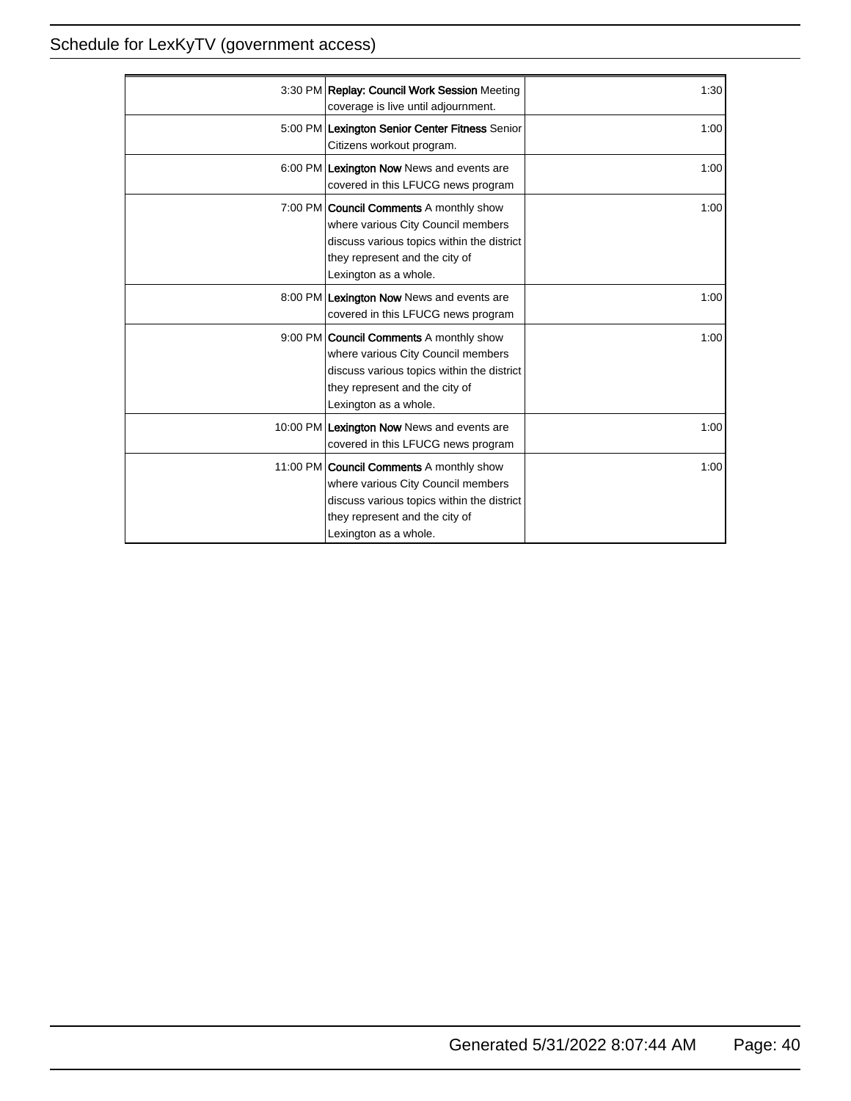| 3:30 PM Replay: Council Work Session Meeting<br>coverage is live until adjournment.                                                                                                            | 1:30 |
|------------------------------------------------------------------------------------------------------------------------------------------------------------------------------------------------|------|
| 5:00 PM Lexington Senior Center Fitness Senior<br>Citizens workout program.                                                                                                                    | 1:00 |
| 6:00 PM Lexington Now News and events are<br>covered in this LFUCG news program                                                                                                                | 1:00 |
| 7:00 PM <b>Council Comments</b> A monthly show<br>where various City Council members<br>discuss various topics within the district<br>they represent and the city of<br>Lexington as a whole.  | 1:00 |
| 8:00 PM Lexington Now News and events are<br>covered in this LFUCG news program                                                                                                                | 1:00 |
| 9:00 PM <b>Council Comments</b> A monthly show<br>where various City Council members<br>discuss various topics within the district<br>they represent and the city of<br>Lexington as a whole.  | 1:00 |
| 10:00 PM Lexington Now News and events are<br>covered in this LFUCG news program                                                                                                               | 1:00 |
| 11:00 PM <b>Council Comments</b> A monthly show<br>where various City Council members<br>discuss various topics within the district<br>they represent and the city of<br>Lexington as a whole. | 1:00 |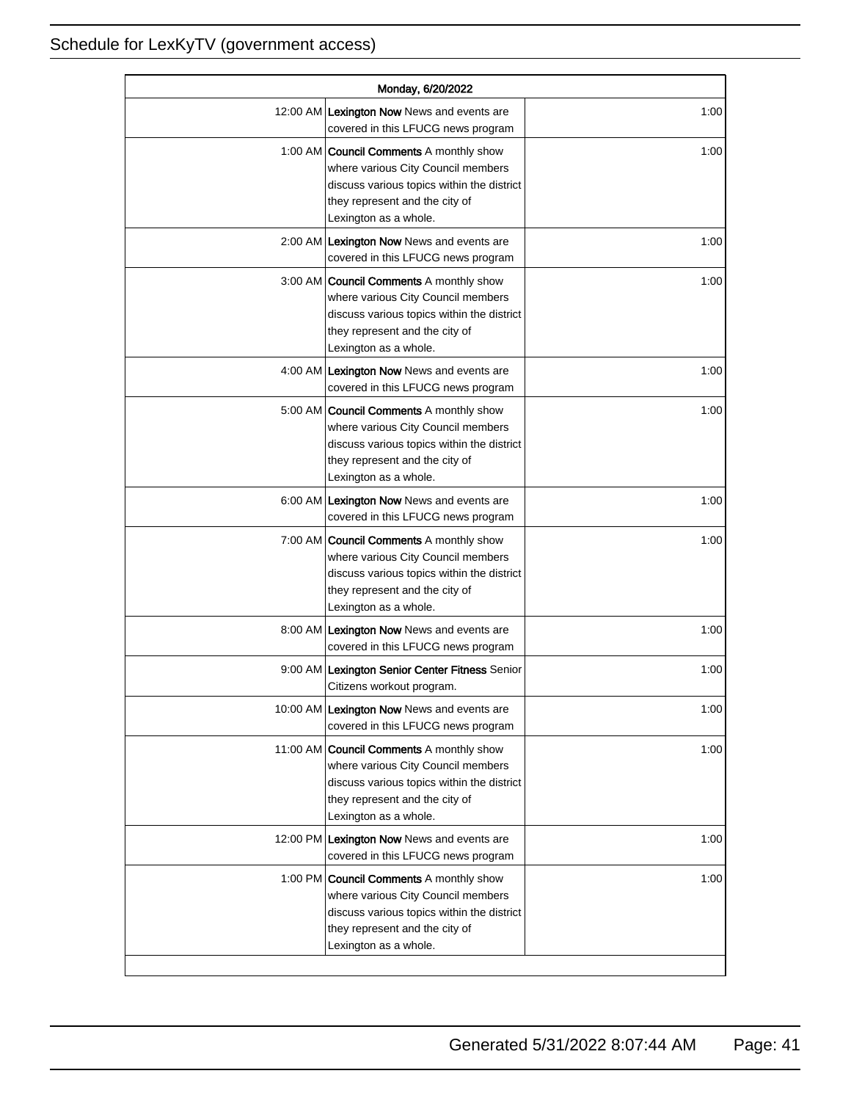| Monday, 6/20/2022 |                                                                                                                                                                                               |      |
|-------------------|-----------------------------------------------------------------------------------------------------------------------------------------------------------------------------------------------|------|
|                   | 12:00 AM Lexington Now News and events are<br>covered in this LFUCG news program                                                                                                              | 1:00 |
|                   | 1:00 AM <b>Council Comments</b> A monthly show<br>where various City Council members<br>discuss various topics within the district<br>they represent and the city of<br>Lexington as a whole. | 1:00 |
|                   | 2:00 AM Lexington Now News and events are<br>covered in this LFUCG news program                                                                                                               | 1:00 |
|                   | 3:00 AM Council Comments A monthly show<br>where various City Council members<br>discuss various topics within the district<br>they represent and the city of<br>Lexington as a whole.        | 1:00 |
|                   | 4:00 AM Lexington Now News and events are<br>covered in this LFUCG news program                                                                                                               | 1:00 |
|                   | 5:00 AM <b>Council Comments</b> A monthly show<br>where various City Council members<br>discuss various topics within the district<br>they represent and the city of<br>Lexington as a whole. | 1:00 |
|                   | 6:00 AM Lexington Now News and events are<br>covered in this LFUCG news program                                                                                                               | 1:00 |
|                   | 7:00 AM Council Comments A monthly show<br>where various City Council members<br>discuss various topics within the district<br>they represent and the city of<br>Lexington as a whole.        | 1:00 |
|                   | 8:00 AM Lexington Now News and events are<br>covered in this LFUCG news program                                                                                                               | 1:00 |
|                   | 9:00 AM Lexington Senior Center Fitness Senior<br>Citizens workout program.                                                                                                                   | 1:00 |
|                   | 10:00 AM Lexington Now News and events are<br>covered in this LFUCG news program                                                                                                              | 1:00 |
|                   | 11:00 AM Council Comments A monthly show<br>where various City Council members<br>discuss various topics within the district<br>they represent and the city of<br>Lexington as a whole.       | 1:00 |
|                   | 12:00 PM Lexington Now News and events are<br>covered in this LFUCG news program                                                                                                              | 1:00 |
|                   | 1:00 PM Council Comments A monthly show<br>where various City Council members<br>discuss various topics within the district<br>they represent and the city of<br>Lexington as a whole.        | 1:00 |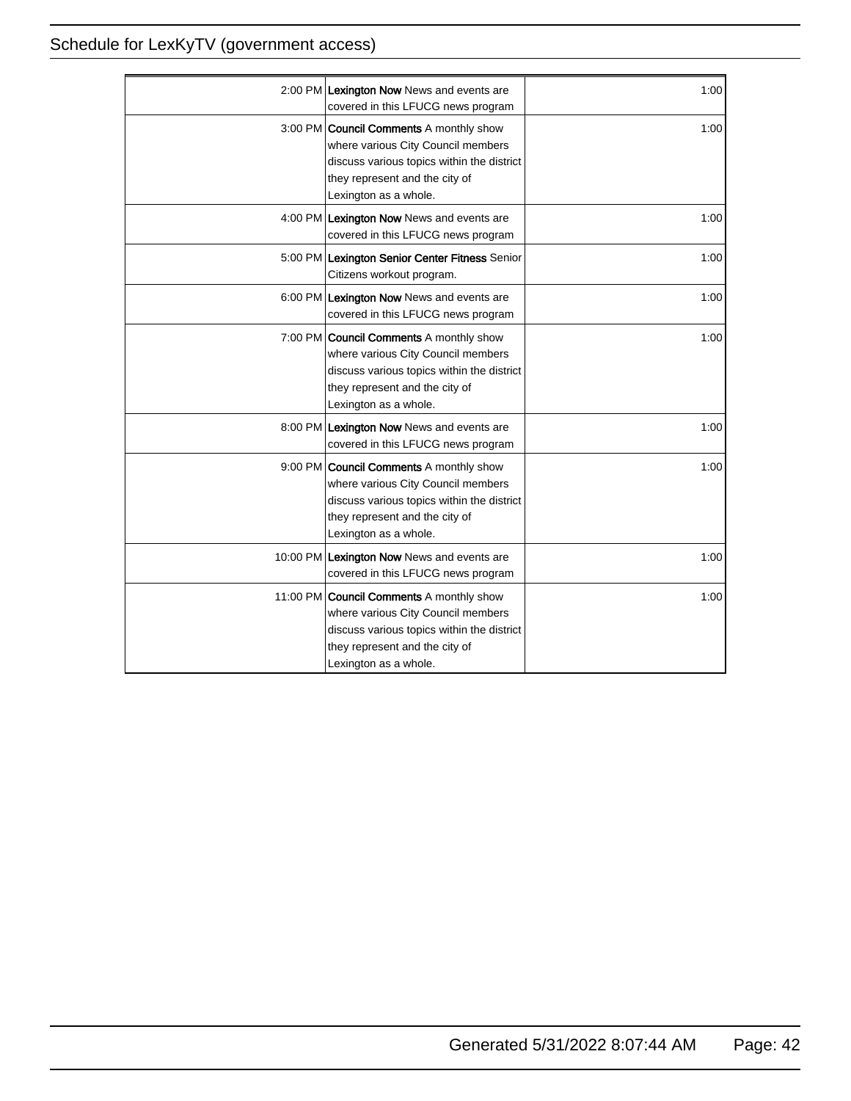| 2:00 PM Lexington Now News and events are<br>covered in this LFUCG news program                                                                                                                | 1:00 |
|------------------------------------------------------------------------------------------------------------------------------------------------------------------------------------------------|------|
| 3:00 PM <b>Council Comments</b> A monthly show<br>where various City Council members<br>discuss various topics within the district<br>they represent and the city of<br>Lexington as a whole.  | 1:00 |
| 4:00 PM Lexington Now News and events are<br>covered in this LFUCG news program                                                                                                                | 1:00 |
| 5:00 PM Lexington Senior Center Fitness Senior<br>Citizens workout program.                                                                                                                    | 1:00 |
| 6:00 PM Lexington Now News and events are<br>covered in this LFUCG news program                                                                                                                | 1:00 |
| 7:00 PM <b>Council Comments</b> A monthly show<br>where various City Council members<br>discuss various topics within the district<br>they represent and the city of<br>Lexington as a whole.  | 1:00 |
| 8:00 PM Lexington Now News and events are<br>covered in this LFUCG news program                                                                                                                | 1:00 |
| 9:00 PM Council Comments A monthly show<br>where various City Council members<br>discuss various topics within the district<br>they represent and the city of<br>Lexington as a whole.         | 1:00 |
| 10:00 PM Lexington Now News and events are<br>covered in this LFUCG news program                                                                                                               | 1:00 |
| 11:00 PM <b>Council Comments</b> A monthly show<br>where various City Council members<br>discuss various topics within the district<br>they represent and the city of<br>Lexington as a whole. | 1:00 |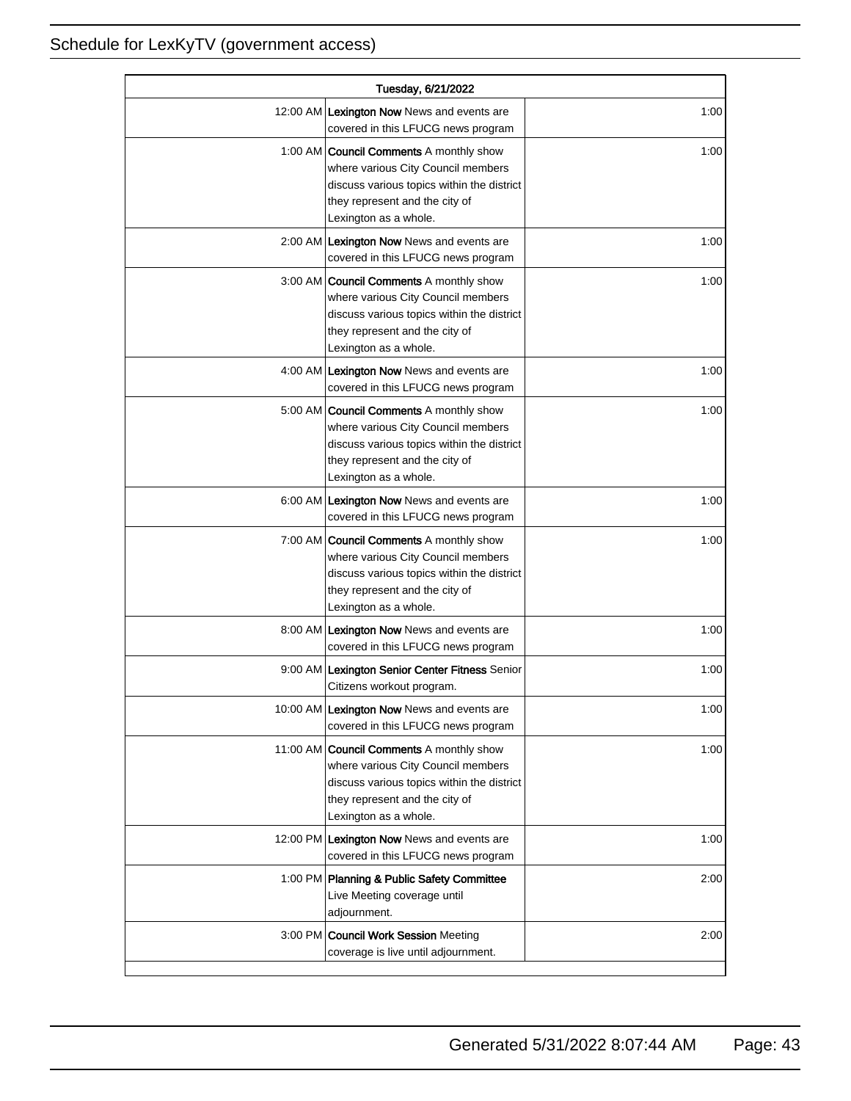| Tuesday, 6/21/2022 |                                                                                                                                                                                               |      |
|--------------------|-----------------------------------------------------------------------------------------------------------------------------------------------------------------------------------------------|------|
|                    | 12:00 AM Lexington Now News and events are<br>covered in this LFUCG news program                                                                                                              | 1:00 |
|                    | 1:00 AM <b>Council Comments</b> A monthly show<br>where various City Council members<br>discuss various topics within the district<br>they represent and the city of<br>Lexington as a whole. | 1:00 |
|                    | 2:00 AM Lexington Now News and events are<br>covered in this LFUCG news program                                                                                                               | 1:00 |
|                    | 3:00 AM   Council Comments A monthly show<br>where various City Council members<br>discuss various topics within the district<br>they represent and the city of<br>Lexington as a whole.      | 1:00 |
|                    | 4:00 AM Lexington Now News and events are<br>covered in this LFUCG news program                                                                                                               | 1:00 |
|                    | 5:00 AM <b>Council Comments</b> A monthly show<br>where various City Council members<br>discuss various topics within the district<br>they represent and the city of<br>Lexington as a whole. | 1:00 |
|                    | 6:00 AM Lexington Now News and events are<br>covered in this LFUCG news program                                                                                                               | 1:00 |
|                    | 7:00 AM <b>Council Comments</b> A monthly show<br>where various City Council members<br>discuss various topics within the district<br>they represent and the city of<br>Lexington as a whole. | 1:00 |
|                    | 8:00 AM Lexington Now News and events are<br>covered in this LFUCG news program                                                                                                               | 1:00 |
|                    | 9:00 AM Lexington Senior Center Fitness Senior<br>Citizens workout program.                                                                                                                   | 1:00 |
|                    | 10:00 AM Lexington Now News and events are<br>covered in this LFUCG news program                                                                                                              | 1:00 |
|                    | 11:00 AM Council Comments A monthly show<br>where various City Council members<br>discuss various topics within the district<br>they represent and the city of<br>Lexington as a whole.       | 1:00 |
|                    | 12:00 PM Lexington Now News and events are<br>covered in this LFUCG news program                                                                                                              | 1:00 |
|                    | 1:00 PM Planning & Public Safety Committee<br>Live Meeting coverage until<br>adjournment.                                                                                                     | 2:00 |
|                    | 3:00 PM Council Work Session Meeting<br>coverage is live until adjournment.                                                                                                                   | 2:00 |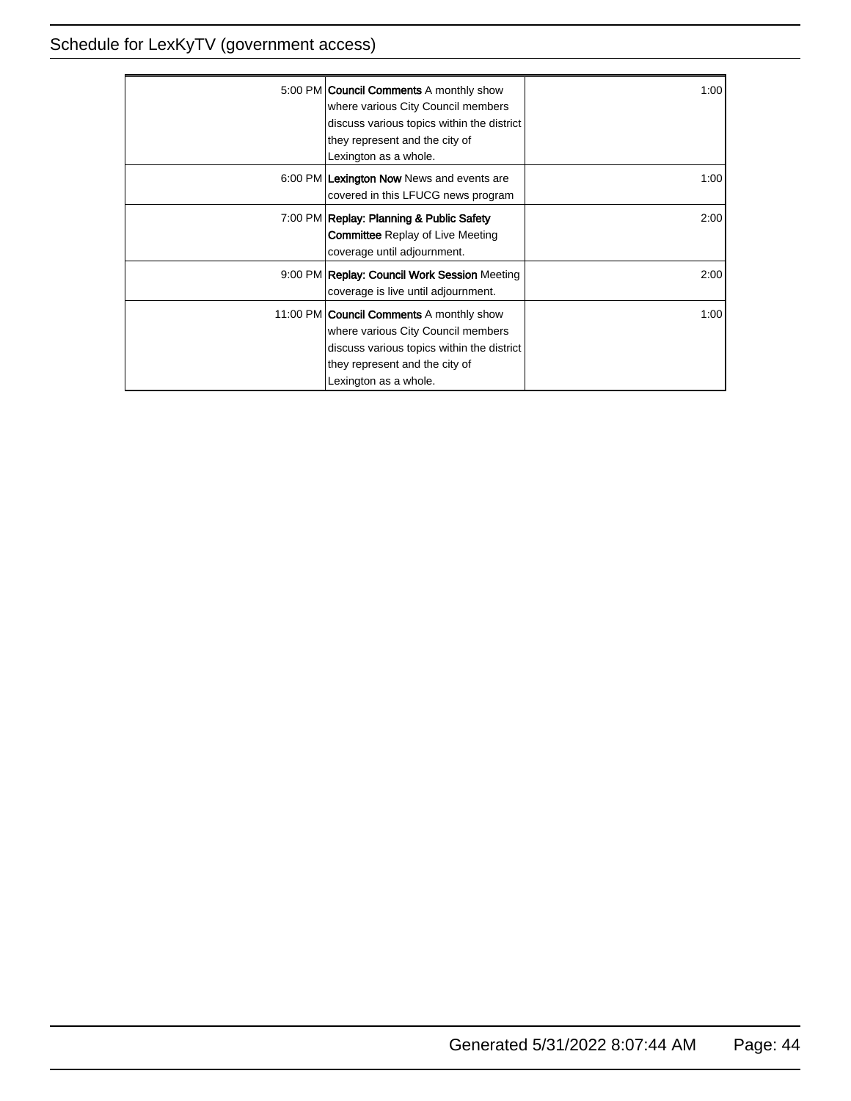| 5:00 PM <b>Council Comments</b> A monthly show<br>where various City Council members<br>discuss various topics within the district<br>they represent and the city of<br>Lexington as a whole.  | 1:001 |
|------------------------------------------------------------------------------------------------------------------------------------------------------------------------------------------------|-------|
| 6:00 PM Lexington Now News and events are<br>covered in this LFUCG news program                                                                                                                | 1:001 |
| 7:00 PM Replay: Planning & Public Safety<br><b>Committee Replay of Live Meeting</b><br>coverage until adjournment.                                                                             | 2:00  |
| 9:00 PM Replay: Council Work Session Meeting<br>coverage is live until adjournment.                                                                                                            | 2:00  |
| 11:00 PM <b>Council Comments</b> A monthly show<br>where various City Council members<br>discuss various topics within the district<br>they represent and the city of<br>Lexington as a whole. | 1:001 |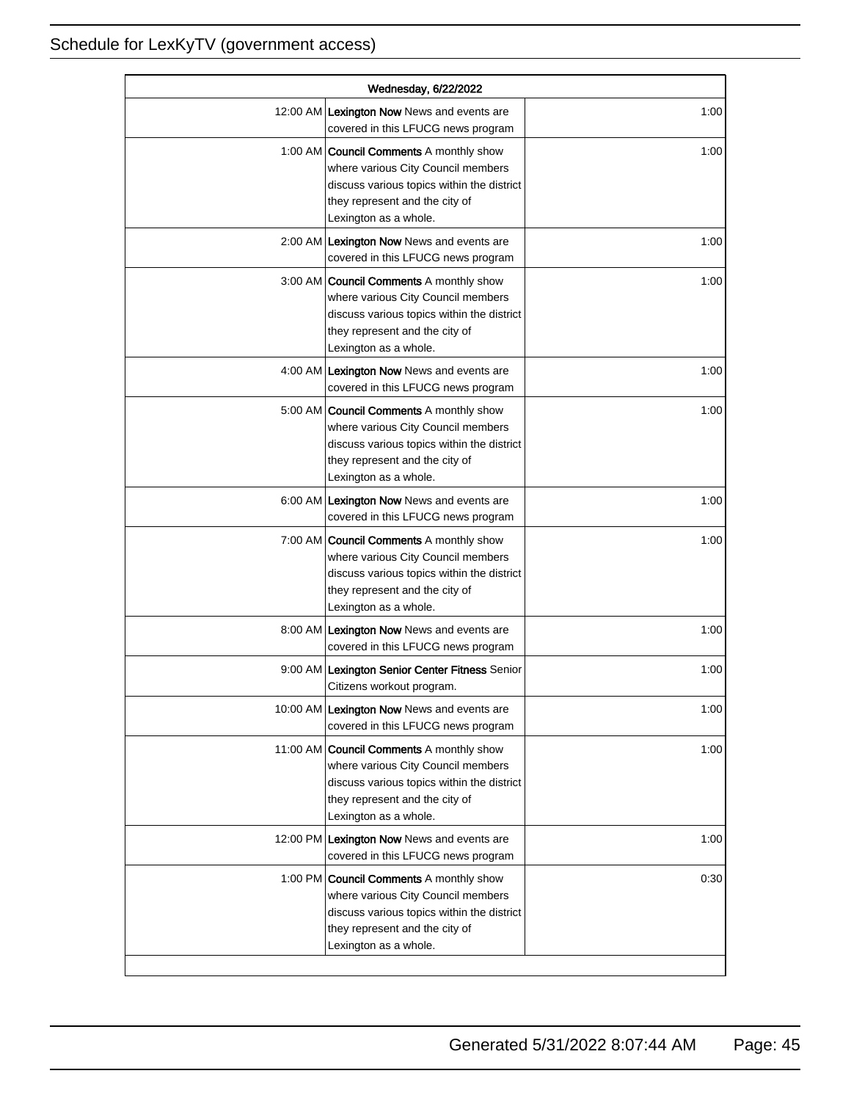| Wednesday, 6/22/2022 |                                                                                                                                                                                               |      |
|----------------------|-----------------------------------------------------------------------------------------------------------------------------------------------------------------------------------------------|------|
|                      | 12:00 AM Lexington Now News and events are<br>covered in this LFUCG news program                                                                                                              | 1:00 |
|                      | 1:00 AM <b>Council Comments</b> A monthly show<br>where various City Council members<br>discuss various topics within the district<br>they represent and the city of<br>Lexington as a whole. | 1:00 |
|                      | 2:00 AM Lexington Now News and events are<br>covered in this LFUCG news program                                                                                                               | 1:00 |
|                      | 3:00 AM Council Comments A monthly show<br>where various City Council members<br>discuss various topics within the district<br>they represent and the city of<br>Lexington as a whole.        | 1:00 |
|                      | 4:00 AM Lexington Now News and events are<br>covered in this LFUCG news program                                                                                                               | 1:00 |
|                      | 5:00 AM <b>Council Comments</b> A monthly show<br>where various City Council members<br>discuss various topics within the district<br>they represent and the city of<br>Lexington as a whole. | 1:00 |
|                      | 6:00 AM Lexington Now News and events are<br>covered in this LFUCG news program                                                                                                               | 1:00 |
|                      | 7:00 AM Council Comments A monthly show<br>where various City Council members<br>discuss various topics within the district<br>they represent and the city of<br>Lexington as a whole.        | 1:00 |
|                      | 8:00 AM Lexington Now News and events are<br>covered in this LFUCG news program                                                                                                               | 1:00 |
|                      | 9:00 AM Lexington Senior Center Fitness Senior<br>Citizens workout program.                                                                                                                   | 1:00 |
|                      | 10:00 AM Lexington Now News and events are<br>covered in this LFUCG news program                                                                                                              | 1:00 |
|                      | 11:00 AM Council Comments A monthly show<br>where various City Council members<br>discuss various topics within the district<br>they represent and the city of<br>Lexington as a whole.       | 1:00 |
|                      | 12:00 PM Lexington Now News and events are<br>covered in this LFUCG news program                                                                                                              | 1:00 |
|                      | 1:00 PM Council Comments A monthly show<br>where various City Council members<br>discuss various topics within the district<br>they represent and the city of<br>Lexington as a whole.        | 0:30 |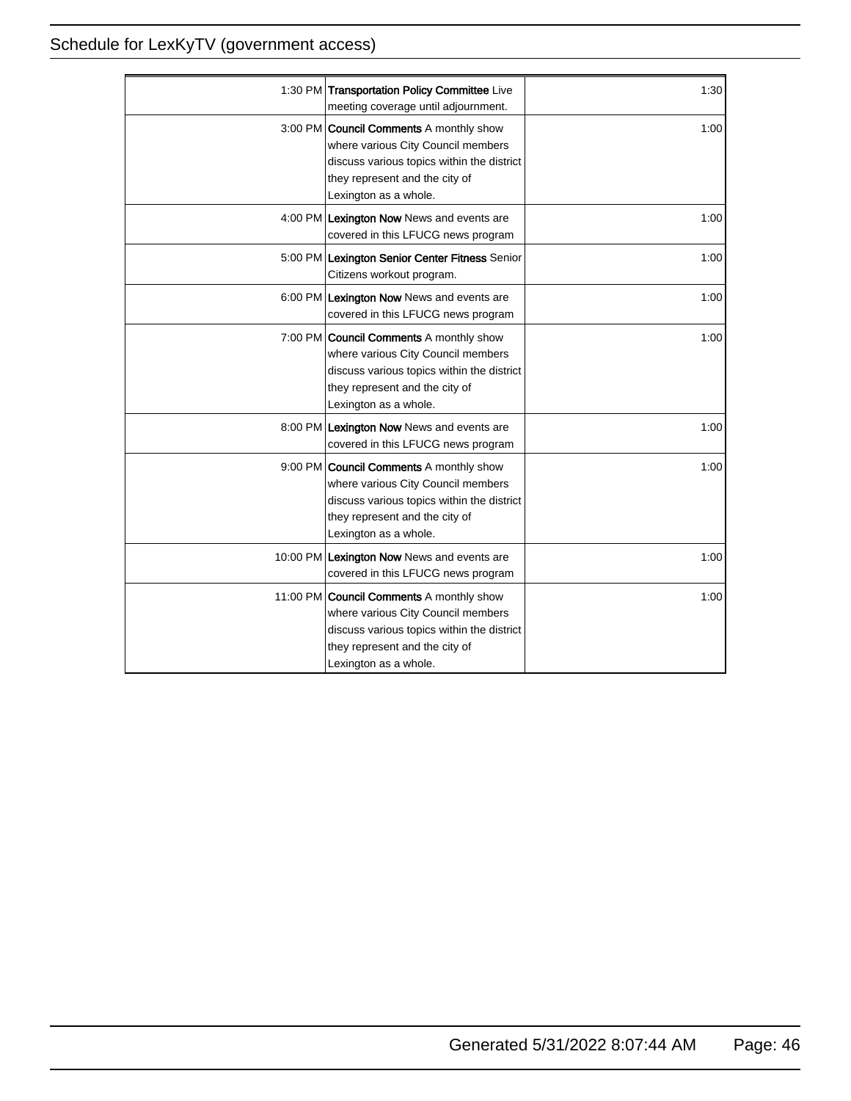| 1:30 PM Transportation Policy Committee Live<br>meeting coverage until adjournment.                                                                                                           | 1:30 |
|-----------------------------------------------------------------------------------------------------------------------------------------------------------------------------------------------|------|
| 3:00 PM Council Comments A monthly show<br>where various City Council members<br>discuss various topics within the district<br>they represent and the city of<br>Lexington as a whole.        | 1:00 |
| 4:00 PM Lexington Now News and events are<br>covered in this LFUCG news program                                                                                                               | 1:00 |
| 5:00 PM Lexington Senior Center Fitness Senior<br>Citizens workout program.                                                                                                                   | 1:00 |
| 6:00 PM Lexington Now News and events are<br>covered in this LFUCG news program                                                                                                               | 1:00 |
| 7:00 PM <b>Council Comments</b> A monthly show<br>where various City Council members<br>discuss various topics within the district<br>they represent and the city of<br>Lexington as a whole. | 1:00 |
| 8:00 PM Lexington Now News and events are<br>covered in this LFUCG news program                                                                                                               | 1:00 |
| 9:00 PM Council Comments A monthly show<br>where various City Council members<br>discuss various topics within the district<br>they represent and the city of<br>Lexington as a whole.        | 1:00 |
| 10:00 PM Lexington Now News and events are<br>covered in this LFUCG news program                                                                                                              | 1:00 |
| 11:00 PM Council Comments A monthly show<br>where various City Council members<br>discuss various topics within the district<br>they represent and the city of<br>Lexington as a whole.       | 1:00 |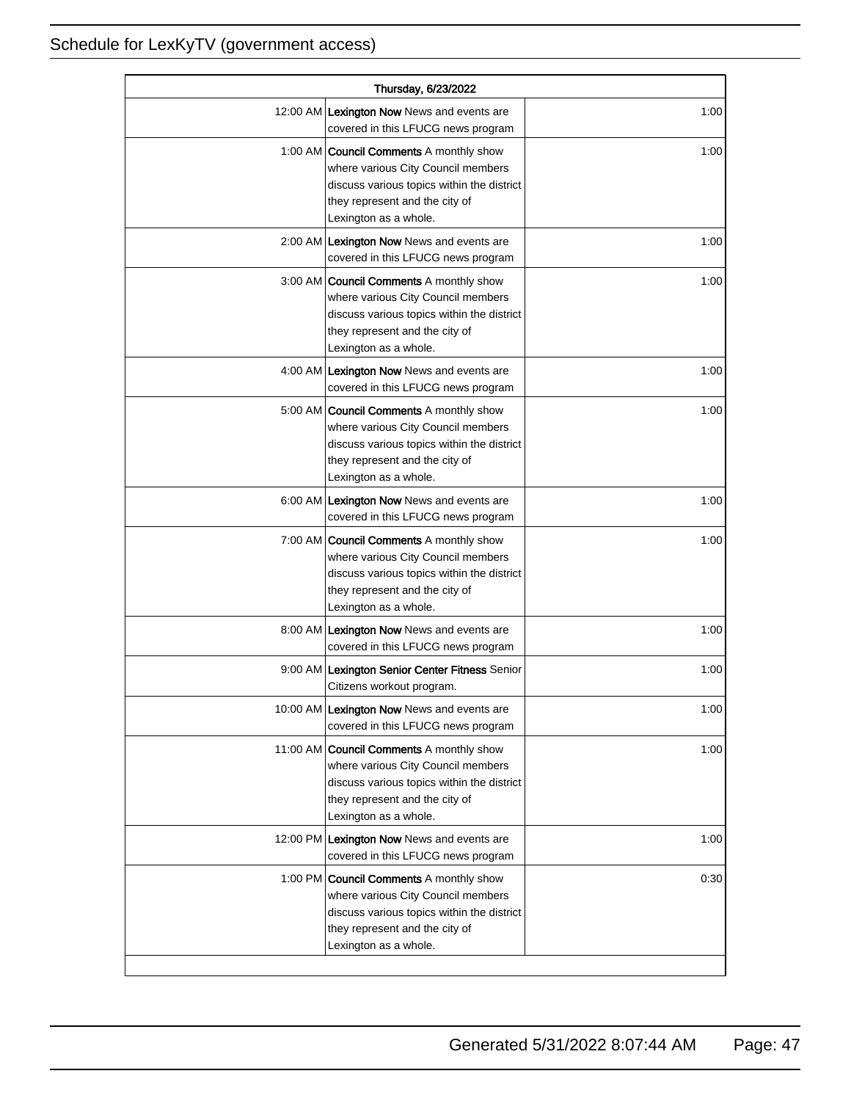| Thursday, 6/23/2022 |                                                                                                                                                                                               |      |
|---------------------|-----------------------------------------------------------------------------------------------------------------------------------------------------------------------------------------------|------|
|                     | 12:00 AM Lexington Now News and events are<br>covered in this LFUCG news program                                                                                                              | 1:00 |
|                     | 1:00 AM <b>Council Comments</b> A monthly show<br>where various City Council members<br>discuss various topics within the district<br>they represent and the city of<br>Lexington as a whole. | 1:00 |
|                     | 2:00 AM Lexington Now News and events are<br>covered in this LFUCG news program                                                                                                               | 1:00 |
|                     | 3:00 AM Council Comments A monthly show<br>where various City Council members<br>discuss various topics within the district<br>they represent and the city of<br>Lexington as a whole.        | 1:00 |
|                     | 4:00 AM Lexington Now News and events are<br>covered in this LFUCG news program                                                                                                               | 1:00 |
|                     | 5:00 AM <b>Council Comments</b> A monthly show<br>where various City Council members<br>discuss various topics within the district<br>they represent and the city of<br>Lexington as a whole. | 1:00 |
|                     | 6:00 AM Lexington Now News and events are<br>covered in this LFUCG news program                                                                                                               | 1:00 |
|                     | 7:00 AM Council Comments A monthly show<br>where various City Council members<br>discuss various topics within the district<br>they represent and the city of<br>Lexington as a whole.        | 1:00 |
|                     | 8:00 AM Lexington Now News and events are<br>covered in this LFUCG news program                                                                                                               | 1:00 |
|                     | 9:00 AM Lexington Senior Center Fitness Senior<br>Citizens workout program.                                                                                                                   | 1:00 |
|                     | 10:00 AM Lexington Now News and events are<br>covered in this LFUCG news program                                                                                                              | 1:00 |
|                     | 11:00 AM Council Comments A monthly show<br>where various City Council members<br>discuss various topics within the district<br>they represent and the city of<br>Lexington as a whole.       | 1:00 |
|                     | 12:00 PM Lexington Now News and events are<br>covered in this LFUCG news program                                                                                                              | 1:00 |
|                     | 1:00 PM Council Comments A monthly show<br>where various City Council members<br>discuss various topics within the district<br>they represent and the city of<br>Lexington as a whole.        | 0:30 |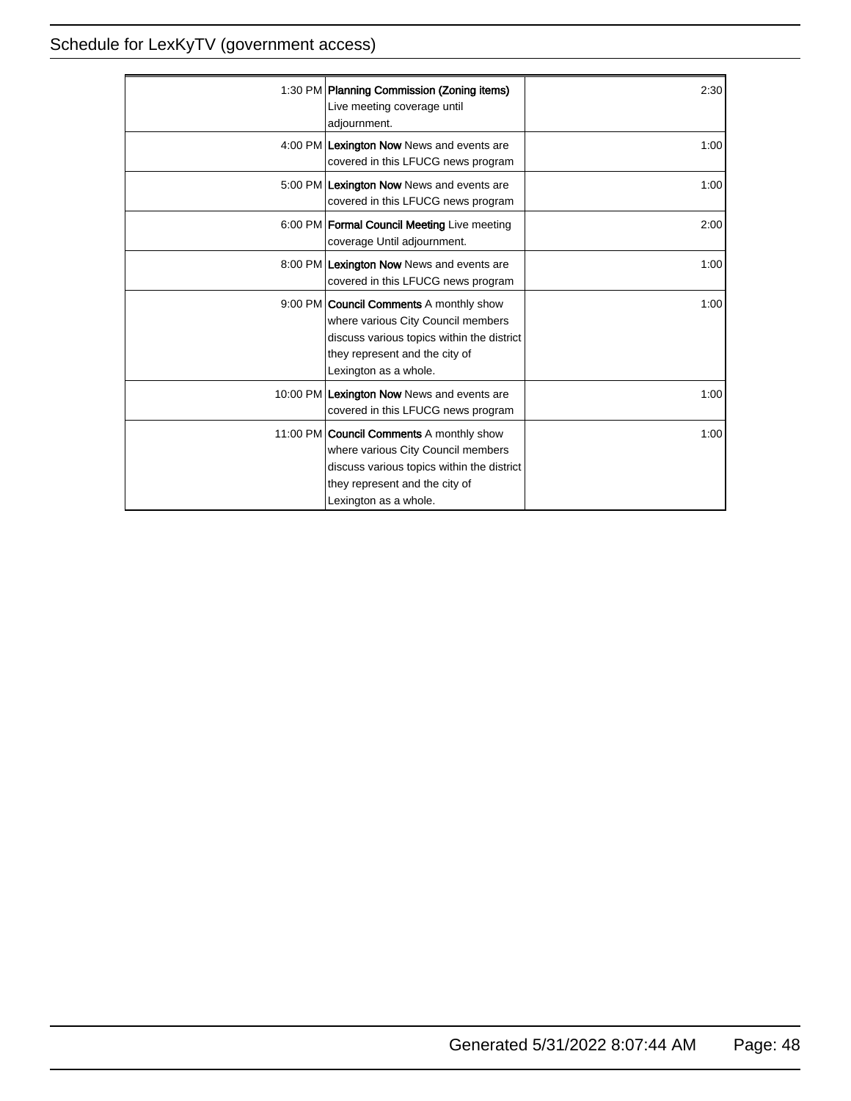| 1:30 PM Planning Commission (Zoning items)<br>Live meeting coverage until<br>adjournment.                                                                                                      | 2:30  |
|------------------------------------------------------------------------------------------------------------------------------------------------------------------------------------------------|-------|
| 4:00 PM Lexington Now News and events are<br>covered in this LFUCG news program                                                                                                                | 1:00  |
| 5:00 PM Lexington Now News and events are<br>covered in this LFUCG news program                                                                                                                | 1:00  |
| 6:00 PM   Formal Council Meeting Live meeting<br>coverage Until adjournment.                                                                                                                   | 2:00  |
| 8:00 PM Lexington Now News and events are<br>covered in this LFUCG news program                                                                                                                | 1:00  |
| 9:00 PM <b>Council Comments</b> A monthly show<br>where various City Council members<br>discuss various topics within the district<br>they represent and the city of<br>Lexington as a whole.  | 1:001 |
| 10:00 PM Lexington Now News and events are<br>covered in this LFUCG news program                                                                                                               | 1:00  |
| 11:00 PM <b>Council Comments</b> A monthly show<br>where various City Council members<br>discuss various topics within the district<br>they represent and the city of<br>Lexington as a whole. | 1:001 |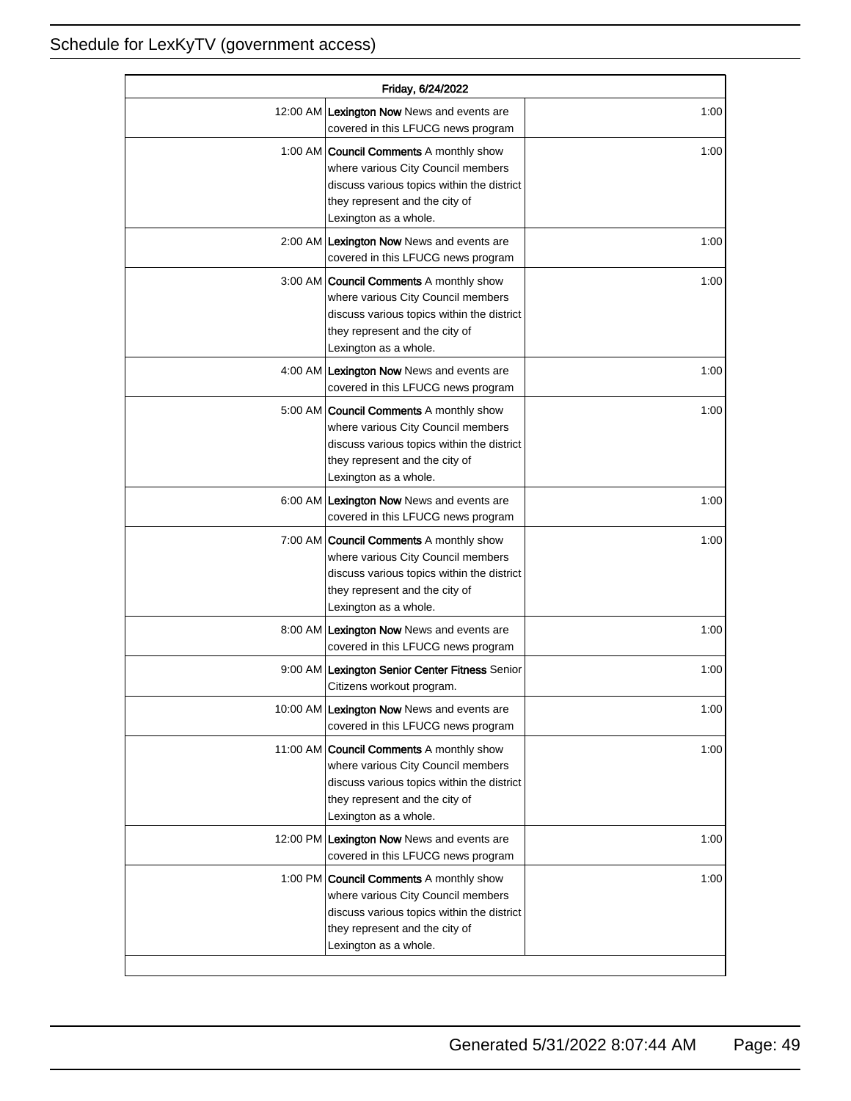| Friday, 6/24/2022 |                                                                                                                                                                                               |      |
|-------------------|-----------------------------------------------------------------------------------------------------------------------------------------------------------------------------------------------|------|
|                   | 12:00 AM Lexington Now News and events are<br>covered in this LFUCG news program                                                                                                              | 1:00 |
|                   | 1:00 AM <b>Council Comments</b> A monthly show<br>where various City Council members<br>discuss various topics within the district<br>they represent and the city of<br>Lexington as a whole. | 1:00 |
|                   | 2:00 AM Lexington Now News and events are<br>covered in this LFUCG news program                                                                                                               | 1:00 |
|                   | 3:00 AM   Council Comments A monthly show<br>where various City Council members<br>discuss various topics within the district<br>they represent and the city of<br>Lexington as a whole.      | 1:00 |
|                   | 4:00 AM Lexington Now News and events are<br>covered in this LFUCG news program                                                                                                               | 1:00 |
|                   | 5:00 AM <b>Council Comments</b> A monthly show<br>where various City Council members<br>discuss various topics within the district<br>they represent and the city of<br>Lexington as a whole. | 1:00 |
|                   | 6:00 AM Lexington Now News and events are<br>covered in this LFUCG news program                                                                                                               | 1:00 |
|                   | 7:00 AM <b>Council Comments</b> A monthly show<br>where various City Council members<br>discuss various topics within the district<br>they represent and the city of<br>Lexington as a whole. | 1:00 |
|                   | 8:00 AM Lexington Now News and events are<br>covered in this LFUCG news program                                                                                                               | 1:00 |
|                   | 9:00 AM Lexington Senior Center Fitness Senior<br>Citizens workout program.                                                                                                                   | 1:00 |
|                   | 10:00 AM Lexington Now News and events are<br>covered in this LFUCG news program                                                                                                              | 1:00 |
|                   | 11:00 AM Council Comments A monthly show<br>where various City Council members<br>discuss various topics within the district<br>they represent and the city of<br>Lexington as a whole.       | 1:00 |
|                   | 12:00 PM Lexington Now News and events are<br>covered in this LFUCG news program                                                                                                              | 1:00 |
|                   | 1:00 PM <b>Council Comments</b> A monthly show<br>where various City Council members<br>discuss various topics within the district<br>they represent and the city of<br>Lexington as a whole. | 1:00 |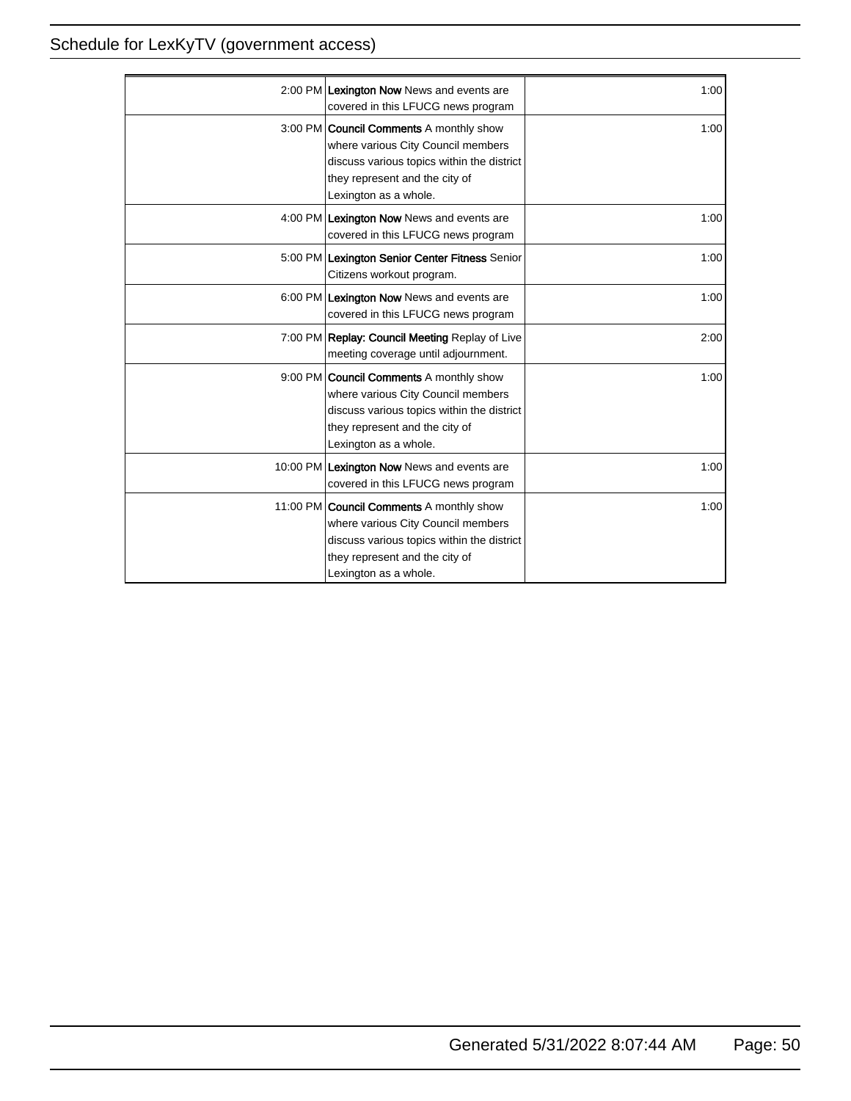| 2:00 PM Lexington Now News and events are<br>covered in this LFUCG news program                                                                                                               | 1:00 |
|-----------------------------------------------------------------------------------------------------------------------------------------------------------------------------------------------|------|
| 3:00 PM <b>Council Comments</b> A monthly show<br>where various City Council members<br>discuss various topics within the district<br>they represent and the city of<br>Lexington as a whole. | 1:00 |
| 4:00 PM Lexington Now News and events are<br>covered in this LFUCG news program                                                                                                               | 1:00 |
| 5:00 PM Lexington Senior Center Fitness Senior<br>Citizens workout program.                                                                                                                   | 1:00 |
| 6:00 PM Lexington Now News and events are<br>covered in this LFUCG news program                                                                                                               | 1:00 |
| 7:00 PM Replay: Council Meeting Replay of Live<br>meeting coverage until adjournment.                                                                                                         | 2:00 |
| 9:00 PM <b>Council Comments</b> A monthly show<br>where various City Council members<br>discuss various topics within the district<br>they represent and the city of<br>Lexington as a whole. | 1:00 |
| 10:00 PM Lexington Now News and events are<br>covered in this LFUCG news program                                                                                                              | 1:00 |
| 11:00 PM Council Comments A monthly show<br>where various City Council members<br>discuss various topics within the district<br>they represent and the city of<br>Lexington as a whole.       | 1:00 |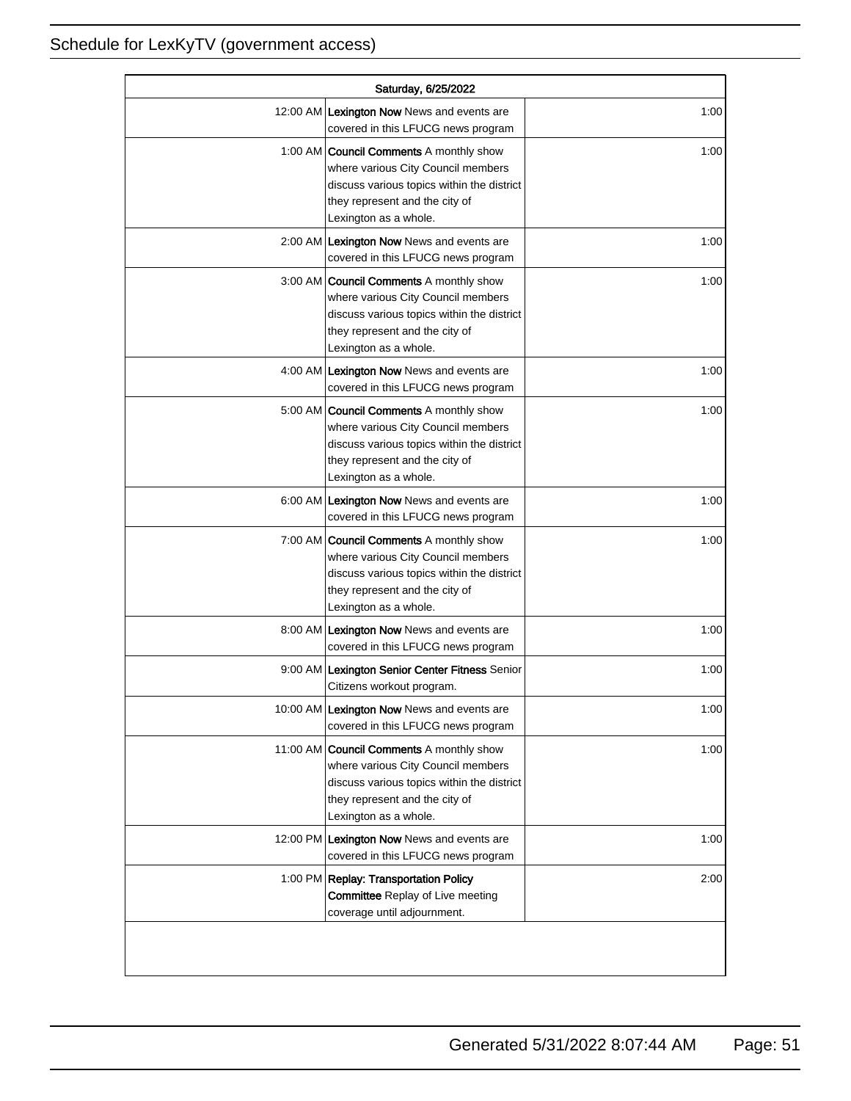| Saturday, 6/25/2022 |                                                                                                                                                                                               |      |
|---------------------|-----------------------------------------------------------------------------------------------------------------------------------------------------------------------------------------------|------|
|                     | 12:00 AM Lexington Now News and events are<br>covered in this LFUCG news program                                                                                                              | 1:00 |
|                     | 1:00 AM <b>Council Comments</b> A monthly show<br>where various City Council members<br>discuss various topics within the district<br>they represent and the city of<br>Lexington as a whole. | 1:00 |
|                     | 2:00 AM Lexington Now News and events are<br>covered in this LFUCG news program                                                                                                               | 1:00 |
|                     | 3:00 AM Council Comments A monthly show<br>where various City Council members<br>discuss various topics within the district<br>they represent and the city of<br>Lexington as a whole.        | 1:00 |
|                     | 4:00 AM Lexington Now News and events are<br>covered in this LFUCG news program                                                                                                               | 1:00 |
|                     | 5:00 AM <b>Council Comments</b> A monthly show<br>where various City Council members<br>discuss various topics within the district<br>they represent and the city of<br>Lexington as a whole. | 1:00 |
|                     | 6:00 AM Lexington Now News and events are<br>covered in this LFUCG news program                                                                                                               | 1:00 |
|                     | 7:00 AM <b>Council Comments</b> A monthly show<br>where various City Council members<br>discuss various topics within the district<br>they represent and the city of<br>Lexington as a whole. | 1:00 |
|                     | 8:00 AM Lexington Now News and events are<br>covered in this LFUCG news program                                                                                                               | 1:00 |
|                     | 9:00 AM Lexington Senior Center Fitness Senior<br>Citizens workout program.                                                                                                                   | 1:00 |
|                     | 10:00 AM Lexington Now News and events are<br>covered in this LFUCG news program                                                                                                              | 1:00 |
|                     | 11:00 AM Council Comments A monthly show<br>where various City Council members<br>discuss various topics within the district<br>they represent and the city of<br>Lexington as a whole.       | 1:00 |
|                     | 12:00 PM Lexington Now News and events are<br>covered in this LFUCG news program                                                                                                              | 1:00 |
|                     | 1:00 PM Replay: Transportation Policy<br><b>Committee Replay of Live meeting</b><br>coverage until adjournment.                                                                               | 2:00 |
|                     |                                                                                                                                                                                               |      |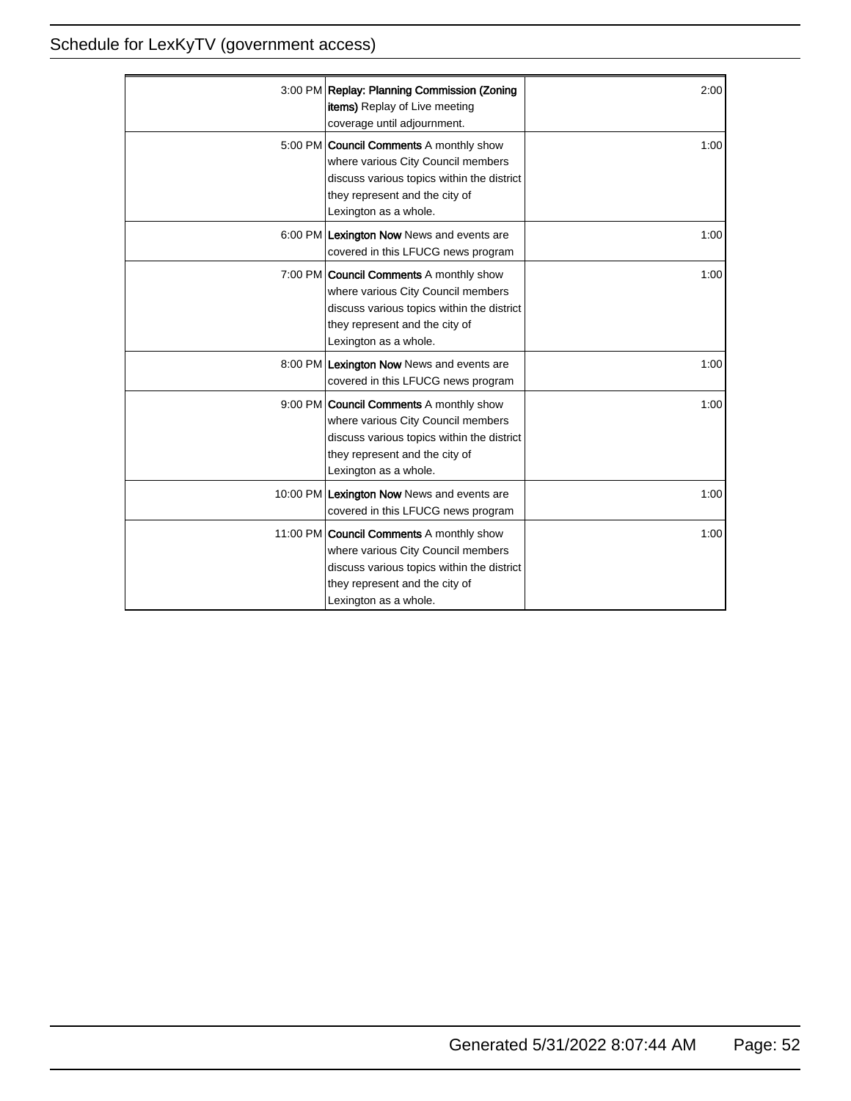| 3:00 PM Replay: Planning Commission (Zoning<br><b>items)</b> Replay of Live meeting<br>coverage until adjournment.                                                                             | 2:00 |
|------------------------------------------------------------------------------------------------------------------------------------------------------------------------------------------------|------|
| 5:00 PM <b>Council Comments</b> A monthly show<br>where various City Council members<br>discuss various topics within the district<br>they represent and the city of<br>Lexington as a whole.  | 1:00 |
| 6:00 PM Lexington Now News and events are<br>covered in this LFUCG news program                                                                                                                | 1:00 |
| 7:00 PM Council Comments A monthly show<br>where various City Council members<br>discuss various topics within the district<br>they represent and the city of<br>Lexington as a whole.         | 1:00 |
| 8:00 PM Lexington Now News and events are<br>covered in this LFUCG news program                                                                                                                | 1:00 |
| 9:00 PM <b>Council Comments</b> A monthly show<br>where various City Council members<br>discuss various topics within the district<br>they represent and the city of<br>Lexington as a whole.  | 1:00 |
| 10:00 PM Lexington Now News and events are<br>covered in this LFUCG news program                                                                                                               | 1:00 |
| 11:00 PM <b>Council Comments</b> A monthly show<br>where various City Council members<br>discuss various topics within the district<br>they represent and the city of<br>Lexington as a whole. | 1:00 |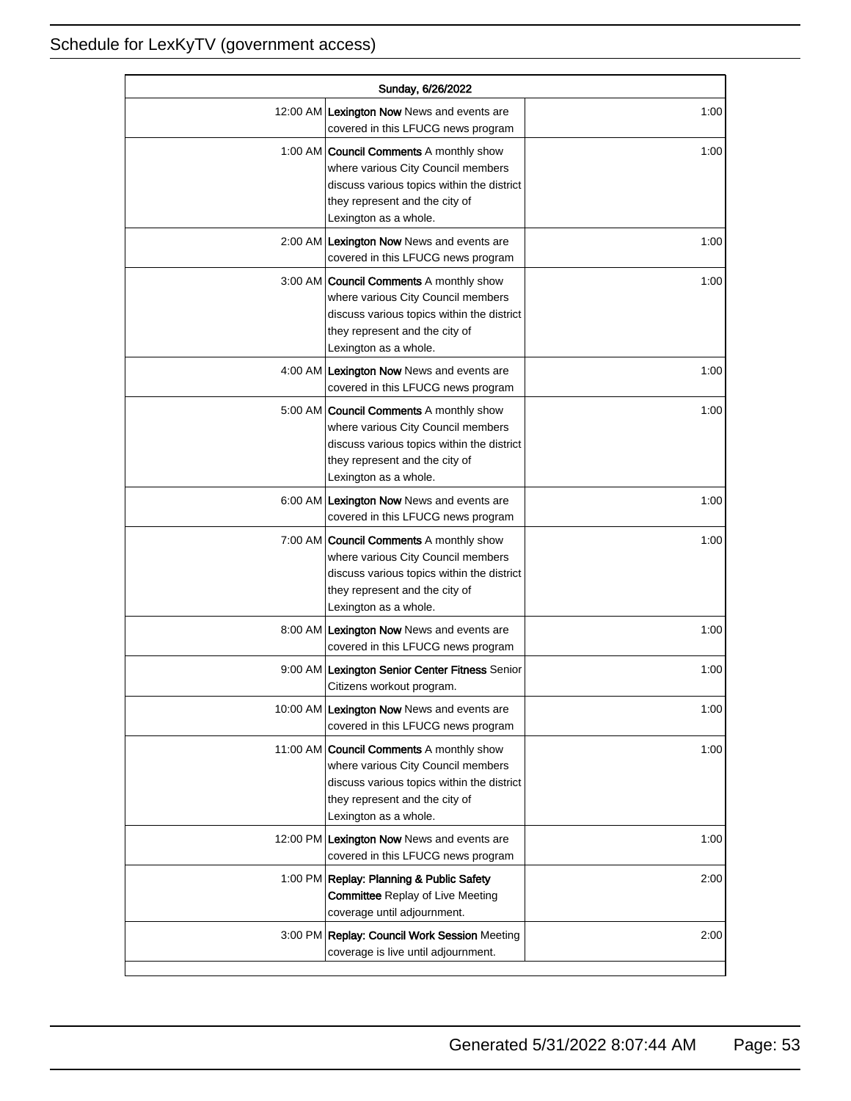| Sunday, 6/26/2022 |                                                                                                                                                                                               |      |
|-------------------|-----------------------------------------------------------------------------------------------------------------------------------------------------------------------------------------------|------|
|                   | 12:00 AM Lexington Now News and events are<br>covered in this LFUCG news program                                                                                                              | 1:00 |
|                   | 1:00 AM <b>Council Comments</b> A monthly show<br>where various City Council members<br>discuss various topics within the district<br>they represent and the city of<br>Lexington as a whole. | 1:00 |
|                   | 2:00 AM Lexington Now News and events are<br>covered in this LFUCG news program                                                                                                               | 1:00 |
|                   | 3:00 AM   Council Comments A monthly show<br>where various City Council members<br>discuss various topics within the district<br>they represent and the city of<br>Lexington as a whole.      | 1:00 |
|                   | 4:00 AM Lexington Now News and events are<br>covered in this LFUCG news program                                                                                                               | 1:00 |
|                   | 5:00 AM <b>Council Comments</b> A monthly show<br>where various City Council members<br>discuss various topics within the district<br>they represent and the city of<br>Lexington as a whole. | 1:00 |
|                   | 6:00 AM Lexington Now News and events are<br>covered in this LFUCG news program                                                                                                               | 1:00 |
|                   | 7:00 AM <b>Council Comments</b> A monthly show<br>where various City Council members<br>discuss various topics within the district<br>they represent and the city of<br>Lexington as a whole. | 1:00 |
|                   | 8:00 AM Lexington Now News and events are<br>covered in this LFUCG news program                                                                                                               | 1:00 |
|                   | 9:00 AM Lexington Senior Center Fitness Senior<br>Citizens workout program.                                                                                                                   | 1:00 |
|                   | 10:00 AM Lexington Now News and events are<br>covered in this LFUCG news program                                                                                                              | 1:00 |
|                   | 11:00 AM Council Comments A monthly show<br>where various City Council members<br>discuss various topics within the district<br>they represent and the city of<br>Lexington as a whole.       | 1:00 |
|                   | 12:00 PM Lexington Now News and events are<br>covered in this LFUCG news program                                                                                                              | 1:00 |
|                   | 1:00 PM Replay: Planning & Public Safety<br><b>Committee Replay of Live Meeting</b><br>coverage until adjournment.                                                                            | 2:00 |
|                   | 3:00 PM Replay: Council Work Session Meeting<br>coverage is live until adjournment.                                                                                                           | 2:00 |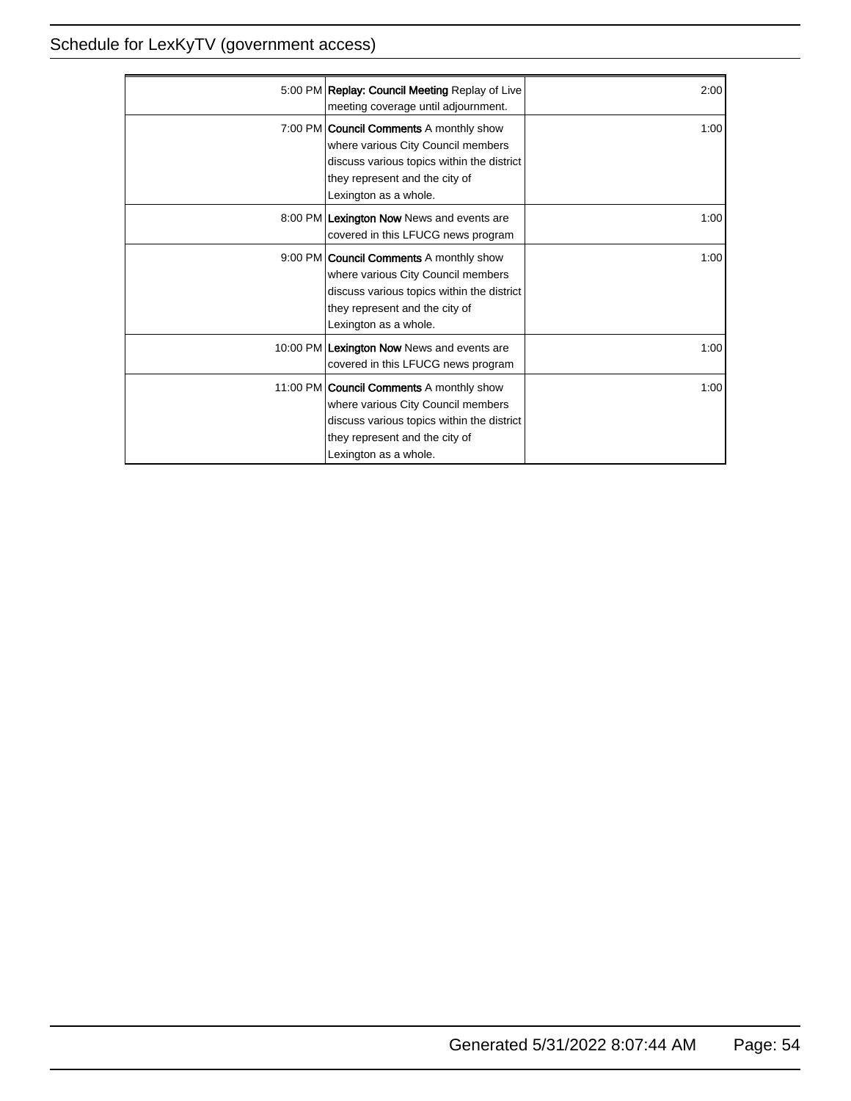| 5:00 PM   Replay: Council Meeting Replay of Live<br>meeting coverage until adjournment.                                                                                                        | 2:00 |
|------------------------------------------------------------------------------------------------------------------------------------------------------------------------------------------------|------|
| 7:00 PM <b>Council Comments</b> A monthly show<br>where various City Council members<br>discuss various topics within the district<br>they represent and the city of<br>Lexington as a whole.  | 1:00 |
| 8:00 PM Lexington Now News and events are<br>covered in this LFUCG news program                                                                                                                | 1:00 |
| 9:00 PM Council Comments A monthly show<br>where various City Council members<br>discuss various topics within the district<br>they represent and the city of<br>Lexington as a whole.         | 1:00 |
| 10:00 PM Lexington Now News and events are<br>covered in this LFUCG news program                                                                                                               | 1:00 |
| 11:00 PM <b>Council Comments</b> A monthly show<br>where various City Council members<br>discuss various topics within the district<br>they represent and the city of<br>Lexington as a whole. | 1:00 |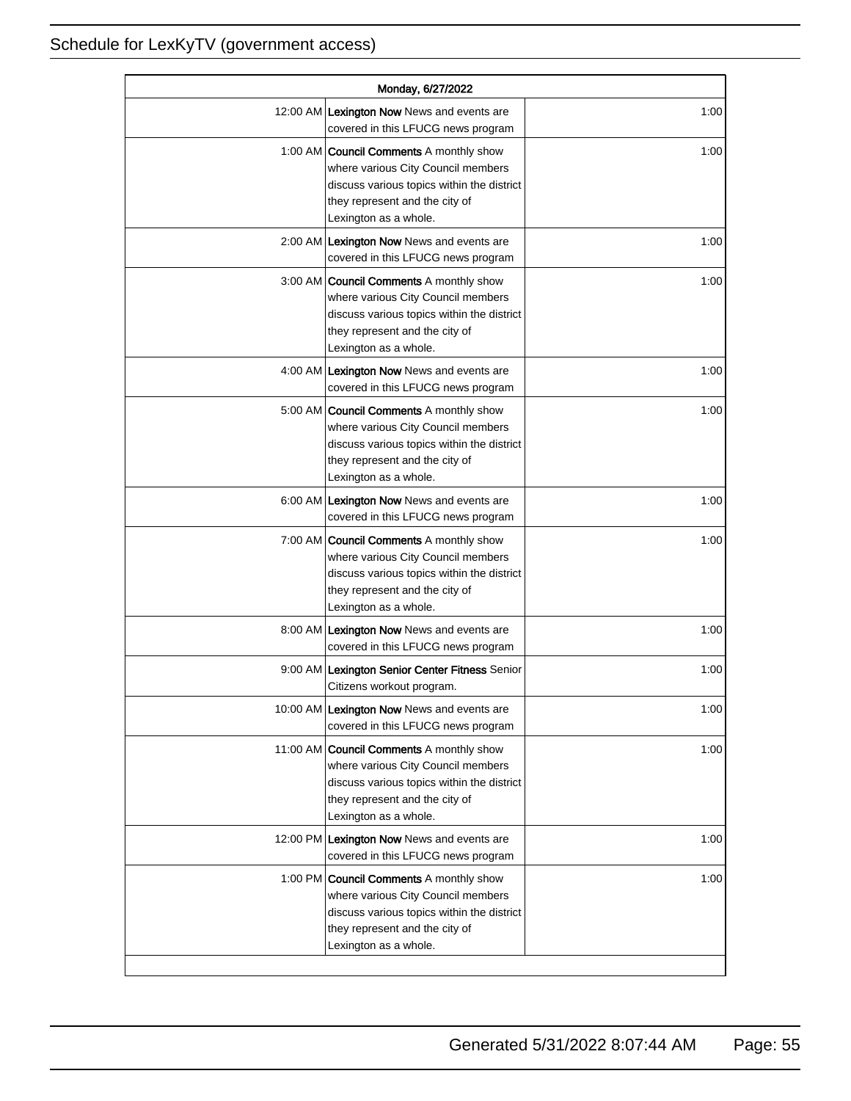| Monday, 6/27/2022 |                                                                                                                                                                                               |      |
|-------------------|-----------------------------------------------------------------------------------------------------------------------------------------------------------------------------------------------|------|
|                   | 12:00 AM Lexington Now News and events are<br>covered in this LFUCG news program                                                                                                              | 1:00 |
|                   | 1:00 AM <b>Council Comments</b> A monthly show<br>where various City Council members<br>discuss various topics within the district<br>they represent and the city of<br>Lexington as a whole. | 1:00 |
|                   | 2:00 AM Lexington Now News and events are<br>covered in this LFUCG news program                                                                                                               | 1:00 |
|                   | 3:00 AM Council Comments A monthly show<br>where various City Council members<br>discuss various topics within the district<br>they represent and the city of<br>Lexington as a whole.        | 1:00 |
|                   | 4:00 AM Lexington Now News and events are<br>covered in this LFUCG news program                                                                                                               | 1:00 |
|                   | 5:00 AM   Council Comments A monthly show<br>where various City Council members<br>discuss various topics within the district<br>they represent and the city of<br>Lexington as a whole.      | 1:00 |
|                   | 6:00 AM Lexington Now News and events are<br>covered in this LFUCG news program                                                                                                               | 1:00 |
|                   | 7:00 AM Council Comments A monthly show<br>where various City Council members<br>discuss various topics within the district<br>they represent and the city of<br>Lexington as a whole.        | 1:00 |
|                   | 8:00 AM Lexington Now News and events are<br>covered in this LFUCG news program                                                                                                               | 1:00 |
|                   | 9:00 AM Lexington Senior Center Fitness Senior<br>Citizens workout program.                                                                                                                   | 1:00 |
|                   | 10:00 AM Lexington Now News and events are<br>covered in this LFUCG news program                                                                                                              | 1:00 |
|                   | 11:00 AM Council Comments A monthly show<br>where various City Council members<br>discuss various topics within the district<br>they represent and the city of<br>Lexington as a whole.       | 1:00 |
|                   | 12:00 PM Lexington Now News and events are<br>covered in this LFUCG news program                                                                                                              | 1:00 |
|                   | 1:00 PM Council Comments A monthly show<br>where various City Council members<br>discuss various topics within the district<br>they represent and the city of<br>Lexington as a whole.        | 1:00 |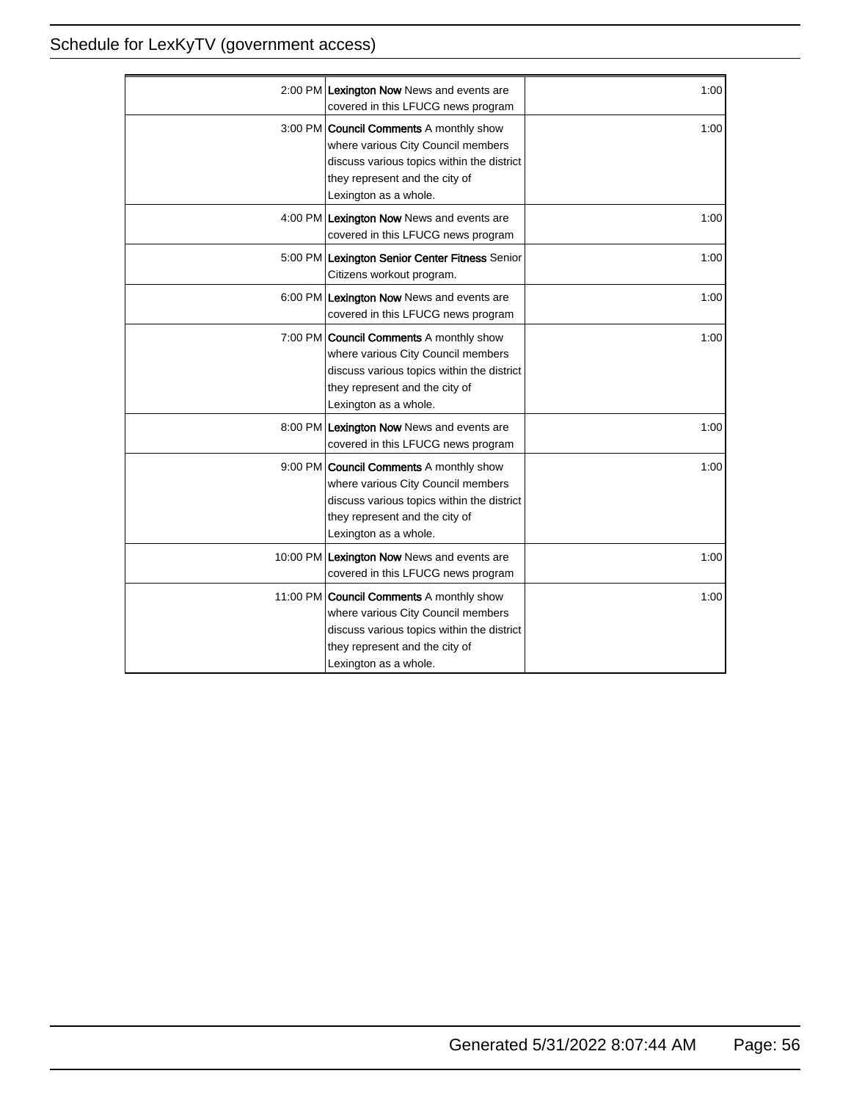| 2:00 PM Lexington Now News and events are<br>covered in this LFUCG news program                                                                                                               | 1:00 |
|-----------------------------------------------------------------------------------------------------------------------------------------------------------------------------------------------|------|
| 3:00 PM <b>Council Comments</b> A monthly show<br>where various City Council members<br>discuss various topics within the district<br>they represent and the city of<br>Lexington as a whole. | 1:00 |
| 4:00 PM Lexington Now News and events are<br>covered in this LFUCG news program                                                                                                               | 1:00 |
| 5:00 PM Lexington Senior Center Fitness Senior<br>Citizens workout program.                                                                                                                   | 1:00 |
| 6:00 PM Lexington Now News and events are<br>covered in this LFUCG news program                                                                                                               | 1:00 |
| 7:00 PM <b>Council Comments</b> A monthly show<br>where various City Council members<br>discuss various topics within the district<br>they represent and the city of<br>Lexington as a whole. | 1:00 |
| 8:00 PM Lexington Now News and events are<br>covered in this LFUCG news program                                                                                                               | 1:00 |
| 9:00 PM Council Comments A monthly show<br>where various City Council members<br>discuss various topics within the district<br>they represent and the city of<br>Lexington as a whole.        | 1:00 |
| 10:00 PM Lexington Now News and events are<br>covered in this LFUCG news program                                                                                                              | 1:00 |
| 11:00 PM Council Comments A monthly show<br>where various City Council members<br>discuss various topics within the district<br>they represent and the city of<br>Lexington as a whole.       | 1:00 |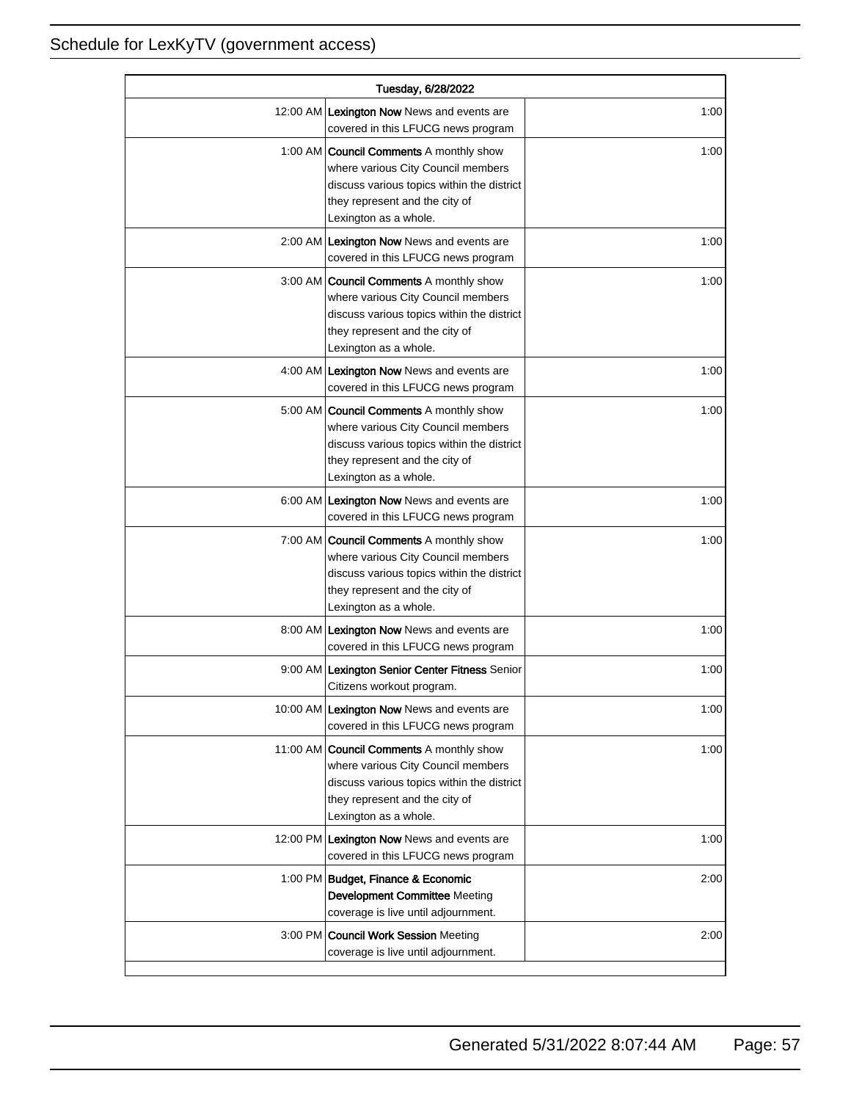| Tuesday, 6/28/2022 |                                                                                                                                                                                               |      |
|--------------------|-----------------------------------------------------------------------------------------------------------------------------------------------------------------------------------------------|------|
|                    | 12:00 AM Lexington Now News and events are<br>covered in this LFUCG news program                                                                                                              | 1:00 |
|                    | 1:00 AM <b>Council Comments</b> A monthly show<br>where various City Council members<br>discuss various topics within the district<br>they represent and the city of<br>Lexington as a whole. | 1:00 |
|                    | 2:00 AM Lexington Now News and events are<br>covered in this LFUCG news program                                                                                                               | 1:00 |
|                    | 3:00 AM   Council Comments A monthly show<br>where various City Council members<br>discuss various topics within the district<br>they represent and the city of<br>Lexington as a whole.      | 1:00 |
|                    | 4:00 AM Lexington Now News and events are<br>covered in this LFUCG news program                                                                                                               | 1:00 |
|                    | 5:00 AM <b>Council Comments</b> A monthly show<br>where various City Council members<br>discuss various topics within the district<br>they represent and the city of<br>Lexington as a whole. | 1:00 |
|                    | 6:00 AM Lexington Now News and events are<br>covered in this LFUCG news program                                                                                                               | 1:00 |
|                    | 7:00 AM <b>Council Comments</b> A monthly show<br>where various City Council members<br>discuss various topics within the district<br>they represent and the city of<br>Lexington as a whole. | 1:00 |
|                    | 8:00 AM Lexington Now News and events are<br>covered in this LFUCG news program                                                                                                               | 1:00 |
|                    | 9:00 AM Lexington Senior Center Fitness Senior<br>Citizens workout program.                                                                                                                   | 1:00 |
|                    | 10:00 AM Lexington Now News and events are<br>covered in this LFUCG news program                                                                                                              | 1:00 |
|                    | 11:00 AM Council Comments A monthly show<br>where various City Council members<br>discuss various topics within the district<br>they represent and the city of<br>Lexington as a whole.       | 1:00 |
|                    | 12:00 PM Lexington Now News and events are<br>covered in this LFUCG news program                                                                                                              | 1:00 |
|                    | 1:00 PM Budget, Finance & Economic<br>Development Committee Meeting<br>coverage is live until adjournment.                                                                                    | 2:00 |
|                    | 3:00 PM Council Work Session Meeting<br>coverage is live until adjournment.                                                                                                                   | 2:00 |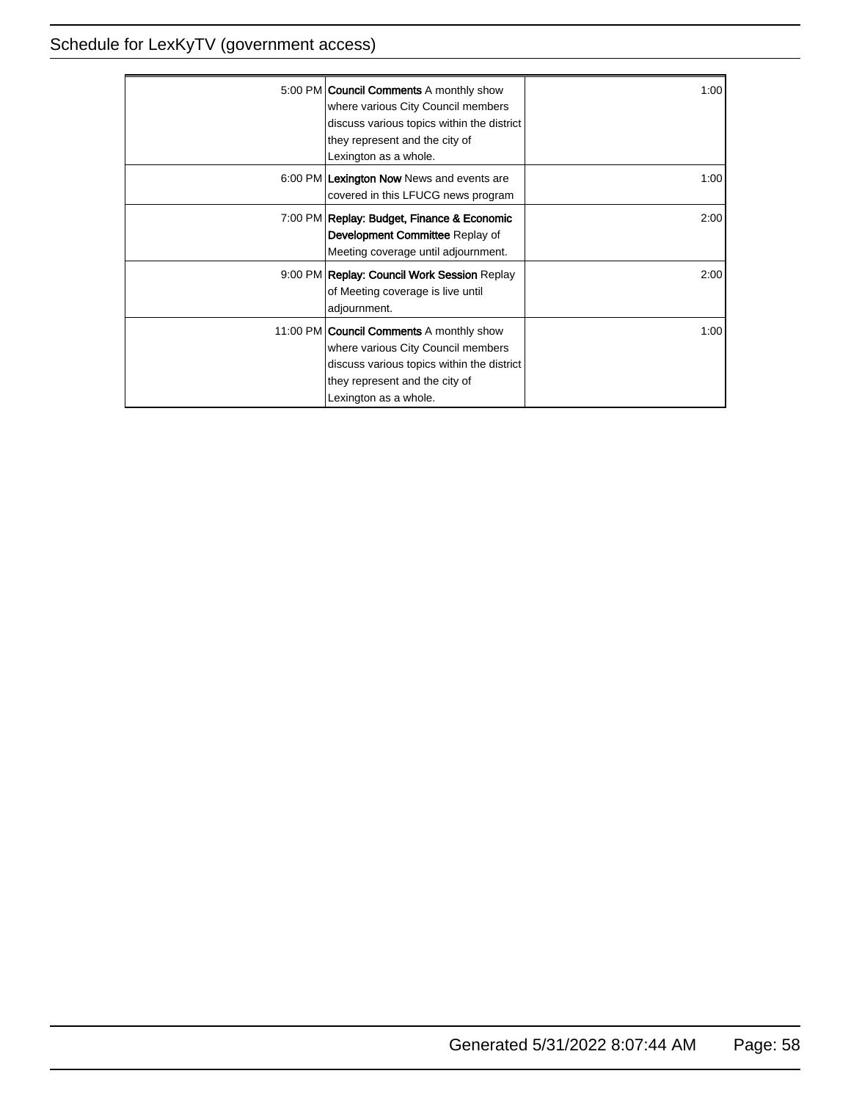| 5:00 PM <b>Council Comments</b> A monthly show<br>where various City Council members<br>discuss various topics within the district<br>they represent and the city of<br>Lexington as a whole.  | 1:00 |
|------------------------------------------------------------------------------------------------------------------------------------------------------------------------------------------------|------|
| 6:00 PM Lexington Now News and events are<br>covered in this LFUCG news program                                                                                                                | 1:00 |
| 7:00 PM Replay: Budget, Finance & Economic<br>Development Committee Replay of<br>Meeting coverage until adjournment.                                                                           | 2:00 |
| 9:00 PM Replay: Council Work Session Replay<br>of Meeting coverage is live until<br>adjournment.                                                                                               | 2:00 |
| 11:00 PM <b>Council Comments</b> A monthly show<br>where various City Council members<br>discuss various topics within the district<br>they represent and the city of<br>Lexington as a whole. | 1:00 |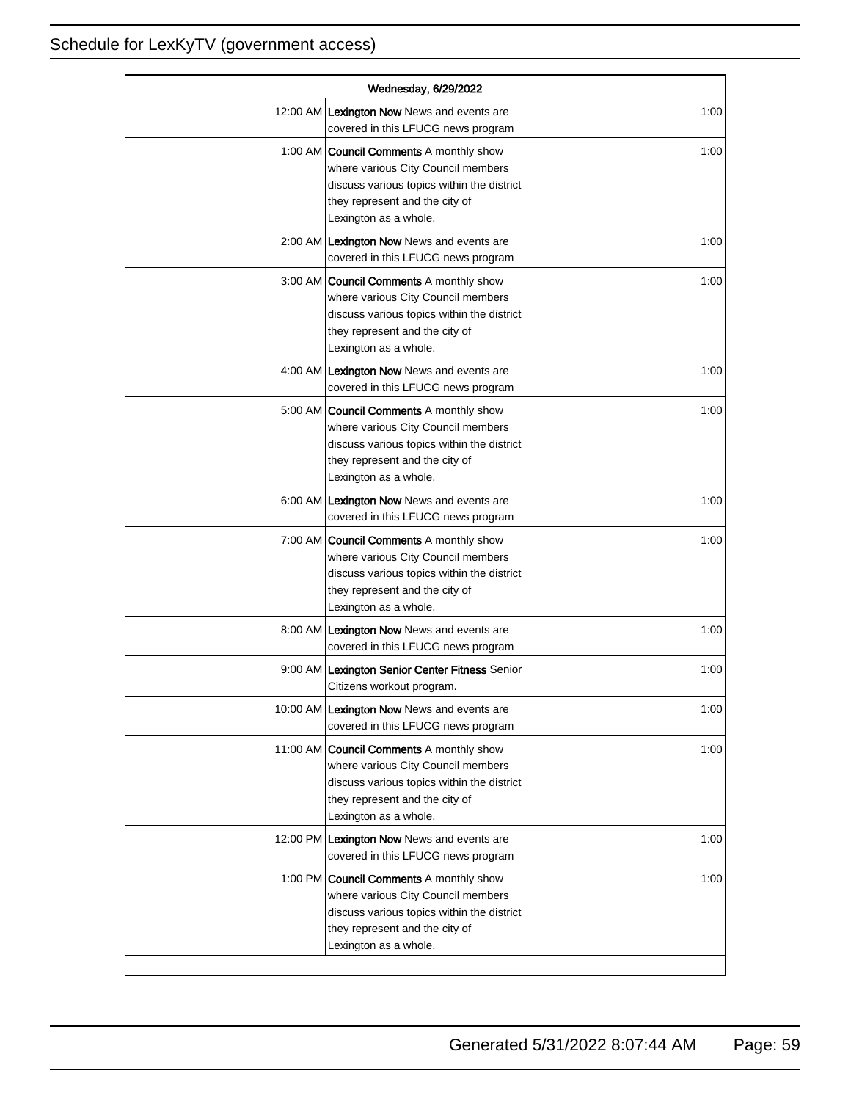| Wednesday, 6/29/2022 |                                                                                                                                                                                               |      |
|----------------------|-----------------------------------------------------------------------------------------------------------------------------------------------------------------------------------------------|------|
|                      | 12:00 AM Lexington Now News and events are<br>covered in this LFUCG news program                                                                                                              | 1:00 |
|                      | 1:00 AM <b>Council Comments</b> A monthly show<br>where various City Council members<br>discuss various topics within the district<br>they represent and the city of<br>Lexington as a whole. | 1:00 |
|                      | 2:00 AM Lexington Now News and events are<br>covered in this LFUCG news program                                                                                                               | 1:00 |
|                      | 3:00 AM Council Comments A monthly show<br>where various City Council members<br>discuss various topics within the district<br>they represent and the city of<br>Lexington as a whole.        | 1:00 |
|                      | 4:00 AM Lexington Now News and events are<br>covered in this LFUCG news program                                                                                                               | 1:00 |
|                      | 5:00 AM   Council Comments A monthly show<br>where various City Council members<br>discuss various topics within the district<br>they represent and the city of<br>Lexington as a whole.      | 1:00 |
|                      | 6:00 AM Lexington Now News and events are<br>covered in this LFUCG news program                                                                                                               | 1:00 |
|                      | 7:00 AM Council Comments A monthly show<br>where various City Council members<br>discuss various topics within the district<br>they represent and the city of<br>Lexington as a whole.        | 1:00 |
|                      | 8:00 AM Lexington Now News and events are<br>covered in this LFUCG news program                                                                                                               | 1:00 |
|                      | 9:00 AM Lexington Senior Center Fitness Senior<br>Citizens workout program.                                                                                                                   | 1:00 |
|                      | 10:00 AM Lexington Now News and events are<br>covered in this LFUCG news program                                                                                                              | 1:00 |
|                      | 11:00 AM Council Comments A monthly show<br>where various City Council members<br>discuss various topics within the district<br>they represent and the city of<br>Lexington as a whole.       | 1:00 |
|                      | 12:00 PM Lexington Now News and events are<br>covered in this LFUCG news program                                                                                                              | 1:00 |
|                      | 1:00 PM Council Comments A monthly show<br>where various City Council members<br>discuss various topics within the district<br>they represent and the city of<br>Lexington as a whole.        | 1:00 |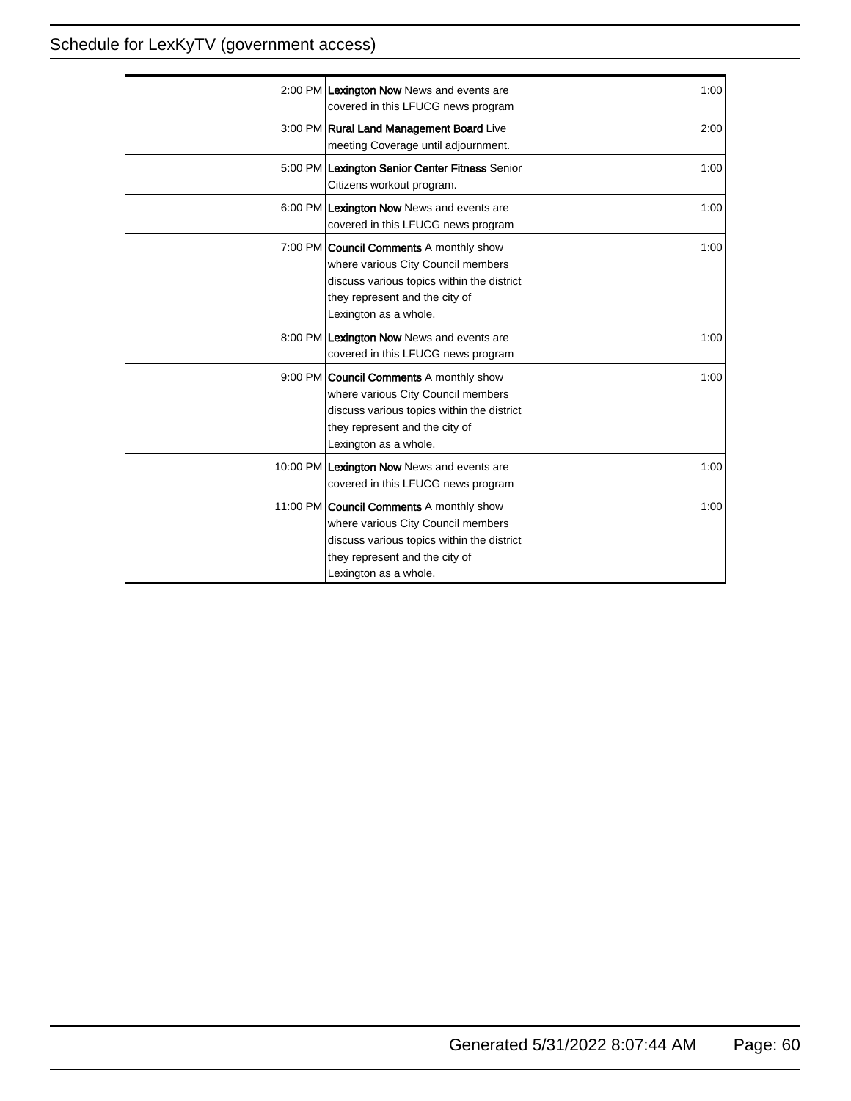|                                                | 1:00 |
|------------------------------------------------|------|
| 2:00 PM Lexington Now News and events are      |      |
| covered in this LFUCG news program             |      |
| 3:00 PM Rural Land Management Board Live       | 2:00 |
| meeting Coverage until adjournment.            |      |
| 5:00 PM Lexington Senior Center Fitness Senior | 1:00 |
| Citizens workout program.                      |      |
| 6:00 PM Lexington Now News and events are      | 1:00 |
| covered in this LFUCG news program             |      |
| 7:00 PM <b>Council Comments</b> A monthly show | 1:00 |
| where various City Council members             |      |
| discuss various topics within the district     |      |
|                                                |      |
| they represent and the city of                 |      |
| Lexington as a whole.                          |      |
| 8:00 PM Lexington Now News and events are      | 1:00 |
| covered in this LFUCG news program             |      |
| 9:00 PM <b>Council Comments</b> A monthly show | 1:00 |
| where various City Council members             |      |
| discuss various topics within the district     |      |
| they represent and the city of                 |      |
| Lexington as a whole.                          |      |
| 10:00 PM Lexington Now News and events are     | 1:00 |
| covered in this LFUCG news program             |      |
|                                                |      |
| 11:00 PM Council Comments A monthly show       | 1:00 |
| where various City Council members             |      |
| discuss various topics within the district     |      |
| they represent and the city of                 |      |
| Lexington as a whole.                          |      |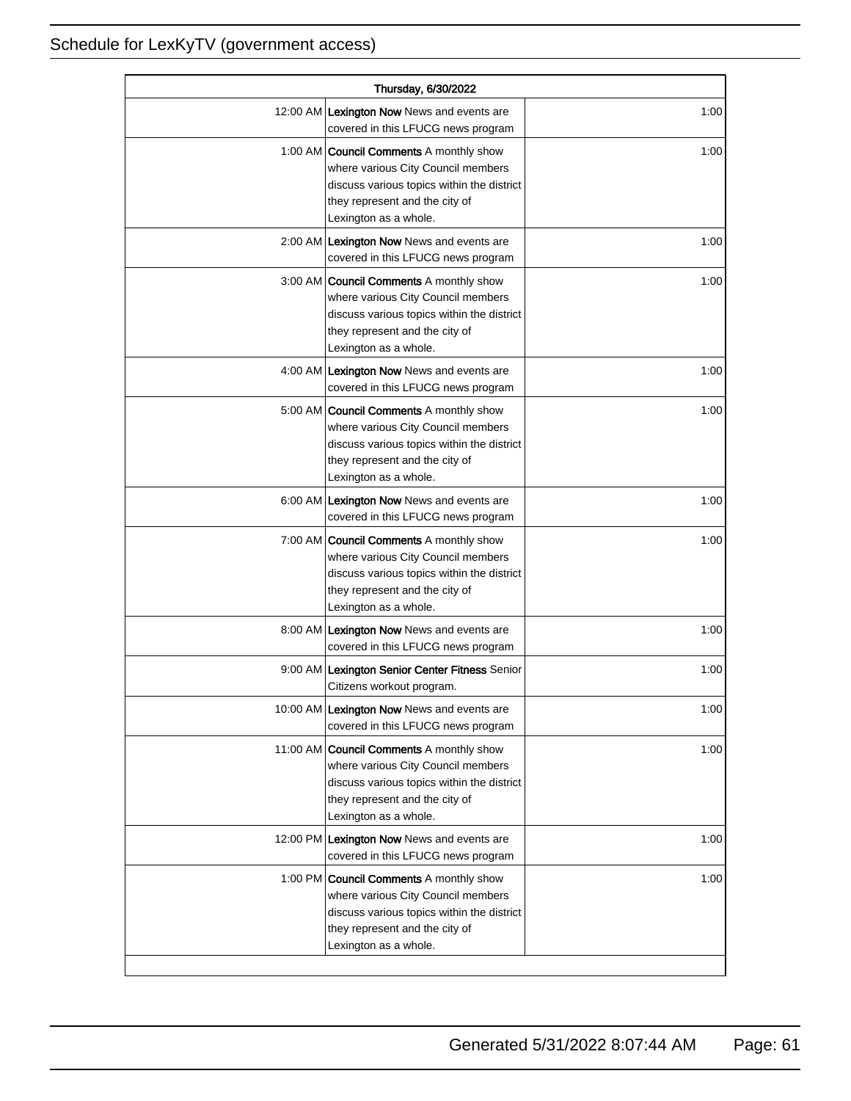| Thursday, 6/30/2022 |                                                                                                                                                                                               |      |
|---------------------|-----------------------------------------------------------------------------------------------------------------------------------------------------------------------------------------------|------|
|                     | 12:00 AM Lexington Now News and events are<br>covered in this LFUCG news program                                                                                                              | 1:00 |
|                     | 1:00 AM <b>Council Comments</b> A monthly show<br>where various City Council members<br>discuss various topics within the district<br>they represent and the city of<br>Lexington as a whole. | 1:00 |
|                     | 2:00 AM Lexington Now News and events are<br>covered in this LFUCG news program                                                                                                               | 1:00 |
|                     | 3:00 AM Council Comments A monthly show<br>where various City Council members<br>discuss various topics within the district<br>they represent and the city of<br>Lexington as a whole.        | 1:00 |
|                     | 4:00 AM Lexington Now News and events are<br>covered in this LFUCG news program                                                                                                               | 1:00 |
|                     | 5:00 AM   Council Comments A monthly show<br>where various City Council members<br>discuss various topics within the district<br>they represent and the city of<br>Lexington as a whole.      | 1:00 |
|                     | 6:00 AM Lexington Now News and events are<br>covered in this LFUCG news program                                                                                                               | 1:00 |
|                     | 7:00 AM Council Comments A monthly show<br>where various City Council members<br>discuss various topics within the district<br>they represent and the city of<br>Lexington as a whole.        | 1:00 |
|                     | 8:00 AM Lexington Now News and events are<br>covered in this LFUCG news program                                                                                                               | 1:00 |
|                     | 9:00 AM Lexington Senior Center Fitness Senior<br>Citizens workout program.                                                                                                                   | 1:00 |
|                     | 10:00 AM Lexington Now News and events are<br>covered in this LFUCG news program                                                                                                              | 1:00 |
|                     | 11:00 AM Council Comments A monthly show<br>where various City Council members<br>discuss various topics within the district<br>they represent and the city of<br>Lexington as a whole.       | 1:00 |
|                     | 12:00 PM Lexington Now News and events are<br>covered in this LFUCG news program                                                                                                              | 1:00 |
|                     | 1:00 PM Council Comments A monthly show<br>where various City Council members<br>discuss various topics within the district<br>they represent and the city of<br>Lexington as a whole.        | 1:00 |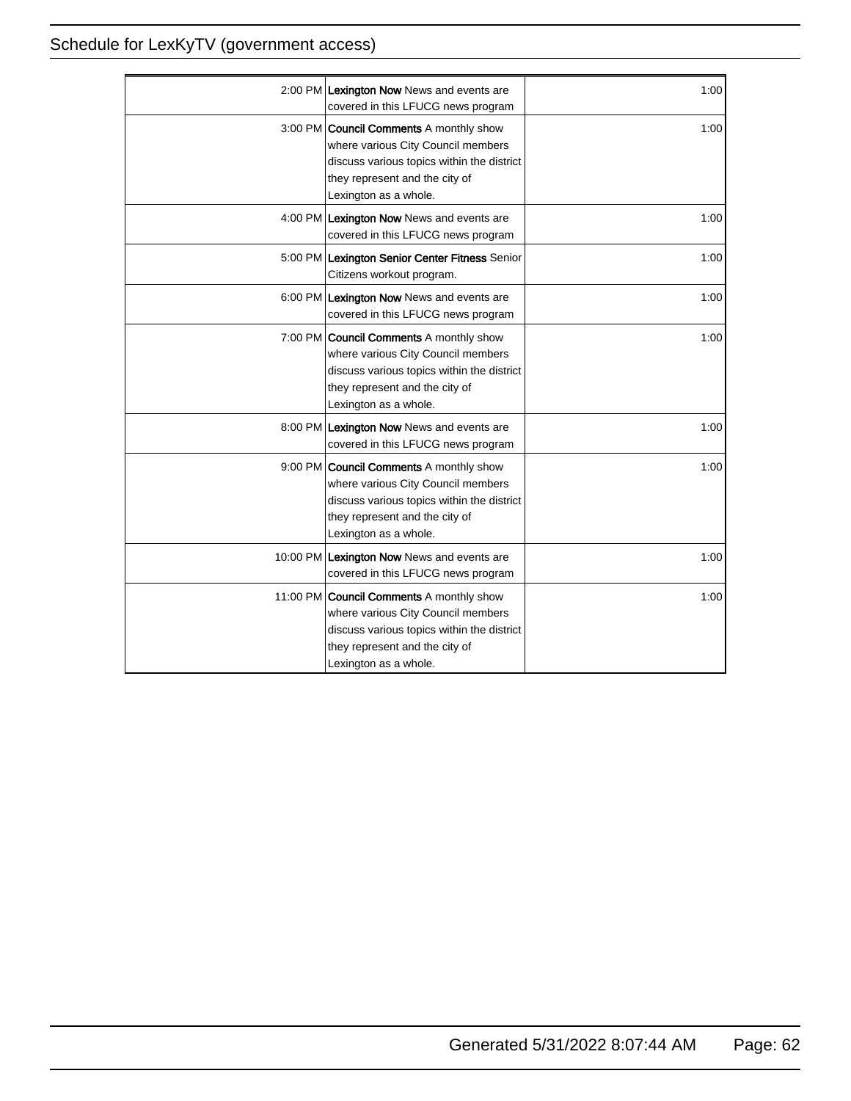| 2:00 PM Lexington Now News and events are<br>covered in this LFUCG news program                                                                                                               | 1:00 |
|-----------------------------------------------------------------------------------------------------------------------------------------------------------------------------------------------|------|
| 3:00 PM <b>Council Comments</b> A monthly show<br>where various City Council members<br>discuss various topics within the district<br>they represent and the city of<br>Lexington as a whole. | 1:00 |
| 4:00 PM Lexington Now News and events are<br>covered in this LFUCG news program                                                                                                               | 1:00 |
| 5:00 PM Lexington Senior Center Fitness Senior<br>Citizens workout program.                                                                                                                   | 1:00 |
| 6:00 PM Lexington Now News and events are<br>covered in this LFUCG news program                                                                                                               | 1:00 |
| 7:00 PM <b>Council Comments</b> A monthly show<br>where various City Council members<br>discuss various topics within the district<br>they represent and the city of<br>Lexington as a whole. | 1:00 |
| 8:00 PM Lexington Now News and events are<br>covered in this LFUCG news program                                                                                                               | 1:00 |
| 9:00 PM Council Comments A monthly show<br>where various City Council members<br>discuss various topics within the district<br>they represent and the city of<br>Lexington as a whole.        | 1:00 |
| 10:00 PM Lexington Now News and events are<br>covered in this LFUCG news program                                                                                                              | 1:00 |
| 11:00 PM Council Comments A monthly show<br>where various City Council members<br>discuss various topics within the district<br>they represent and the city of<br>Lexington as a whole.       | 1:00 |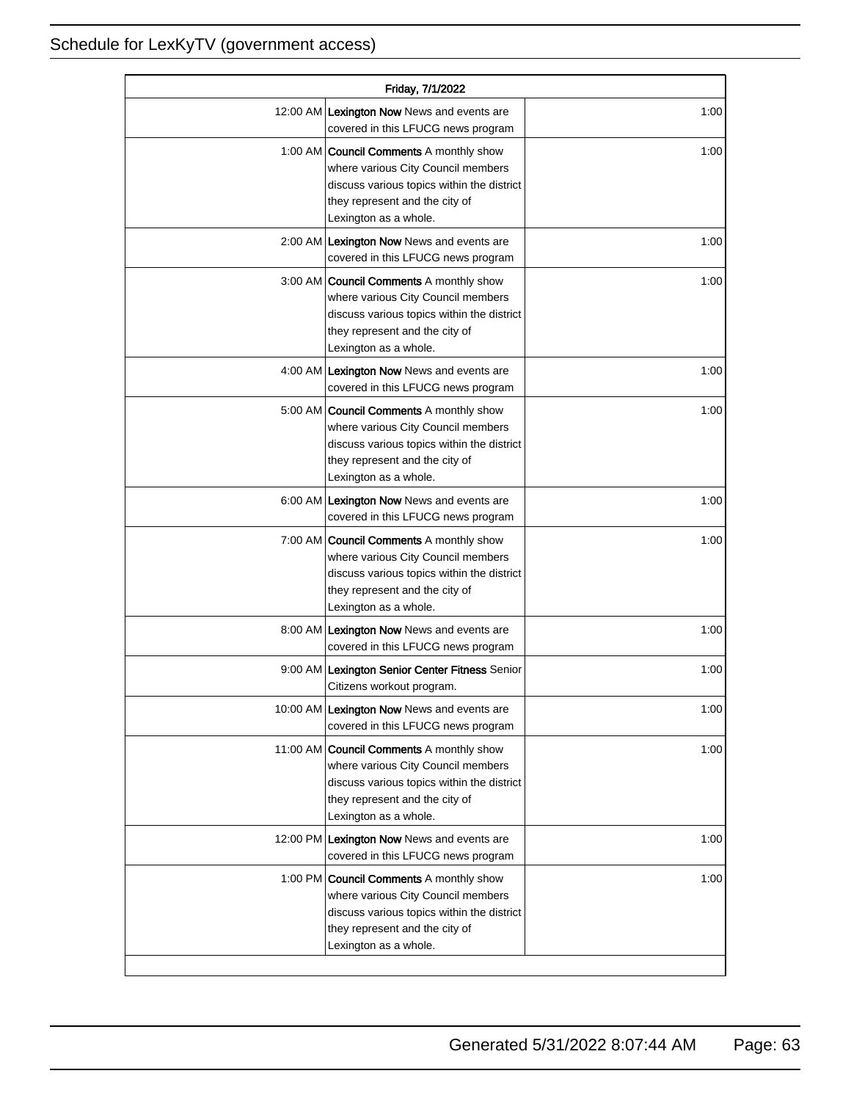| Friday, 7/1/2022 |                                                                                                                                                                                               |      |
|------------------|-----------------------------------------------------------------------------------------------------------------------------------------------------------------------------------------------|------|
|                  | 12:00 AM Lexington Now News and events are<br>covered in this LFUCG news program                                                                                                              | 1:00 |
|                  | 1:00 AM   Council Comments A monthly show<br>where various City Council members<br>discuss various topics within the district<br>they represent and the city of<br>Lexington as a whole.      | 1:00 |
|                  | 2:00 AM Lexington Now News and events are<br>covered in this LFUCG news program                                                                                                               | 1:00 |
|                  | 3:00 AM   Council Comments A monthly show<br>where various City Council members<br>discuss various topics within the district<br>they represent and the city of<br>Lexington as a whole.      | 1:00 |
|                  | 4:00 AM Lexington Now News and events are<br>covered in this LFUCG news program                                                                                                               | 1:00 |
|                  | 5:00 AM <b>Council Comments</b> A monthly show<br>where various City Council members<br>discuss various topics within the district<br>they represent and the city of<br>Lexington as a whole. | 1:00 |
|                  | 6:00 AM Lexington Now News and events are<br>covered in this LFUCG news program                                                                                                               | 1:00 |
|                  | 7:00 AM <b>Council Comments</b> A monthly show<br>where various City Council members<br>discuss various topics within the district<br>they represent and the city of<br>Lexington as a whole. | 1:00 |
|                  | 8:00 AM Lexington Now News and events are<br>covered in this LFUCG news program                                                                                                               | 1:00 |
|                  | 9:00 AM Lexington Senior Center Fitness Senior<br>Citizens workout program.                                                                                                                   | 1:00 |
|                  | 10:00 AM Lexington Now News and events are<br>covered in this LFUCG news program                                                                                                              | 1:00 |
|                  | 11:00 AM Council Comments A monthly show<br>where various City Council members<br>discuss various topics within the district<br>they represent and the city of<br>Lexington as a whole.       | 1:00 |
|                  | 12:00 PM Lexington Now News and events are<br>covered in this LFUCG news program                                                                                                              | 1:00 |
|                  | 1:00 PM <b>Council Comments</b> A monthly show<br>where various City Council members<br>discuss various topics within the district<br>they represent and the city of<br>Lexington as a whole. | 1:00 |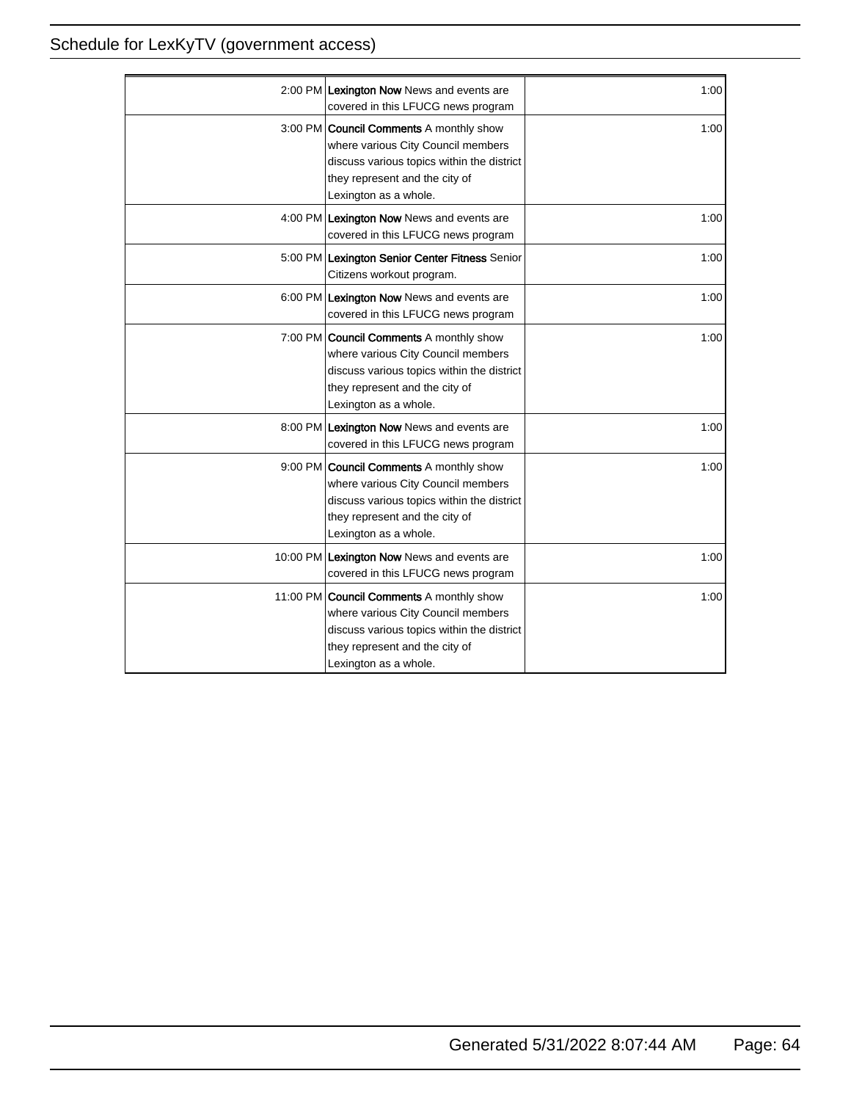| 2:00 PM Lexington Now News and events are<br>covered in this LFUCG news program                                                                                                                | 1:00 |
|------------------------------------------------------------------------------------------------------------------------------------------------------------------------------------------------|------|
| 3:00 PM <b>Council Comments</b> A monthly show<br>where various City Council members<br>discuss various topics within the district<br>they represent and the city of<br>Lexington as a whole.  | 1:00 |
| 4:00 PM Lexington Now News and events are<br>covered in this LFUCG news program                                                                                                                | 1:00 |
| 5:00 PM Lexington Senior Center Fitness Senior<br>Citizens workout program.                                                                                                                    | 1:00 |
| 6:00 PM Lexington Now News and events are<br>covered in this LFUCG news program                                                                                                                | 1:00 |
| 7:00 PM <b>Council Comments</b> A monthly show<br>where various City Council members<br>discuss various topics within the district<br>they represent and the city of<br>Lexington as a whole.  | 1:00 |
| 8:00 PM Lexington Now News and events are<br>covered in this LFUCG news program                                                                                                                | 1:00 |
| 9:00 PM Council Comments A monthly show<br>where various City Council members<br>discuss various topics within the district<br>they represent and the city of<br>Lexington as a whole.         | 1:00 |
| 10:00 PM Lexington Now News and events are<br>covered in this LFUCG news program                                                                                                               | 1:00 |
| 11:00 PM <b>Council Comments</b> A monthly show<br>where various City Council members<br>discuss various topics within the district<br>they represent and the city of<br>Lexington as a whole. | 1:00 |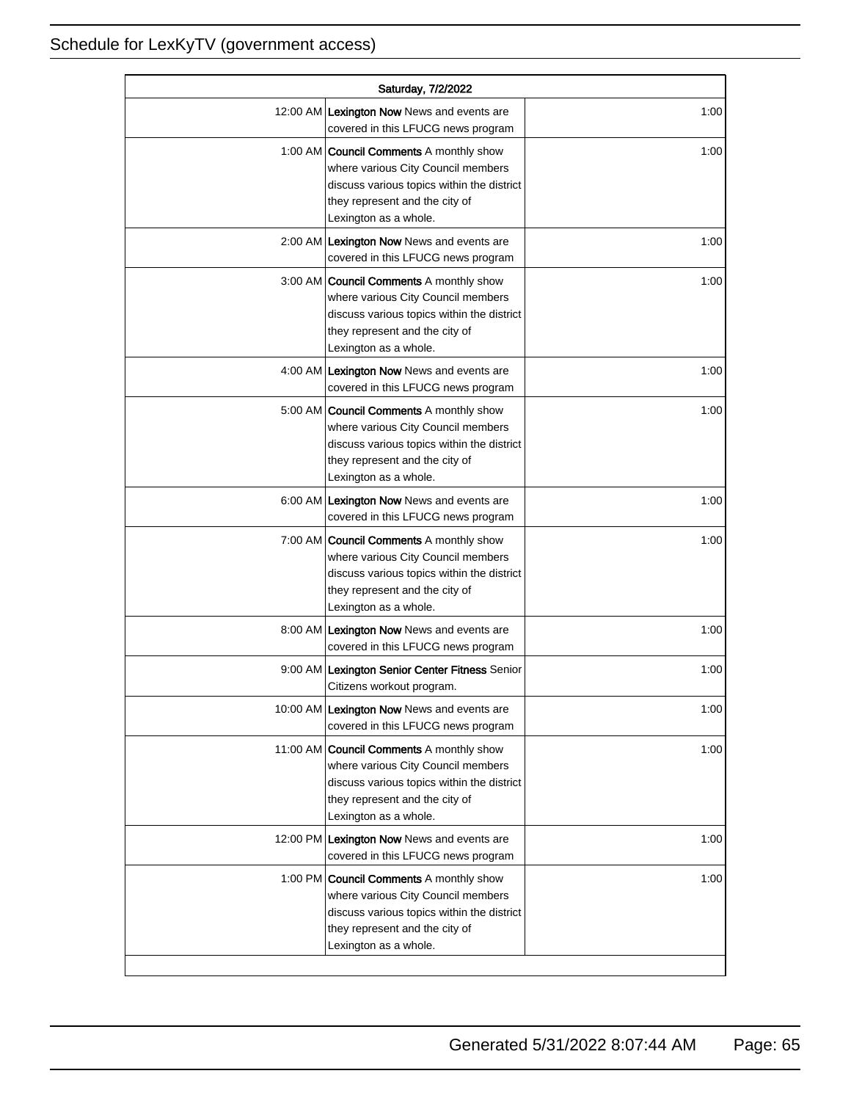| Saturday, 7/2/2022 |                                                                                                                                                                                               |      |
|--------------------|-----------------------------------------------------------------------------------------------------------------------------------------------------------------------------------------------|------|
|                    | 12:00 AM Lexington Now News and events are<br>covered in this LFUCG news program                                                                                                              | 1:00 |
|                    | 1:00 AM <b>Council Comments</b> A monthly show<br>where various City Council members<br>discuss various topics within the district<br>they represent and the city of<br>Lexington as a whole. | 1:00 |
|                    | 2:00 AM Lexington Now News and events are<br>covered in this LFUCG news program                                                                                                               | 1:00 |
|                    | 3:00 AM Council Comments A monthly show<br>where various City Council members<br>discuss various topics within the district<br>they represent and the city of<br>Lexington as a whole.        | 1:00 |
|                    | 4:00 AM Lexington Now News and events are<br>covered in this LFUCG news program                                                                                                               | 1:00 |
|                    | 5:00 AM   Council Comments A monthly show<br>where various City Council members<br>discuss various topics within the district<br>they represent and the city of<br>Lexington as a whole.      | 1:00 |
|                    | 6:00 AM Lexington Now News and events are<br>covered in this LFUCG news program                                                                                                               | 1:00 |
|                    | 7:00 AM Council Comments A monthly show<br>where various City Council members<br>discuss various topics within the district<br>they represent and the city of<br>Lexington as a whole.        | 1:00 |
|                    | 8:00 AM Lexington Now News and events are<br>covered in this LFUCG news program                                                                                                               | 1:00 |
|                    | 9:00 AM Lexington Senior Center Fitness Senior<br>Citizens workout program.                                                                                                                   | 1:00 |
|                    | 10:00 AM Lexington Now News and events are<br>covered in this LFUCG news program                                                                                                              | 1:00 |
|                    | 11:00 AM Council Comments A monthly show<br>where various City Council members<br>discuss various topics within the district<br>they represent and the city of<br>Lexington as a whole.       | 1:00 |
|                    | 12:00 PM Lexington Now News and events are<br>covered in this LFUCG news program                                                                                                              | 1:00 |
|                    | 1:00 PM Council Comments A monthly show<br>where various City Council members<br>discuss various topics within the district<br>they represent and the city of<br>Lexington as a whole.        | 1:00 |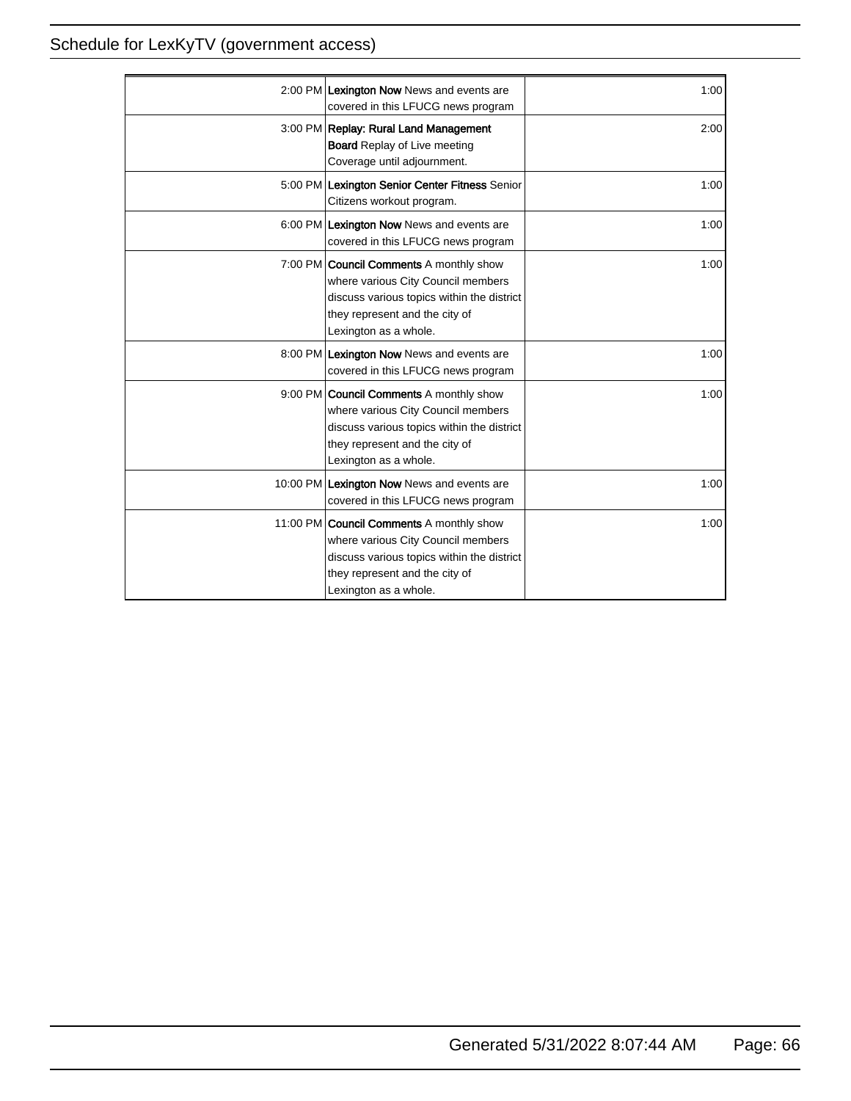| 2:00 PM Lexington Now News and events are<br>covered in this LFUCG news program                                                                                                               | 1:00 |
|-----------------------------------------------------------------------------------------------------------------------------------------------------------------------------------------------|------|
| 3:00 PM Replay: Rural Land Management<br><b>Board Replay of Live meeting</b><br>Coverage until adjournment.                                                                                   | 2:00 |
| 5:00 PM Lexington Senior Center Fitness Senior<br>Citizens workout program.                                                                                                                   | 1:00 |
| 6:00 PM Lexington Now News and events are<br>covered in this LFUCG news program                                                                                                               | 1:00 |
| 7:00 PM <b>Council Comments</b> A monthly show<br>where various City Council members<br>discuss various topics within the district<br>they represent and the city of<br>Lexington as a whole. | 1:00 |
| 8:00 PM Lexington Now News and events are<br>covered in this LFUCG news program                                                                                                               | 1:00 |
| 9:00 PM <b>Council Comments</b> A monthly show<br>where various City Council members<br>discuss various topics within the district<br>they represent and the city of<br>Lexington as a whole. | 1:00 |
| 10:00 PM Lexington Now News and events are<br>covered in this LFUCG news program                                                                                                              | 1:00 |
| 11:00 PM Council Comments A monthly show<br>where various City Council members<br>discuss various topics within the district<br>they represent and the city of<br>Lexington as a whole.       | 1:00 |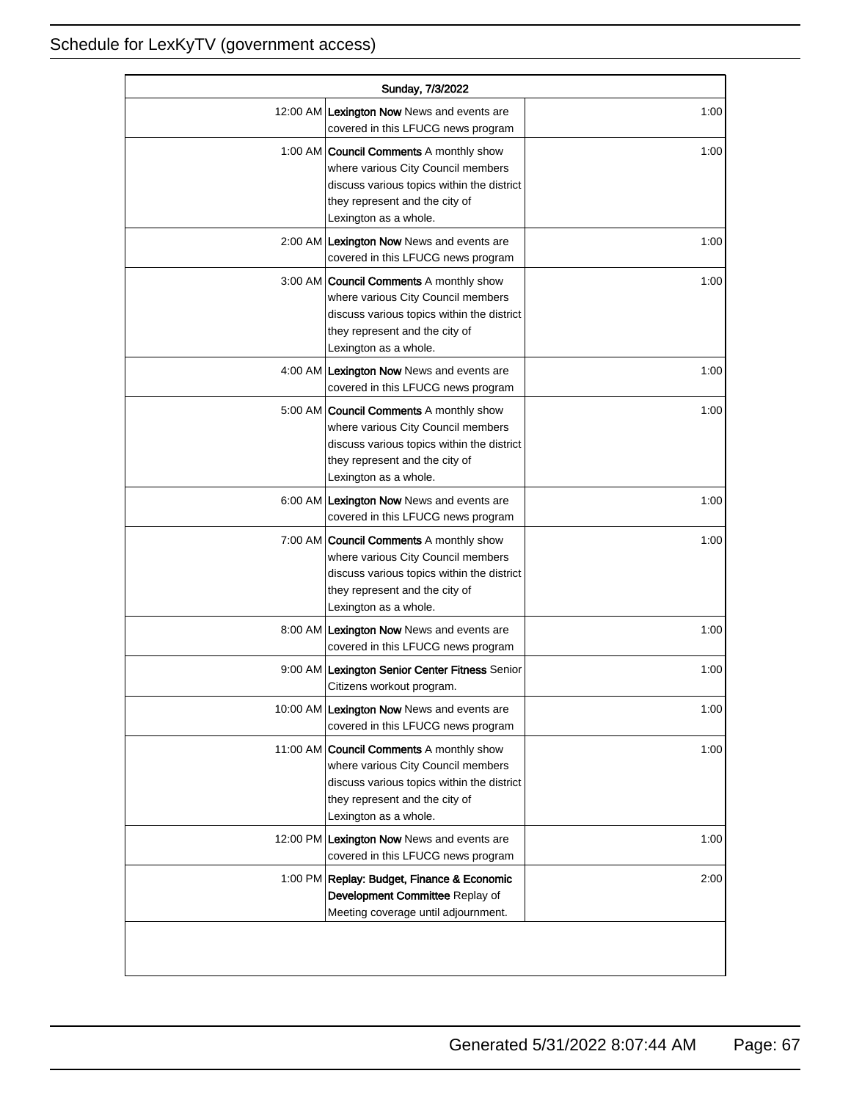| Sunday, 7/3/2022 |                                                                                                                                                                                               |      |
|------------------|-----------------------------------------------------------------------------------------------------------------------------------------------------------------------------------------------|------|
|                  | 12:00 AM Lexington Now News and events are<br>covered in this LFUCG news program                                                                                                              | 1:00 |
|                  | 1:00 AM <b>Council Comments</b> A monthly show<br>where various City Council members<br>discuss various topics within the district<br>they represent and the city of<br>Lexington as a whole. | 1:00 |
|                  | 2:00 AM Lexington Now News and events are<br>covered in this LFUCG news program                                                                                                               | 1:00 |
|                  | 3:00 AM Council Comments A monthly show<br>where various City Council members<br>discuss various topics within the district<br>they represent and the city of<br>Lexington as a whole.        | 1:00 |
|                  | 4:00 AM Lexington Now News and events are<br>covered in this LFUCG news program                                                                                                               | 1:00 |
|                  | 5:00 AM   Council Comments A monthly show<br>where various City Council members<br>discuss various topics within the district<br>they represent and the city of<br>Lexington as a whole.      | 1:00 |
|                  | 6:00 AM Lexington Now News and events are<br>covered in this LFUCG news program                                                                                                               | 1:00 |
|                  | 7:00 AM <b>Council Comments</b> A monthly show<br>where various City Council members<br>discuss various topics within the district<br>they represent and the city of<br>Lexington as a whole. | 1:00 |
|                  | 8:00 AM Lexington Now News and events are<br>covered in this LFUCG news program                                                                                                               | 1:00 |
|                  | 9:00 AM Lexington Senior Center Fitness Senior<br>Citizens workout program.                                                                                                                   | 1:00 |
|                  | 10:00 AM Lexington Now News and events are<br>covered in this LFUCG news program                                                                                                              | 1:00 |
|                  | 11:00 AM Council Comments A monthly show<br>where various City Council members<br>discuss various topics within the district<br>they represent and the city of<br>Lexington as a whole.       | 1:00 |
|                  | 12:00 PM Lexington Now News and events are<br>covered in this LFUCG news program                                                                                                              | 1:00 |
|                  | 1:00 PM Replay: Budget, Finance & Economic<br>Development Committee Replay of<br>Meeting coverage until adjournment.                                                                          | 2:00 |
|                  |                                                                                                                                                                                               |      |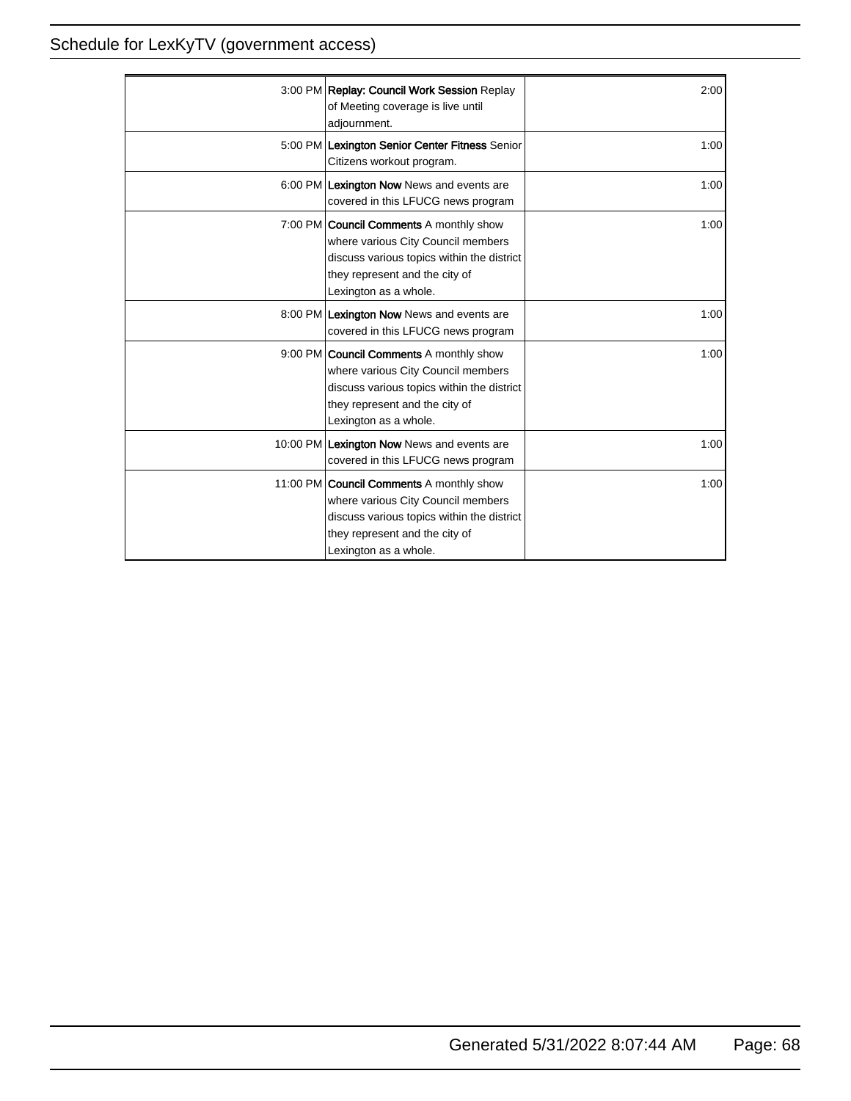| 3:00 PM Replay: Council Work Session Replay<br>of Meeting coverage is live until<br>adjournment.                                                                                               | 2:00 |
|------------------------------------------------------------------------------------------------------------------------------------------------------------------------------------------------|------|
| 5:00 PM Lexington Senior Center Fitness Senior<br>Citizens workout program.                                                                                                                    | 1:00 |
| 6:00 PM Lexington Now News and events are<br>covered in this LFUCG news program                                                                                                                | 1:00 |
| 7:00 PM <b>Council Comments</b> A monthly show<br>where various City Council members<br>discuss various topics within the district<br>they represent and the city of<br>Lexington as a whole.  | 1:00 |
| 8:00 PM Lexington Now News and events are<br>covered in this LFUCG news program                                                                                                                | 1:00 |
| 9:00 PM <b>Council Comments</b> A monthly show<br>where various City Council members<br>discuss various topics within the district<br>they represent and the city of<br>Lexington as a whole.  | 1:00 |
| 10:00 PM Lexington Now News and events are<br>covered in this LFUCG news program                                                                                                               | 1:00 |
| 11:00 PM <b>Council Comments</b> A monthly show<br>where various City Council members<br>discuss various topics within the district<br>they represent and the city of<br>Lexington as a whole. | 1:00 |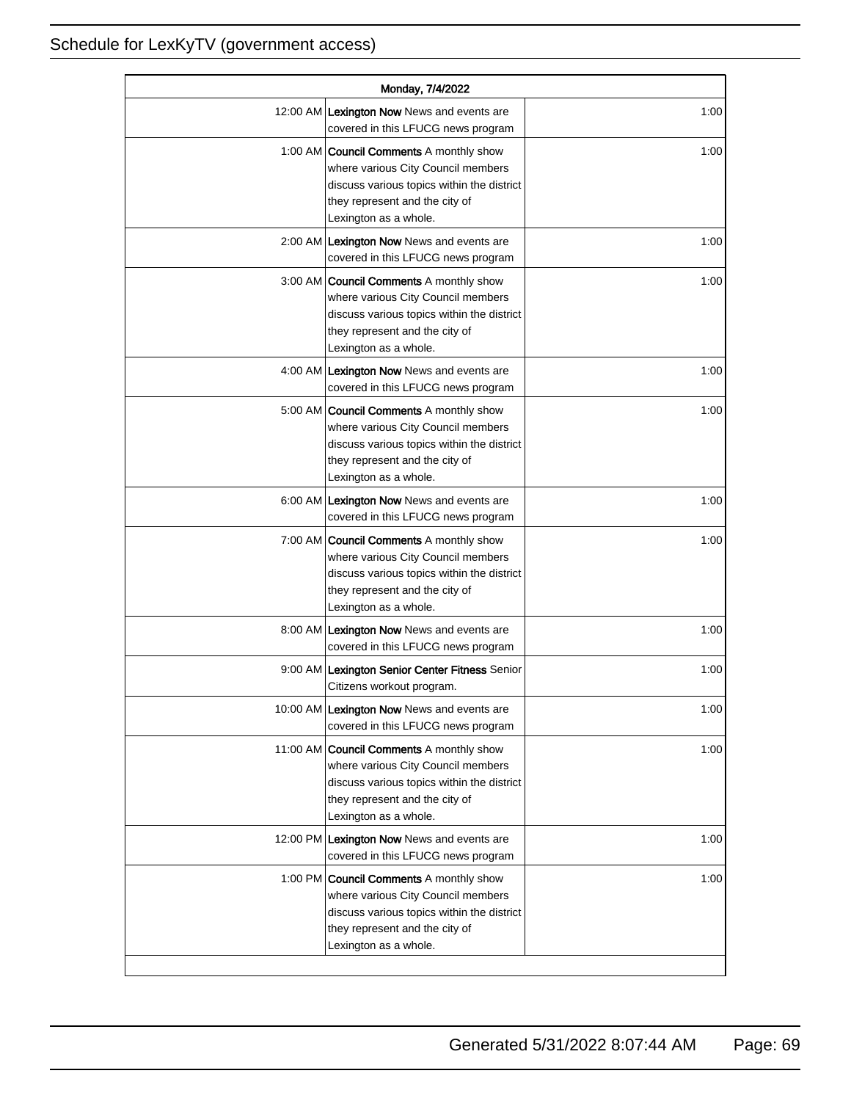| Monday, 7/4/2022 |                                                                                                                                                                                               |      |
|------------------|-----------------------------------------------------------------------------------------------------------------------------------------------------------------------------------------------|------|
|                  | 12:00 AM Lexington Now News and events are<br>covered in this LFUCG news program                                                                                                              | 1:00 |
|                  | 1:00 AM <b>Council Comments</b> A monthly show<br>where various City Council members<br>discuss various topics within the district<br>they represent and the city of<br>Lexington as a whole. | 1:00 |
|                  | 2:00 AM Lexington Now News and events are<br>covered in this LFUCG news program                                                                                                               | 1:00 |
|                  | 3:00 AM   Council Comments A monthly show<br>where various City Council members<br>discuss various topics within the district<br>they represent and the city of<br>Lexington as a whole.      | 1:00 |
|                  | 4:00 AM Lexington Now News and events are<br>covered in this LFUCG news program                                                                                                               | 1:00 |
|                  | 5:00 AM <b>Council Comments</b> A monthly show<br>where various City Council members<br>discuss various topics within the district<br>they represent and the city of<br>Lexington as a whole. | 1:00 |
|                  | 6:00 AM Lexington Now News and events are<br>covered in this LFUCG news program                                                                                                               | 1:00 |
|                  | 7:00 AM <b>Council Comments</b> A monthly show<br>where various City Council members<br>discuss various topics within the district<br>they represent and the city of<br>Lexington as a whole. | 1:00 |
|                  | 8:00 AM Lexington Now News and events are<br>covered in this LFUCG news program                                                                                                               | 1:00 |
|                  | 9:00 AM Lexington Senior Center Fitness Senior<br>Citizens workout program.                                                                                                                   | 1:00 |
|                  | 10:00 AM Lexington Now News and events are<br>covered in this LFUCG news program                                                                                                              | 1:00 |
|                  | 11:00 AM Council Comments A monthly show<br>where various City Council members<br>discuss various topics within the district<br>they represent and the city of<br>Lexington as a whole.       | 1:00 |
|                  | 12:00 PM Lexington Now News and events are<br>covered in this LFUCG news program                                                                                                              | 1:00 |
|                  | 1:00 PM <b>Council Comments</b> A monthly show<br>where various City Council members<br>discuss various topics within the district<br>they represent and the city of<br>Lexington as a whole. | 1:00 |